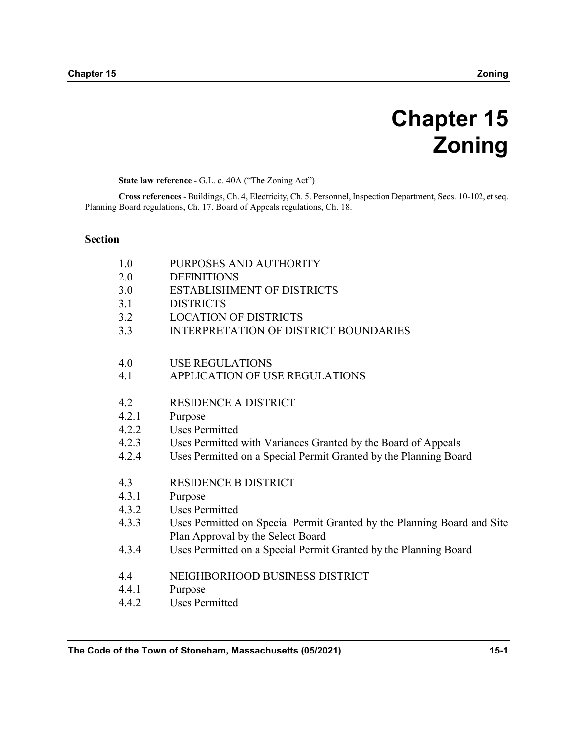# Chapter 15 Zoning

State law reference - G.L. c. 40A ("The Zoning Act")

Cross references - Buildings, Ch. 4, Electricity, Ch. 5. Personnel, Inspection Department, Secs. 10-102, et seq. Planning Board regulations, Ch. 17. Board of Appeals regulations, Ch. 18.

#### Section

| 1.0   | PURPOSES AND AUTHORITY                                                  |
|-------|-------------------------------------------------------------------------|
| 2.0   | <b>DEFINITIONS</b>                                                      |
| 3.0   | <b>ESTABLISHMENT OF DISTRICTS</b>                                       |
| 3.1   | <b>DISTRICTS</b>                                                        |
| 3.2   | <b>LOCATION OF DISTRICTS</b>                                            |
| 3.3   | <b>INTERPRETATION OF DISTRICT BOUNDARIES</b>                            |
| 4.0   | <b>USE REGULATIONS</b>                                                  |
| 4.1   | APPLICATION OF USE REGULATIONS                                          |
| 4.2   | <b>RESIDENCE A DISTRICT</b>                                             |
| 4.2.1 | Purpose                                                                 |
| 4.2.2 | <b>Uses Permitted</b>                                                   |
| 4.2.3 | Uses Permitted with Variances Granted by the Board of Appeals           |
| 4.2.4 | Uses Permitted on a Special Permit Granted by the Planning Board        |
| 4.3   | <b>RESIDENCE B DISTRICT</b>                                             |
| 4.3.1 | Purpose                                                                 |
| 4.3.2 | <b>Uses Permitted</b>                                                   |
| 4.3.3 | Uses Permitted on Special Permit Granted by the Planning Board and Site |
|       | Plan Approval by the Select Board                                       |
| 4.3.4 | Uses Permitted on a Special Permit Granted by the Planning Board        |
| 4.4   | NEIGHBORHOOD BUSINESS DISTRICT                                          |
| 4.4.1 | Purpose                                                                 |
| 4.4.2 | <b>Uses Permitted</b>                                                   |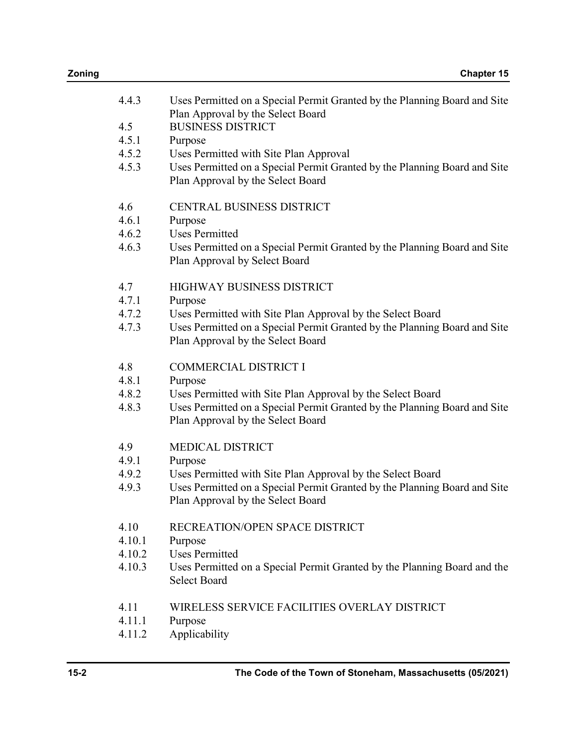| 4.4.3  | Uses Permitted on a Special Permit Granted by the Planning Board and Site<br>Plan Approval by the Select Board |
|--------|----------------------------------------------------------------------------------------------------------------|
| 4.5    | <b>BUSINESS DISTRICT</b>                                                                                       |
| 4.5.1  | Purpose                                                                                                        |
| 4.5.2  | Uses Permitted with Site Plan Approval                                                                         |
| 4.5.3  | Uses Permitted on a Special Permit Granted by the Planning Board and Site<br>Plan Approval by the Select Board |
| 4.6    | <b>CENTRAL BUSINESS DISTRICT</b>                                                                               |
| 4.6.1  | Purpose                                                                                                        |
| 4.6.2  | <b>Uses Permitted</b>                                                                                          |
| 4.6.3  | Uses Permitted on a Special Permit Granted by the Planning Board and Site                                      |
|        | Plan Approval by Select Board                                                                                  |
| 4.7    | <b>HIGHWAY BUSINESS DISTRICT</b>                                                                               |
| 4.7.1  | Purpose                                                                                                        |
| 4.7.2  | Uses Permitted with Site Plan Approval by the Select Board                                                     |
| 4.7.3  | Uses Permitted on a Special Permit Granted by the Planning Board and Site<br>Plan Approval by the Select Board |
| 4.8    | <b>COMMERCIAL DISTRICT I</b>                                                                                   |
| 4.8.1  | Purpose                                                                                                        |
| 4.8.2  | Uses Permitted with Site Plan Approval by the Select Board                                                     |
| 4.8.3  | Uses Permitted on a Special Permit Granted by the Planning Board and Site<br>Plan Approval by the Select Board |
| 4.9    | <b>MEDICAL DISTRICT</b>                                                                                        |
| 4.9.1  | Purpose                                                                                                        |
| 4.9.2  | Uses Permitted with Site Plan Approval by the Select Board                                                     |
| 4.9.3  | Uses Permitted on a Special Permit Granted by the Planning Board and Site                                      |
|        | Plan Approval by the Select Board                                                                              |
| 4.10   | RECREATION/OPEN SPACE DISTRICT                                                                                 |
| 4.10.1 | Purpose                                                                                                        |
| 4.10.2 | <b>Uses Permitted</b>                                                                                          |
| 4.10.3 | Uses Permitted on a Special Permit Granted by the Planning Board and the<br><b>Select Board</b>                |
| 4.11   | WIRELESS SERVICE FACILITIES OVERLAY DISTRICT                                                                   |
| 4.11.1 | Purpose                                                                                                        |
| 4.11.2 | Applicability                                                                                                  |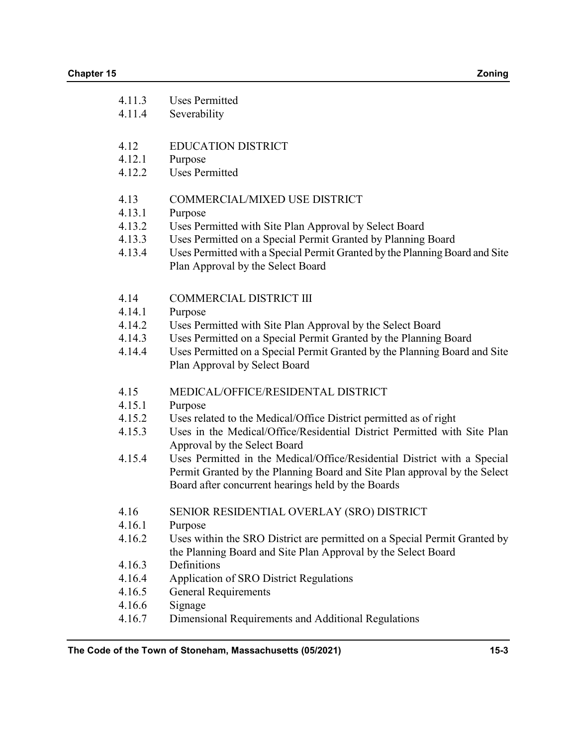| 4.11.3<br>4.11.4                     | <b>Uses Permitted</b><br>Severability                                                                                                                                                                                                                 |
|--------------------------------------|-------------------------------------------------------------------------------------------------------------------------------------------------------------------------------------------------------------------------------------------------------|
| 4.12<br>4.12.1<br>4.12.2             | <b>EDUCATION DISTRICT</b><br>Purpose<br><b>Uses Permitted</b>                                                                                                                                                                                         |
| 4.13                                 | COMMERCIAL/MIXED USE DISTRICT                                                                                                                                                                                                                         |
| 4.13.1<br>4.13.2<br>4.13.3<br>4.13.4 | Purpose<br>Uses Permitted with Site Plan Approval by Select Board<br>Uses Permitted on a Special Permit Granted by Planning Board<br>Uses Permitted with a Special Permit Granted by the Planning Board and Site<br>Plan Approval by the Select Board |
| 4.14                                 | <b>COMMERCIAL DISTRICT III</b>                                                                                                                                                                                                                        |
| 4.14.1                               | Purpose                                                                                                                                                                                                                                               |
| 4.14.2                               | Uses Permitted with Site Plan Approval by the Select Board                                                                                                                                                                                            |
| 4.14.3<br>4.14.4                     | Uses Permitted on a Special Permit Granted by the Planning Board<br>Uses Permitted on a Special Permit Granted by the Planning Board and Site<br>Plan Approval by Select Board                                                                        |
| 4.15                                 | MEDICAL/OFFICE/RESIDENTAL DISTRICT                                                                                                                                                                                                                    |
| 4.15.1                               | Purpose                                                                                                                                                                                                                                               |
| 4.15.2<br>4.15.3                     | Uses related to the Medical/Office District permitted as of right<br>Uses in the Medical/Office/Residential District Permitted with Site Plan<br>Approval by the Select Board                                                                         |
| 4.15.4                               | Uses Permitted in the Medical/Office/Residential District with a Special<br>Permit Granted by the Planning Board and Site Plan approval by the Select<br>Board after concurrent hearings held by the Boards                                           |
| 4.16                                 | SENIOR RESIDENTIAL OVERLAY (SRO) DISTRICT                                                                                                                                                                                                             |
| 4.16.1                               | Purpose                                                                                                                                                                                                                                               |
| 4.16.2                               | Uses within the SRO District are permitted on a Special Permit Granted by<br>the Planning Board and Site Plan Approval by the Select Board                                                                                                            |
| 4.16.3                               | Definitions                                                                                                                                                                                                                                           |
| 4.16.4                               | Application of SRO District Regulations                                                                                                                                                                                                               |
| 4.16.5                               | <b>General Requirements</b>                                                                                                                                                                                                                           |
| 4.16.6                               | Signage                                                                                                                                                                                                                                               |
| 4.16.7                               | Dimensional Requirements and Additional Regulations                                                                                                                                                                                                   |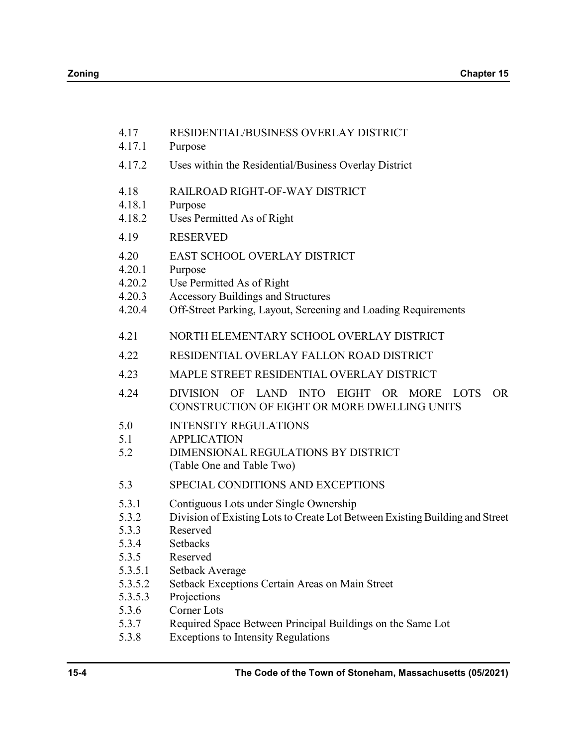| 4.17<br>4.17.1                                                  | RESIDENTIAL/BUSINESS OVERLAY DISTRICT<br>Purpose                                                                                                                                                                                        |
|-----------------------------------------------------------------|-----------------------------------------------------------------------------------------------------------------------------------------------------------------------------------------------------------------------------------------|
| 4.17.2                                                          | Uses within the Residential/Business Overlay District                                                                                                                                                                                   |
| 4.18<br>4.18.1<br>4.18.2                                        | RAILROAD RIGHT-OF-WAY DISTRICT<br>Purpose<br>Uses Permitted As of Right                                                                                                                                                                 |
| 4.19                                                            | <b>RESERVED</b>                                                                                                                                                                                                                         |
| 4.20<br>4.20.1<br>4.20.2<br>4.20.3<br>4.20.4                    | EAST SCHOOL OVERLAY DISTRICT<br>Purpose<br>Use Permitted As of Right<br><b>Accessory Buildings and Structures</b><br>Off-Street Parking, Layout, Screening and Loading Requirements                                                     |
| 4.21                                                            | NORTH ELEMENTARY SCHOOL OVERLAY DISTRICT                                                                                                                                                                                                |
| 4.22                                                            | RESIDENTIAL OVERLAY FALLON ROAD DISTRICT                                                                                                                                                                                                |
| 4.23                                                            | MAPLE STREET RESIDENTIAL OVERLAY DISTRICT                                                                                                                                                                                               |
| 4.24                                                            | DIVISION<br>OF LAND INTO<br><b>EIGHT</b><br><b>MORE</b><br>OR.<br><b>LOTS</b><br>OR.<br>CONSTRUCTION OF EIGHT OR MORE DWELLING UNITS                                                                                                    |
| 5.0<br>5.1<br>5.2                                               | <b>INTENSITY REGULATIONS</b><br><b>APPLICATION</b><br>DIMENSIONAL REGULATIONS BY DISTRICT<br>(Table One and Table Two)                                                                                                                  |
| 5.3                                                             | SPECIAL CONDITIONS AND EXCEPTIONS                                                                                                                                                                                                       |
| 5.3.1<br>5.3.2<br>5.3.3<br>5.3.4<br>5.3.5<br>5.3.5.1<br>5.3.5.2 | Contiguous Lots under Single Ownership<br>Division of Existing Lots to Create Lot Between Existing Building and Street<br>Reserved<br><b>Setbacks</b><br>Reserved<br>Setback Average<br>Setback Exceptions Certain Areas on Main Street |
| 5.3.5.3<br>5.3.6                                                | Projections<br><b>Corner Lots</b>                                                                                                                                                                                                       |
| 5.3.7<br>5.3.8                                                  | Required Space Between Principal Buildings on the Same Lot<br><b>Exceptions to Intensity Regulations</b>                                                                                                                                |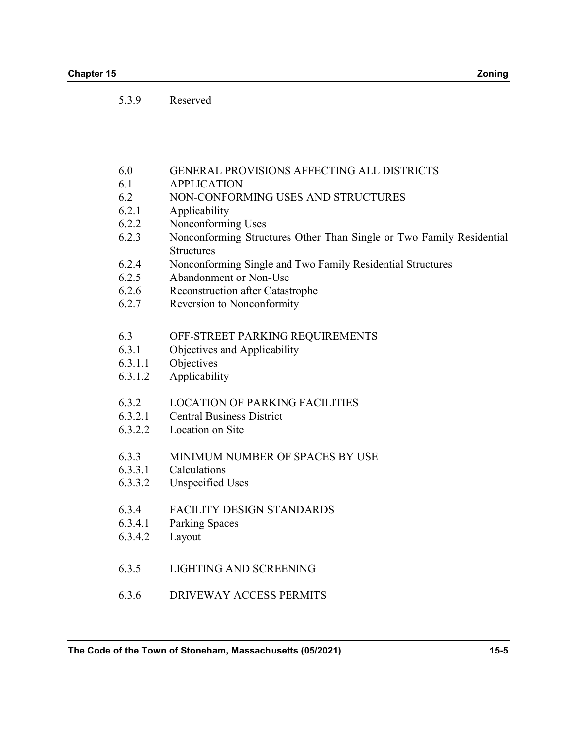5.3.9 Reserved

- 6.0 GENERAL PROVISIONS AFFECTING ALL DISTRICTS
- 6.1 APPLICATION
- 6.2 NON-CONFORMING USES AND STRUCTURES
- 6.2.1 Applicability
- 6.2.2 Nonconforming Uses
- 6.2.3 Nonconforming Structures Other Than Single or Two Family Residential **Structures**
- 6.2.4 Nonconforming Single and Two Family Residential Structures
- 6.2.5 Abandonment or Non-Use
- 6.2.6 Reconstruction after Catastrophe
- 6.2.7 Reversion to Nonconformity

#### 6.3 OFF-STREET PARKING REQUIREMENTS

- 6.3.1 Objectives and Applicability
- 6.3.1.1 Objectives
- 6.3.1.2 Applicability
- 6.3.2 LOCATION OF PARKING FACILITIES
- 6.3.2.1 Central Business District
- 6.3.2.2 Location on Site
- 6.3.3 MINIMUM NUMBER OF SPACES BY USE
- 6.3.3.1 Calculations
- 6.3.3.2 Unspecified Uses
- 6.3.4 FACILITY DESIGN STANDARDS
- 6.3.4.1 Parking Spaces
- 6.3.4.2 Layout
- 6.3.5 LIGHTING AND SCREENING
- 6.3.6 DRIVEWAY ACCESS PERMITS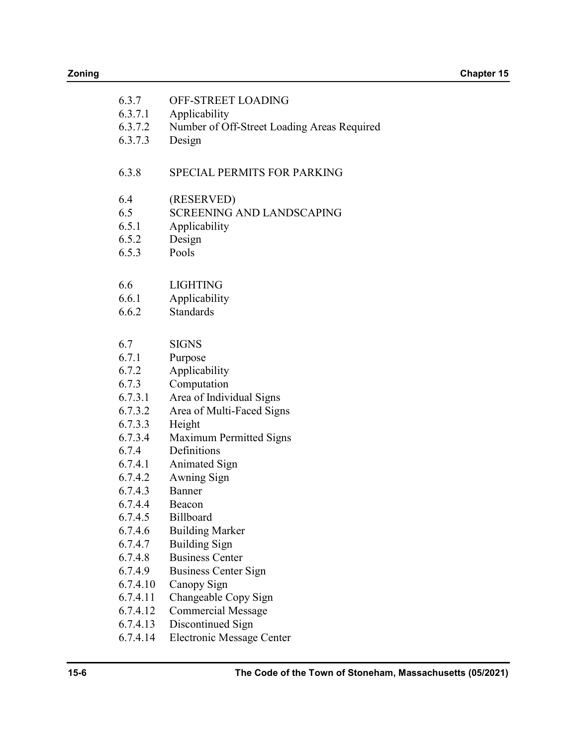| 6.3.7    | OFF-STREET LOADING                          |
|----------|---------------------------------------------|
| 6.3.7.1  | Applicability                               |
| 6.3.7.2  | Number of Off-Street Loading Areas Required |
| 6.3.7.3  | Design                                      |
|          |                                             |
| 6.3.8    | <b>SPECIAL PERMITS FOR PARKING</b>          |
|          |                                             |
| 6.4      | (RESERVED)                                  |
| 6.5      | <b>SCREENING AND LANDSCAPING</b>            |
| 6.5.1    | Applicability                               |
| 6.5.2    | Design                                      |
| 6.5.3    | Pools                                       |
|          |                                             |
| 6.6      | <b>LIGHTING</b>                             |
| 6.6.1    | Applicability                               |
| 6.6.2    | <b>Standards</b>                            |
|          |                                             |
| 6.7      | <b>SIGNS</b>                                |
| 6.7.1    | Purpose                                     |
| 6.7.2    | Applicability                               |
| 6.7.3    | Computation                                 |
| 6.7.3.1  | Area of Individual Signs                    |
| 6.7.3.2  | Area of Multi-Faced Signs                   |
| 6.7.3.3  | Height                                      |
| 6.7.3.4  | Maximum Permitted Signs                     |
| 6.7.4    | Definitions                                 |
| 6.7.4.1  | <b>Animated Sign</b>                        |
| 6.7.4.2  | Awning Sign                                 |
| 6.7.4.3  | Banner                                      |
| 6.7.4.4  | Beacon                                      |
| 6.7.4.5  | Billboard                                   |
| 6.7.4.6  | <b>Building Marker</b>                      |
| 6.7.4.7  | <b>Building Sign</b>                        |
| 6.7.4.8  | <b>Business Center</b>                      |
| 6.7.4.9  | Business Center Sign                        |
| 6.7.4.10 | Canopy Sign                                 |
| 6.7.4.11 | Changeable Copy Sign                        |
| 6.7.4.12 | <b>Commercial Message</b>                   |
| 6.7.4.13 | Discontinued Sign                           |
| 6.7.4.14 | <b>Electronic Message Center</b>            |
|          |                                             |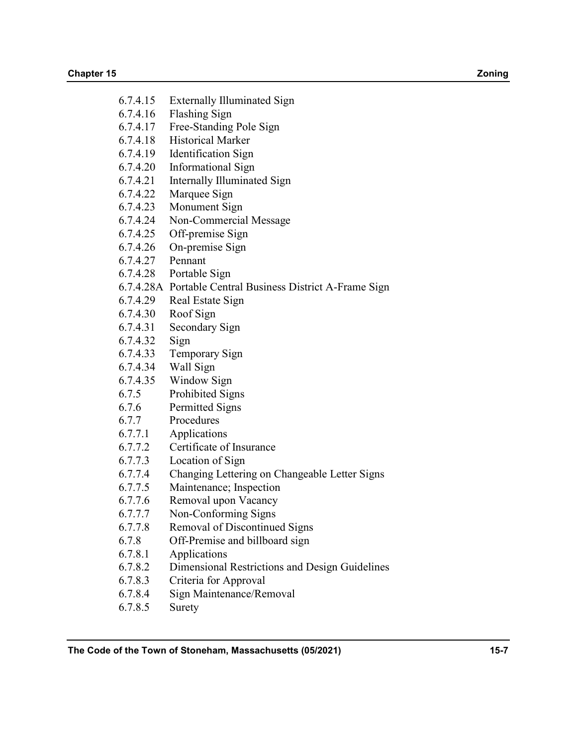- 6.7.4.15 Externally Illuminated Sign
- 6.7.4.16 Flashing Sign
- 6.7.4.17 Free-Standing Pole Sign
- 6.7.4.18 Historical Marker
- 6.7.4.19 Identification Sign
- 6.7.4.20 Informational Sign
- 6.7.4.21 Internally Illuminated Sign
- 6.7.4.22 Marquee Sign
- 6.7.4.23 Monument Sign
- 6.7.4.24 Non-Commercial Message
- 6.7.4.25 Off-premise Sign
- 6.7.4.26 On-premise Sign
- 6.7.4.27 Pennant
- 6.7.4.28 Portable Sign
- 6.7.4.28A Portable Central Business District A-Frame Sign
- 6.7.4.29 Real Estate Sign
- 6.7.4.30 Roof Sign
- 6.7.4.31 Secondary Sign
- 6.7.4.32 Sign
- 6.7.4.33 Temporary Sign
- 6.7.4.34 Wall Sign
- 6.7.4.35 Window Sign
- 6.7.5 Prohibited Signs
- 6.7.6 Permitted Signs
- 6.7.7 Procedures
- 6.7.7.1 Applications
- 6.7.7.2 Certificate of Insurance
- 6.7.7.3 Location of Sign
- 6.7.7.4 Changing Lettering on Changeable Letter Signs
- 6.7.7.5 Maintenance; Inspection
- 6.7.7.6 Removal upon Vacancy
- 6.7.7.7 Non-Conforming Signs
- 6.7.7.8 Removal of Discontinued Signs
- 6.7.8 Off-Premise and billboard sign
- 6.7.8.1 Applications
- 6.7.8.2 Dimensional Restrictions and Design Guidelines
- 6.7.8.3 Criteria for Approval
- 6.7.8.4 Sign Maintenance/Removal
- 6.7.8.5 Surety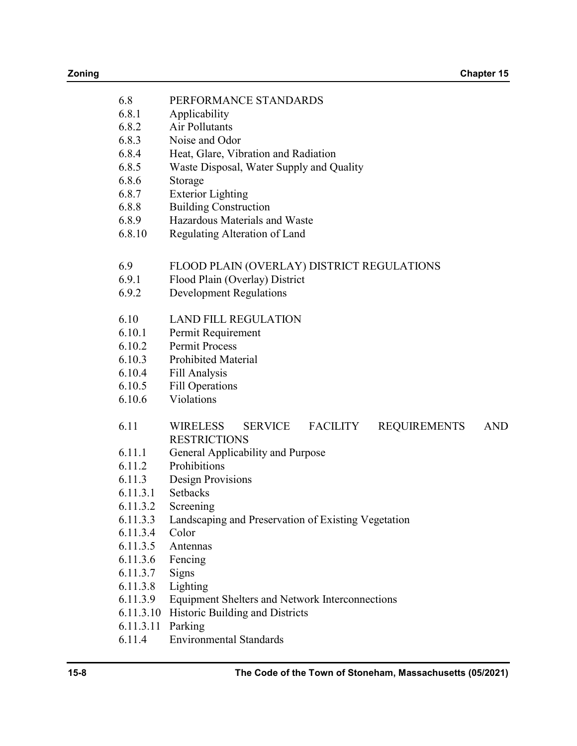| 6.8       | PERFORMANCE STANDARDS                                                                     |
|-----------|-------------------------------------------------------------------------------------------|
| 6.8.1     | Applicability                                                                             |
| 6.8.2     | Air Pollutants                                                                            |
| 6.8.3     | Noise and Odor                                                                            |
| 6.8.4     | Heat, Glare, Vibration and Radiation                                                      |
| 6.8.5     | Waste Disposal, Water Supply and Quality                                                  |
| 6.8.6     | Storage                                                                                   |
| 6.8.7     | <b>Exterior Lighting</b>                                                                  |
| 6.8.8     | <b>Building Construction</b>                                                              |
| 6.8.9     | Hazardous Materials and Waste                                                             |
| 6.8.10    | Regulating Alteration of Land                                                             |
|           |                                                                                           |
| 6.9       | FLOOD PLAIN (OVERLAY) DISTRICT REGULATIONS                                                |
| 6.9.1     | Flood Plain (Overlay) District                                                            |
| 6.9.2     | <b>Development Regulations</b>                                                            |
|           |                                                                                           |
| 6.10      | <b>LAND FILL REGULATION</b>                                                               |
| 6.10.1    | Permit Requirement                                                                        |
| 6.10.2    | <b>Permit Process</b>                                                                     |
| 6.10.3    | <b>Prohibited Material</b>                                                                |
| 6.10.4    | Fill Analysis                                                                             |
| 6.10.5    | <b>Fill Operations</b>                                                                    |
| 6.10.6    | Violations                                                                                |
| 6.11      | <b>AND</b><br><b>WIRELESS</b><br><b>SERVICE</b><br><b>FACILITY</b><br><b>REQUIREMENTS</b> |
|           | <b>RESTRICTIONS</b>                                                                       |
| 6.11.1    | General Applicability and Purpose                                                         |
| 6.11.2    | Prohibitions                                                                              |
| 6.11.3    | Design Provisions                                                                         |
| 6.11.3.1  | <b>Setbacks</b>                                                                           |
| 6.11.3.2  | Screening                                                                                 |
| 6.11.3.3  | Landscaping and Preservation of Existing Vegetation                                       |
| 6.11.3.4  | Color                                                                                     |
| 6.11.3.5  | Antennas                                                                                  |
| 6.11.3.6  | Fencing                                                                                   |
| 6.11.3.7  | Signs                                                                                     |
| 6.11.3.8  | Lighting                                                                                  |
| 6.11.3.9  | <b>Equipment Shelters and Network Interconnections</b>                                    |
| 6.11.3.10 | Historic Building and Districts                                                           |
| 6.11.3.11 | Parking                                                                                   |
| 6.11.4    | <b>Environmental Standards</b>                                                            |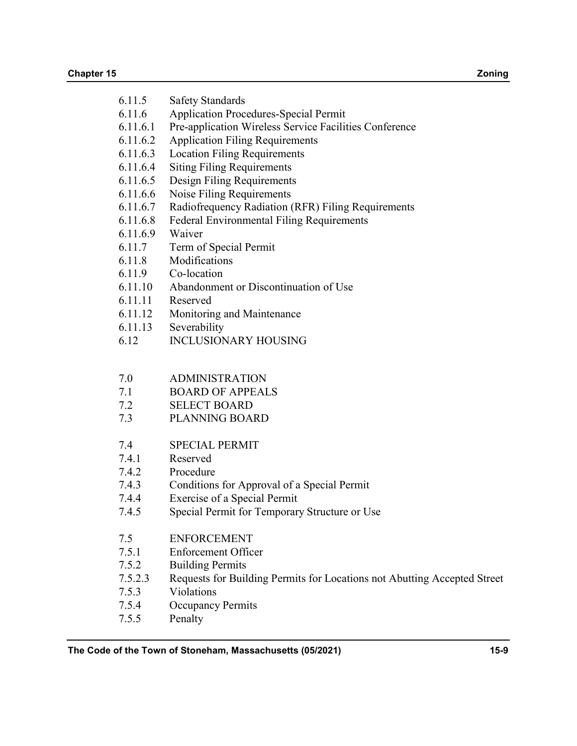| 6.11.5 | <b>Safety Standards</b> |
|--------|-------------------------|
|--------|-------------------------|

- 6.11.6 Application Procedures-Special Permit
- 6.11.6.1 Pre-application Wireless Service Facilities Conference
- 6.11.6.2 Application Filing Requirements
- 6.11.6.3 Location Filing Requirements
- 6.11.6.4 Siting Filing Requirements
- 6.11.6.5 Design Filing Requirements
- 6.11.6.6 Noise Filing Requirements
- 6.11.6.7 Radiofrequency Radiation (RFR) Filing Requirements
- 6.11.6.8 Federal Environmental Filing Requirements
- 6.11.6.9 Waiver
- 6.11.7 Term of Special Permit
- 6.11.8 Modifications
- 6.11.9 Co-location
- 6.11.10 Abandonment or Discontinuation of Use
- 6.11.11 Reserved
- 6.11.12 Monitoring and Maintenance
- 6.11.13 Severability
- 6.12 INCLUSIONARY HOUSING
- 7.0 ADMINISTRATION
- 7.1 BOARD OF APPEALS
- 7.2 SELECT BOARD
- 7.3 PLANNING BOARD
- 7.4 SPECIAL PERMIT
- 7.4.1 Reserved
- 7.4.2 Procedure
- 7.4.3 Conditions for Approval of a Special Permit
- 7.4.4 Exercise of a Special Permit
- 7.4.5 Special Permit for Temporary Structure or Use
- 7.5 ENFORCEMENT
- 7.5.1 Enforcement Officer
- 7.5.2 Building Permits
- 7.5.2.3 Requests for Building Permits for Locations not Abutting Accepted Street
- 7.5.3 Violations
- 7.5.4 Occupancy Permits
- 7.5.5 Penalty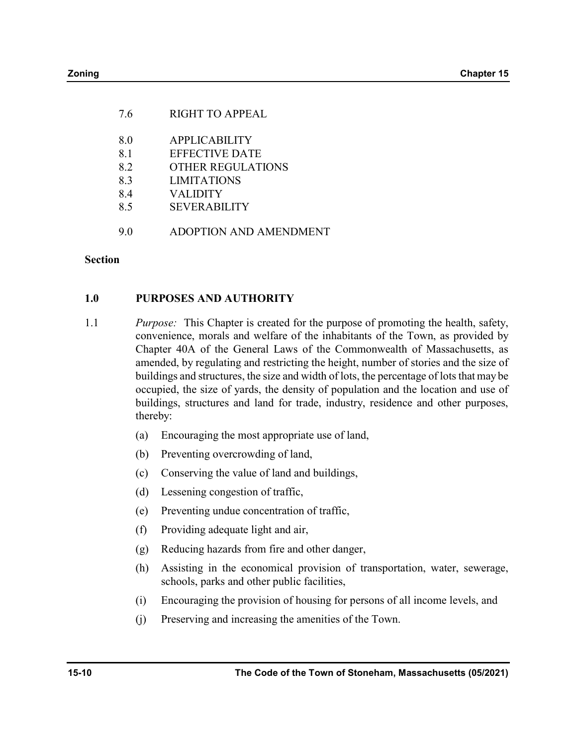| <b>RIGHT TO APPEAL</b>                  |
|-----------------------------------------|
| <b>APPLICABILITY</b>                    |
| EFFECTIVE DATE                          |
| OTHER REGULATIONS<br><b>LIMITATIONS</b> |
| <b>VALIDITY</b>                         |
| <b>SEVERABILITY</b>                     |
| ADOPTION AND AMENDMENT                  |
|                                         |

### Section

## 1.0 PURPOSES AND AUTHORITY

- 1.1 Purpose: This Chapter is created for the purpose of promoting the health, safety, convenience, morals and welfare of the inhabitants of the Town, as provided by Chapter 40A of the General Laws of the Commonwealth of Massachusetts, as amended, by regulating and restricting the height, number of stories and the size of buildings and structures, the size and width of lots, the percentage of lots that may be occupied, the size of yards, the density of population and the location and use of buildings, structures and land for trade, industry, residence and other purposes, thereby:
	- (a) Encouraging the most appropriate use of land,
	- (b) Preventing overcrowding of land,
	- (c) Conserving the value of land and buildings,
	- (d) Lessening congestion of traffic,
	- (e) Preventing undue concentration of traffic,
	- (f) Providing adequate light and air,
	- (g) Reducing hazards from fire and other danger,
	- (h) Assisting in the economical provision of transportation, water, sewerage, schools, parks and other public facilities,
	- (i) Encouraging the provision of housing for persons of all income levels, and
	- (j) Preserving and increasing the amenities of the Town.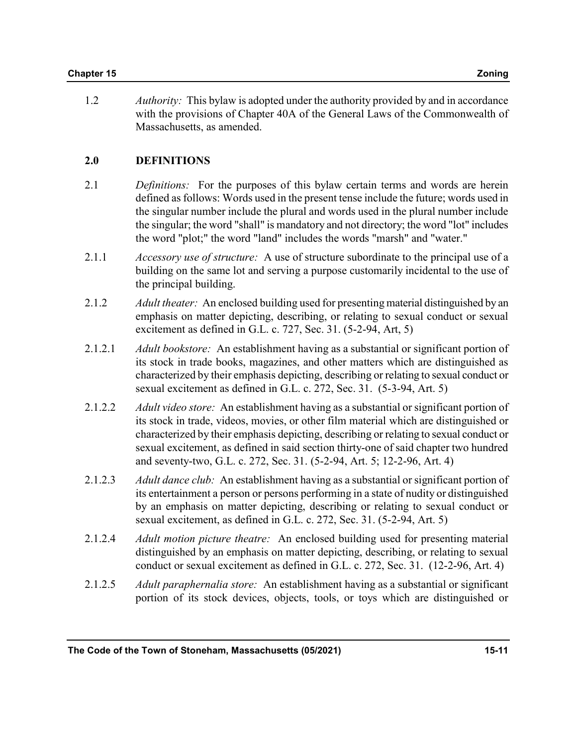1.2 *Authority*: This bylaw is adopted under the authority provided by and in accordance with the provisions of Chapter 40A of the General Laws of the Commonwealth of Massachusetts, as amended.

## 2.0 DEFINITIONS

- 2.1 Definitions: For the purposes of this bylaw certain terms and words are herein defined as follows: Words used in the present tense include the future; words used in the singular number include the plural and words used in the plural number include the singular; the word "shall" is mandatory and not directory; the word "lot" includes the word "plot;" the word "land" includes the words "marsh" and "water."
- 2.1.1 *Accessory use of structure:* A use of structure subordinate to the principal use of a building on the same lot and serving a purpose customarily incidental to the use of the principal building.
- 2.1.2 Adult theater: An enclosed building used for presenting material distinguished by an emphasis on matter depicting, describing, or relating to sexual conduct or sexual excitement as defined in G.L. c. 727, Sec. 31. (5-2-94, Art, 5)
- 2.1.2.1 Adult bookstore: An establishment having as a substantial or significant portion of its stock in trade books, magazines, and other matters which are distinguished as characterized by their emphasis depicting, describing or relating to sexual conduct or sexual excitement as defined in G.L. c. 272, Sec. 31. (5-3-94, Art. 5)
- 2.1.2.2 Adult video store: An establishment having as a substantial or significant portion of its stock in trade, videos, movies, or other film material which are distinguished or characterized by their emphasis depicting, describing or relating to sexual conduct or sexual excitement, as defined in said section thirty-one of said chapter two hundred and seventy-two, G.L. c. 272, Sec. 31. (5-2-94, Art. 5; 12-2-96, Art. 4)
- 2.1.2.3 Adult dance club: An establishment having as a substantial or significant portion of its entertainment a person or persons performing in a state of nudity or distinguished by an emphasis on matter depicting, describing or relating to sexual conduct or sexual excitement, as defined in G.L. c. 272, Sec. 31. (5-2-94, Art. 5)
- 2.1.2.4 Adult motion picture theatre: An enclosed building used for presenting material distinguished by an emphasis on matter depicting, describing, or relating to sexual conduct or sexual excitement as defined in G.L. c. 272, Sec. 31. (12-2-96, Art. 4)
- 2.1.2.5 Adult paraphernalia store: An establishment having as a substantial or significant portion of its stock devices, objects, tools, or toys which are distinguished or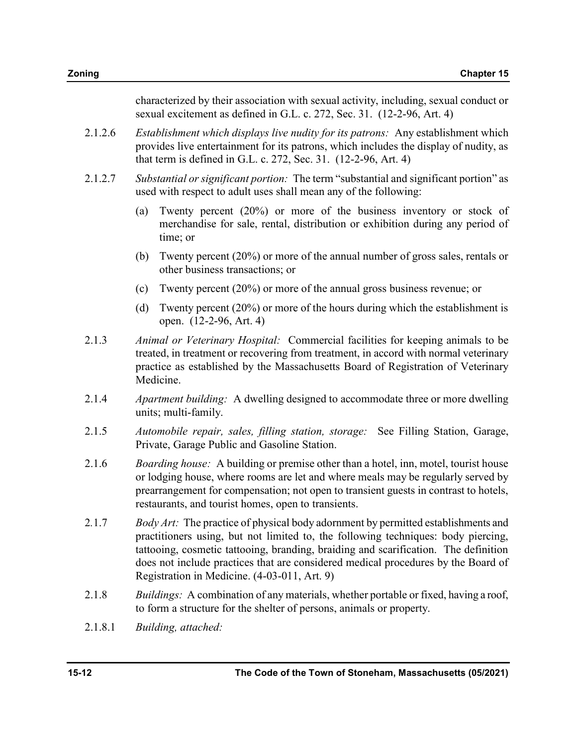characterized by their association with sexual activity, including, sexual conduct or sexual excitement as defined in G.L. c. 272, Sec. 31. (12-2-96, Art. 4)

- 2.1.2.6 Establishment which displays live nudity for its patrons: Any establishment which provides live entertainment for its patrons, which includes the display of nudity, as that term is defined in G.L. c. 272, Sec. 31. (12-2-96, Art. 4)
- 2.1.2.7 Substantial or significant portion: The term "substantial and significant portion" as used with respect to adult uses shall mean any of the following:
	- (a) Twenty percent (20%) or more of the business inventory or stock of merchandise for sale, rental, distribution or exhibition during any period of time; or
	- (b) Twenty percent (20%) or more of the annual number of gross sales, rentals or other business transactions; or
	- (c) Twenty percent (20%) or more of the annual gross business revenue; or
	- (d) Twenty percent (20%) or more of the hours during which the establishment is open. (12-2-96, Art. 4)
- 2.1.3 Animal or Veterinary Hospital: Commercial facilities for keeping animals to be treated, in treatment or recovering from treatment, in accord with normal veterinary practice as established by the Massachusetts Board of Registration of Veterinary Medicine.
- 2.1.4 Apartment building: A dwelling designed to accommodate three or more dwelling units; multi-family.
- 2.1.5 Automobile repair, sales, filling station, storage: See Filling Station, Garage, Private, Garage Public and Gasoline Station.
- 2.1.6 Boarding house: A building or premise other than a hotel, inn, motel, tourist house or lodging house, where rooms are let and where meals may be regularly served by prearrangement for compensation; not open to transient guests in contrast to hotels, restaurants, and tourist homes, open to transients.
- 2.1.7 Body Art: The practice of physical body adornment by permitted establishments and practitioners using, but not limited to, the following techniques: body piercing, tattooing, cosmetic tattooing, branding, braiding and scarification. The definition does not include practices that are considered medical procedures by the Board of Registration in Medicine. (4-03-011, Art. 9)
- 2.1.8 Buildings: A combination of any materials, whether portable or fixed, having a roof, to form a structure for the shelter of persons, animals or property.
- 2.1.8.1 Building, attached: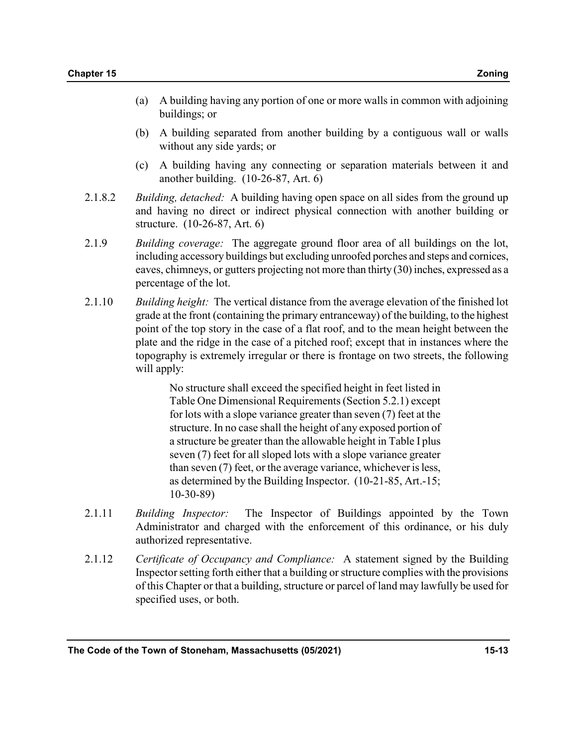- (a) A building having any portion of one or more walls in common with adjoining buildings; or
- (b) A building separated from another building by a contiguous wall or walls without any side yards; or
- (c) A building having any connecting or separation materials between it and another building. (10-26-87, Art. 6)
- 2.1.8.2 Building, detached: A building having open space on all sides from the ground up and having no direct or indirect physical connection with another building or structure. (10-26-87, Art. 6)
- 2.1.9 Building coverage: The aggregate ground floor area of all buildings on the lot, including accessory buildings but excluding unroofed porches and steps and cornices, eaves, chimneys, or gutters projecting not more than thirty (30) inches, expressed as a percentage of the lot.
- 2.1.10 Building height: The vertical distance from the average elevation of the finished lot grade at the front (containing the primary entranceway) of the building, to the highest point of the top story in the case of a flat roof, and to the mean height between the plate and the ridge in the case of a pitched roof; except that in instances where the topography is extremely irregular or there is frontage on two streets, the following will apply:

 No structure shall exceed the specified height in feet listed in Table One Dimensional Requirements (Section 5.2.1) except for lots with a slope variance greater than seven (7) feet at the structure. In no case shall the height of any exposed portion of a structure be greater than the allowable height in Table I plus seven (7) feet for all sloped lots with a slope variance greater than seven (7) feet, or the average variance, whichever is less, as determined by the Building Inspector. (10-21-85, Art.-15; 10-30-89)

- 2.1.11 Building Inspector: The Inspector of Buildings appointed by the Town Administrator and charged with the enforcement of this ordinance, or his duly authorized representative.
- 2.1.12 Certificate of Occupancy and Compliance: A statement signed by the Building Inspector setting forth either that a building or structure complies with the provisions of this Chapter or that a building, structure or parcel of land may lawfully be used for specified uses, or both.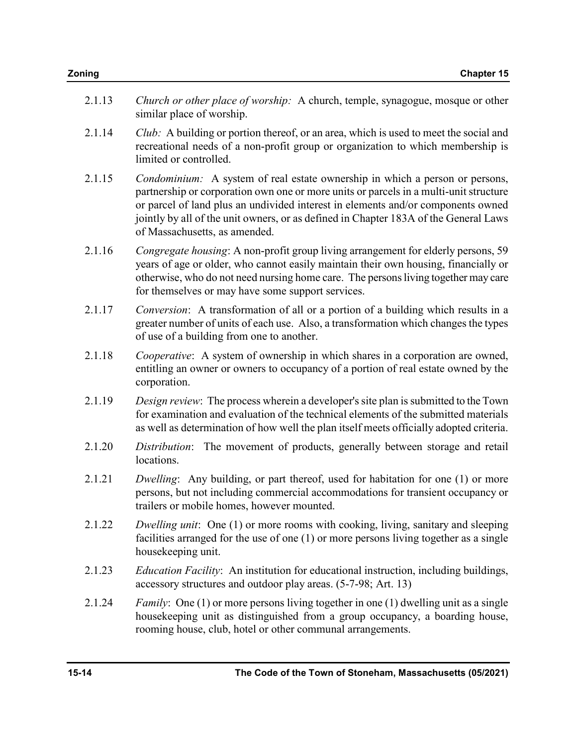| Church or other place of worship: A church, temple, synagogue, mosque or other<br>similar place of worship.                                                                                                                                                                                                                                                                        | 2.1.13 |
|------------------------------------------------------------------------------------------------------------------------------------------------------------------------------------------------------------------------------------------------------------------------------------------------------------------------------------------------------------------------------------|--------|
| Club: A building or portion thereof, or an area, which is used to meet the social and<br>recreational needs of a non-profit group or organization to which membership is<br>limited or controlled.                                                                                                                                                                                 | 2.1.14 |
| Condominium: A system of real estate ownership in which a person or persons,<br>partnership or corporation own one or more units or parcels in a multi-unit structure<br>or parcel of land plus an undivided interest in elements and/or components owned<br>jointly by all of the unit owners, or as defined in Chapter 183A of the General Laws<br>of Massachusetts, as amended. | 2.1.15 |
| Congregate housing: A non-profit group living arrangement for elderly persons, 59<br>years of age or older, who cannot easily maintain their own housing, financially or<br>otherwise, who do not need nursing home care. The persons living together may care<br>for themselves or may have some support services.                                                                | 2.1.16 |
| Conversion: A transformation of all or a portion of a building which results in a<br>greater number of units of each use. Also, a transformation which changes the types<br>of use of a building from one to another.                                                                                                                                                              | 2.1.17 |
| Cooperative: A system of ownership in which shares in a corporation are owned,<br>entitling an owner or owners to occupancy of a portion of real estate owned by the<br>corporation.                                                                                                                                                                                               | 2.1.18 |
| Design review: The process wherein a developer's site plan is submitted to the Town<br>for examination and evaluation of the technical elements of the submitted materials<br>as well as determination of how well the plan itself meets officially adopted criteria.                                                                                                              | 2.1.19 |
| Distribution: The movement of products, generally between storage and retail<br>locations.                                                                                                                                                                                                                                                                                         | 2.1.20 |
| Dwelling: Any building, or part thereof, used for habitation for one (1) or more<br>persons, but not including commercial accommodations for transient occupancy or<br>trailers or mobile homes, however mounted.                                                                                                                                                                  | 2.1.21 |
| <i>Dwelling unit:</i> One (1) or more rooms with cooking, living, sanitary and sleeping<br>facilities arranged for the use of one $(1)$ or more persons living together as a single<br>housekeeping unit.                                                                                                                                                                          | 2.1.22 |
| <i>Education Facility</i> : An institution for educational instruction, including buildings,<br>accessory structures and outdoor play areas. (5-7-98; Art. 13)                                                                                                                                                                                                                     | 2.1.23 |
| <i>Family</i> : One (1) or more persons living together in one (1) dwelling unit as a single<br>housekeeping unit as distinguished from a group occupancy, a boarding house,<br>rooming house, club, hotel or other communal arrangements.                                                                                                                                         | 2.1.24 |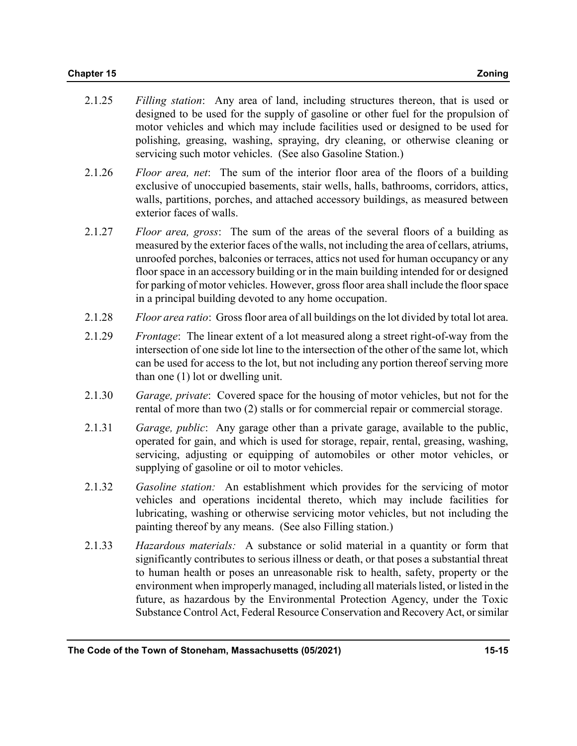- 2.1.25 Filling station: Any area of land, including structures thereon, that is used or designed to be used for the supply of gasoline or other fuel for the propulsion of motor vehicles and which may include facilities used or designed to be used for polishing, greasing, washing, spraying, dry cleaning, or otherwise cleaning or servicing such motor vehicles. (See also Gasoline Station.)
- 2.1.26 Floor area, net: The sum of the interior floor area of the floors of a building exclusive of unoccupied basements, stair wells, halls, bathrooms, corridors, attics, walls, partitions, porches, and attached accessory buildings, as measured between exterior faces of walls.
- 2.1.27 Floor area, gross: The sum of the areas of the several floors of a building as measured by the exterior faces of the walls, not including the area of cellars, atriums, unroofed porches, balconies or terraces, attics not used for human occupancy or any floor space in an accessory building or in the main building intended for or designed for parking of motor vehicles. However, gross floor area shall include the floor space in a principal building devoted to any home occupation.
- 2.1.28 Floor area ratio: Gross floor area of all buildings on the lot divided by total lot area.
- 2.1.29 Frontage: The linear extent of a lot measured along a street right-of-way from the intersection of one side lot line to the intersection of the other of the same lot, which can be used for access to the lot, but not including any portion thereof serving more than one (1) lot or dwelling unit.
- 2.1.30 Garage, private: Covered space for the housing of motor vehicles, but not for the rental of more than two (2) stalls or for commercial repair or commercial storage.
- 2.1.31 Garage, public: Any garage other than a private garage, available to the public, operated for gain, and which is used for storage, repair, rental, greasing, washing, servicing, adjusting or equipping of automobiles or other motor vehicles, or supplying of gasoline or oil to motor vehicles.
- 2.1.32 Gasoline station: An establishment which provides for the servicing of motor vehicles and operations incidental thereto, which may include facilities for lubricating, washing or otherwise servicing motor vehicles, but not including the painting thereof by any means. (See also Filling station.)
- 2.1.33 Hazardous materials: A substance or solid material in a quantity or form that significantly contributes to serious illness or death, or that poses a substantial threat to human health or poses an unreasonable risk to health, safety, property or the environment when improperly managed, including all materials listed, or listed in the future, as hazardous by the Environmental Protection Agency, under the Toxic Substance Control Act, Federal Resource Conservation and Recovery Act, or similar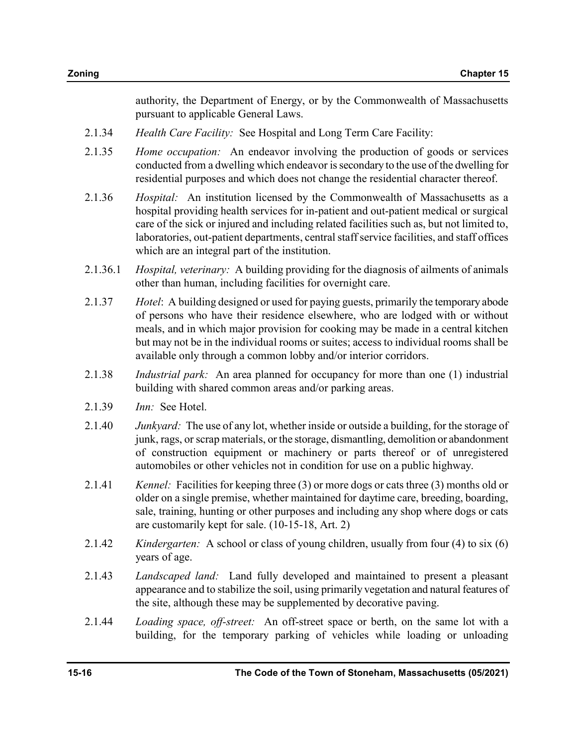authority, the Department of Energy, or by the Commonwealth of Massachusetts pursuant to applicable General Laws.

- 2.1.34 Health Care Facility: See Hospital and Long Term Care Facility:
- 2.1.35 *Home occupation*: An endeavor involving the production of goods or services conducted from a dwelling which endeavor is secondary to the use of the dwelling for residential purposes and which does not change the residential character thereof.
- 2.1.36 Hospital: An institution licensed by the Commonwealth of Massachusetts as a hospital providing health services for in-patient and out-patient medical or surgical care of the sick or injured and including related facilities such as, but not limited to, laboratories, out-patient departments, central staff service facilities, and staff offices which are an integral part of the institution.
- 2.1.36.1 *Hospital, veterinary:* A building providing for the diagnosis of ailments of animals other than human, including facilities for overnight care.
- 2.1.37 Hotel: A building designed or used for paying guests, primarily the temporary abode of persons who have their residence elsewhere, who are lodged with or without meals, and in which major provision for cooking may be made in a central kitchen but may not be in the individual rooms or suites; access to individual rooms shall be available only through a common lobby and/or interior corridors.
- 2.1.38 *Industrial park:* An area planned for occupancy for more than one (1) industrial building with shared common areas and/or parking areas.
- 2.1.39 Inn: See Hotel.
- 2.1.40 *Junkyard:* The use of any lot, whether inside or outside a building, for the storage of junk, rags, or scrap materials, or the storage, dismantling, demolition or abandonment of construction equipment or machinery or parts thereof or of unregistered automobiles or other vehicles not in condition for use on a public highway.
- 2.1.41 *Kennel*: Facilities for keeping three (3) or more dogs or cats three (3) months old or older on a single premise, whether maintained for daytime care, breeding, boarding, sale, training, hunting or other purposes and including any shop where dogs or cats are customarily kept for sale. (10-15-18, Art. 2)
- 2.1.42 *Kindergarten:* A school or class of young children, usually from four (4) to six (6) years of age.
- 2.1.43 Landscaped land: Land fully developed and maintained to present a pleasant appearance and to stabilize the soil, using primarily vegetation and natural features of the site, although these may be supplemented by decorative paving.
- 2.1.44 Loading space, off-street: An off-street space or berth, on the same lot with a building, for the temporary parking of vehicles while loading or unloading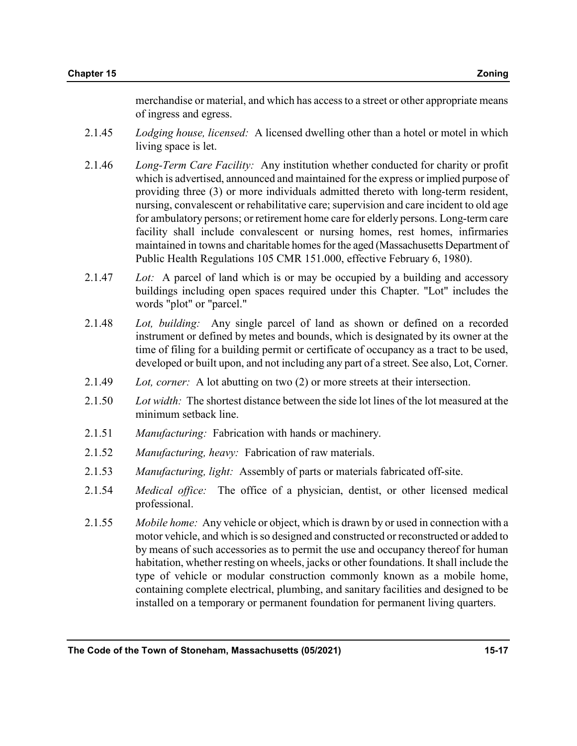merchandise or material, and which has access to a street or other appropriate means of ingress and egress.

- 2.1.45 Lodging house, licensed: A licensed dwelling other than a hotel or motel in which living space is let.
- 2.1.46 Long-Term Care Facility: Any institution whether conducted for charity or profit which is advertised, announced and maintained for the express or implied purpose of providing three (3) or more individuals admitted thereto with long-term resident, nursing, convalescent or rehabilitative care; supervision and care incident to old age for ambulatory persons; or retirement home care for elderly persons. Long-term care facility shall include convalescent or nursing homes, rest homes, infirmaries maintained in towns and charitable homes for the aged (Massachusetts Department of Public Health Regulations 105 CMR 151.000, effective February 6, 1980).
- 2.1.47 Lot: A parcel of land which is or may be occupied by a building and accessory buildings including open spaces required under this Chapter. "Lot" includes the words "plot" or "parcel."
- 2.1.48 Lot, building: Any single parcel of land as shown or defined on a recorded instrument or defined by metes and bounds, which is designated by its owner at the time of filing for a building permit or certificate of occupancy as a tract to be used, developed or built upon, and not including any part of a street. See also, Lot, Corner.
- 2.1.49 Lot, corner: A lot abutting on two (2) or more streets at their intersection.
- 2.1.50 Lot width: The shortest distance between the side lot lines of the lot measured at the minimum setback line.
- 2.1.51 Manufacturing: Fabrication with hands or machinery.
- 2.1.52 Manufacturing, heavy: Fabrication of raw materials.
- 2.1.53 Manufacturing, light: Assembly of parts or materials fabricated off-site.
- 2.1.54 Medical office: The office of a physician, dentist, or other licensed medical professional.
- 2.1.55 Mobile home: Any vehicle or object, which is drawn by or used in connection with a motor vehicle, and which is so designed and constructed or reconstructed or added to by means of such accessories as to permit the use and occupancy thereof for human habitation, whether resting on wheels, jacks or other foundations. It shall include the type of vehicle or modular construction commonly known as a mobile home, containing complete electrical, plumbing, and sanitary facilities and designed to be installed on a temporary or permanent foundation for permanent living quarters.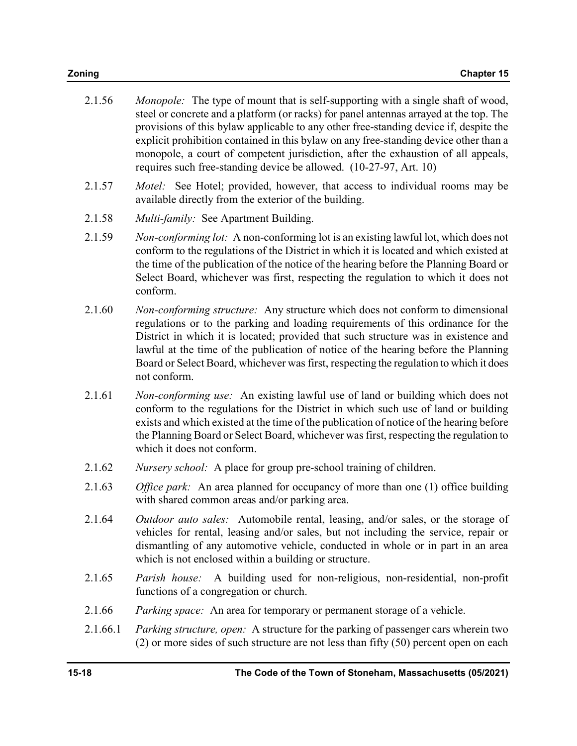| 2.1.56 | <i>Monopole:</i> The type of mount that is self-supporting with a single shaft of wood,<br>steel or concrete and a platform (or racks) for panel antennas arrayed at the top. The |
|--------|-----------------------------------------------------------------------------------------------------------------------------------------------------------------------------------|
|        | provisions of this bylaw applicable to any other free-standing device if, despite the<br>explicit prohibition contained in this bylaw on any free-standing device other than a    |
|        | monopole, a court of competent jurisdiction, after the exhaustion of all appeals,<br>requires such free-standing device be allowed. (10-27-97, Art. 10)                           |

- 2.1.57 Motel: See Hotel; provided, however, that access to individual rooms may be available directly from the exterior of the building.
- 2.1.58 Multi-family: See Apartment Building.
- 2.1.59 Non-conforming lot: A non-conforming lot is an existing lawful lot, which does not conform to the regulations of the District in which it is located and which existed at the time of the publication of the notice of the hearing before the Planning Board or Select Board, whichever was first, respecting the regulation to which it does not conform.
- 2.1.60 Non-conforming structure: Any structure which does not conform to dimensional regulations or to the parking and loading requirements of this ordinance for the District in which it is located; provided that such structure was in existence and lawful at the time of the publication of notice of the hearing before the Planning Board or Select Board, whichever was first, respecting the regulation to which it does not conform.
- 2.1.61 Non-conforming use: An existing lawful use of land or building which does not conform to the regulations for the District in which such use of land or building exists and which existed at the time of the publication of notice of the hearing before the Planning Board or Select Board, whichever was first, respecting the regulation to which it does not conform.
- 2.1.62 *Nursery school:* A place for group pre-school training of children.
- 2.1.63 Office park: An area planned for occupancy of more than one  $(1)$  office building with shared common areas and/or parking area.
- 2.1.64 Outdoor auto sales: Automobile rental, leasing, and/or sales, or the storage of vehicles for rental, leasing and/or sales, but not including the service, repair or dismantling of any automotive vehicle, conducted in whole or in part in an area which is not enclosed within a building or structure.
- 2.1.65 Parish house: A building used for non-religious, non-residential, non-profit functions of a congregation or church.
- 2.1.66 Parking space: An area for temporary or permanent storage of a vehicle.
- 2.1.66.1 Parking structure, open: A structure for the parking of passenger cars wherein two (2) or more sides of such structure are not less than fifty (50) percent open on each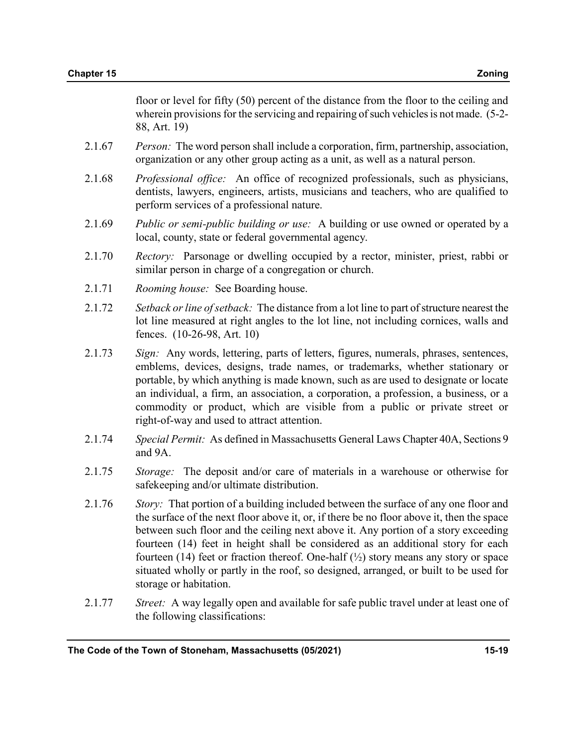floor or level for fifty (50) percent of the distance from the floor to the ceiling and wherein provisions for the servicing and repairing of such vehicles is not made. (5-2- 88, Art. 19)

- 2.1.67 Person: The word person shall include a corporation, firm, partnership, association, organization or any other group acting as a unit, as well as a natural person.
- 2.1.68 Professional office: An office of recognized professionals, such as physicians, dentists, lawyers, engineers, artists, musicians and teachers, who are qualified to perform services of a professional nature.
- 2.1.69 Public or semi-public building or use: A building or use owned or operated by a local, county, state or federal governmental agency.
- 2.1.70 Rectory: Parsonage or dwelling occupied by a rector, minister, priest, rabbi or similar person in charge of a congregation or church.
- 2.1.71 Rooming house: See Boarding house.
- 2.1.72 Setback or line of setback: The distance from a lot line to part of structure nearest the lot line measured at right angles to the lot line, not including cornices, walls and fences. (10-26-98, Art. 10)
- 2.1.73 Sign: Any words, lettering, parts of letters, figures, numerals, phrases, sentences, emblems, devices, designs, trade names, or trademarks, whether stationary or portable, by which anything is made known, such as are used to designate or locate an individual, a firm, an association, a corporation, a profession, a business, or a commodity or product, which are visible from a public or private street or right-of-way and used to attract attention.
- 2.1.74 Special Permit: As defined in Massachusetts General Laws Chapter 40A, Sections 9 and 9A.
- 2.1.75 Storage: The deposit and/or care of materials in a warehouse or otherwise for safekeeping and/or ultimate distribution.
- 2.1.76 Story: That portion of a building included between the surface of any one floor and the surface of the next floor above it, or, if there be no floor above it, then the space between such floor and the ceiling next above it. Any portion of a story exceeding fourteen (14) feet in height shall be considered as an additional story for each fourteen (14) feet or fraction thereof. One-half  $(\frac{1}{2})$  story means any story or space situated wholly or partly in the roof, so designed, arranged, or built to be used for storage or habitation.
- 2.1.77 Street: A way legally open and available for safe public travel under at least one of the following classifications: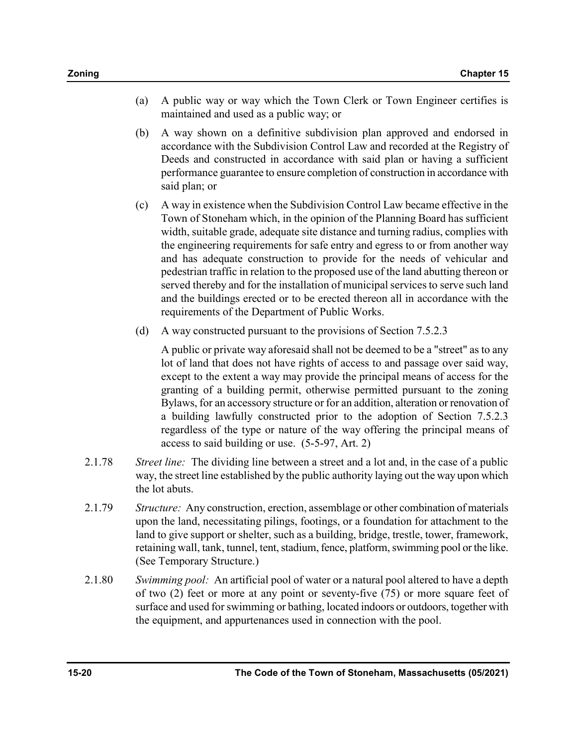- (a) A public way or way which the Town Clerk or Town Engineer certifies is maintained and used as a public way; or
- (b) A way shown on a definitive subdivision plan approved and endorsed in accordance with the Subdivision Control Law and recorded at the Registry of Deeds and constructed in accordance with said plan or having a sufficient performance guarantee to ensure completion of construction in accordance with said plan; or
- (c) A way in existence when the Subdivision Control Law became effective in the Town of Stoneham which, in the opinion of the Planning Board has sufficient width, suitable grade, adequate site distance and turning radius, complies with the engineering requirements for safe entry and egress to or from another way and has adequate construction to provide for the needs of vehicular and pedestrian traffic in relation to the proposed use of the land abutting thereon or served thereby and for the installation of municipal services to serve such land and the buildings erected or to be erected thereon all in accordance with the requirements of the Department of Public Works.
- (d) A way constructed pursuant to the provisions of Section 7.5.2.3

 A public or private way aforesaid shall not be deemed to be a "street" as to any lot of land that does not have rights of access to and passage over said way, except to the extent a way may provide the principal means of access for the granting of a building permit, otherwise permitted pursuant to the zoning Bylaws, for an accessory structure or for an addition, alteration or renovation of a building lawfully constructed prior to the adoption of Section 7.5.2.3 regardless of the type or nature of the way offering the principal means of access to said building or use. (5-5-97, Art. 2)

- 2.1.78 Street line: The dividing line between a street and a lot and, in the case of a public way, the street line established by the public authority laying out the way upon which the lot abuts.
- 2.1.79 Structure: Any construction, erection, assemblage or other combination of materials upon the land, necessitating pilings, footings, or a foundation for attachment to the land to give support or shelter, such as a building, bridge, trestle, tower, framework, retaining wall, tank, tunnel, tent, stadium, fence, platform, swimming pool or the like. (See Temporary Structure.)
- 2.1.80 Swimming pool: An artificial pool of water or a natural pool altered to have a depth of two (2) feet or more at any point or seventy-five (75) or more square feet of surface and used for swimming or bathing, located indoors or outdoors, together with the equipment, and appurtenances used in connection with the pool.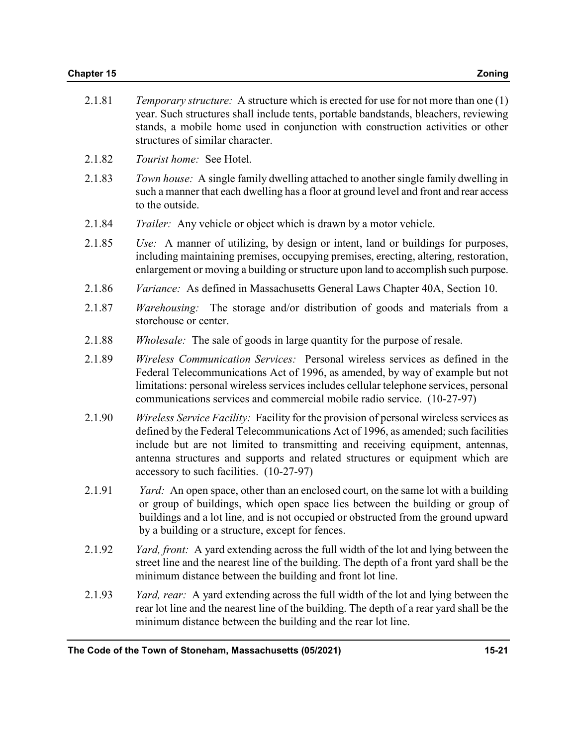| 2.1.81 | <i>Temporary structure:</i> A structure which is erected for use for not more than one (1)<br>year. Such structures shall include tents, portable bandstands, bleachers, reviewing<br>stands, a mobile home used in conjunction with construction activities or other<br>structures of similar character. |
|--------|-----------------------------------------------------------------------------------------------------------------------------------------------------------------------------------------------------------------------------------------------------------------------------------------------------------|
|        |                                                                                                                                                                                                                                                                                                           |

- 2.1.82 Tourist home: See Hotel.
- 2.1.83 Town house: A single family dwelling attached to another single family dwelling in such a manner that each dwelling has a floor at ground level and front and rear access to the outside.
- 2.1.84 Trailer: Any vehicle or object which is drawn by a motor vehicle.
- 2.1.85 Use: A manner of utilizing, by design or intent, land or buildings for purposes, including maintaining premises, occupying premises, erecting, altering, restoration, enlargement or moving a building or structure upon land to accomplish such purpose.
- 2.1.86 Variance: As defined in Massachusetts General Laws Chapter 40A, Section 10.
- 2.1.87 *Warehousing:* The storage and/or distribution of goods and materials from a storehouse or center.
- 2.1.88 Wholesale: The sale of goods in large quantity for the purpose of resale.
- 2.1.89 Wireless Communication Services: Personal wireless services as defined in the Federal Telecommunications Act of 1996, as amended, by way of example but not limitations: personal wireless services includes cellular telephone services, personal communications services and commercial mobile radio service. (10-27-97)
- 2.1.90 Wireless Service Facility: Facility for the provision of personal wireless services as defined by the Federal Telecommunications Act of 1996, as amended; such facilities include but are not limited to transmitting and receiving equipment, antennas, antenna structures and supports and related structures or equipment which are accessory to such facilities. (10-27-97)
- 2.1.91 *Yard:* An open space, other than an enclosed court, on the same lot with a building or group of buildings, which open space lies between the building or group of buildings and a lot line, and is not occupied or obstructed from the ground upward by a building or a structure, except for fences.
- 2.1.92 Yard, front: A yard extending across the full width of the lot and lying between the street line and the nearest line of the building. The depth of a front yard shall be the minimum distance between the building and front lot line.
- 2.1.93 Yard, rear: A yard extending across the full width of the lot and lying between the rear lot line and the nearest line of the building. The depth of a rear yard shall be the minimum distance between the building and the rear lot line.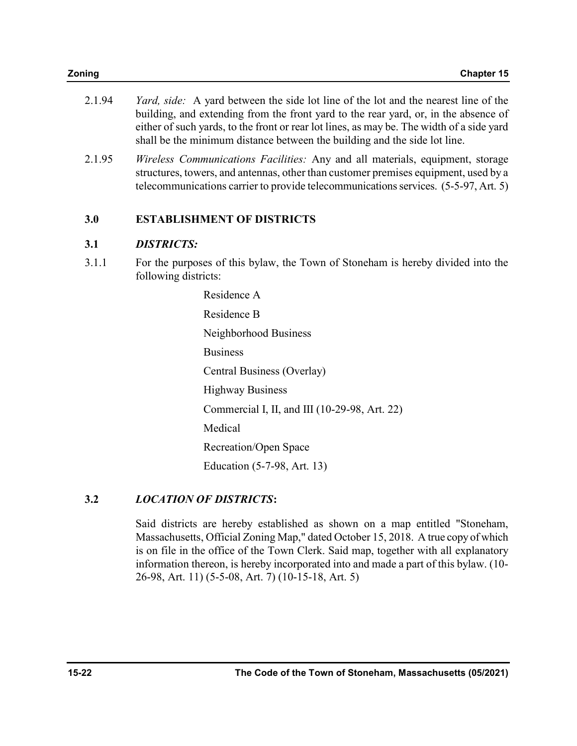| 2.1.94 | <i>Yard, side:</i> A yard between the side lot line of the lot and the nearest line of the |
|--------|--------------------------------------------------------------------------------------------|
|        | building, and extending from the front yard to the rear yard, or, in the absence of        |
|        | either of such yards, to the front or rear lot lines, as may be. The width of a side yard  |
|        | shall be the minimum distance between the building and the side lot line.                  |

2.1.95 *Wireless Communications Facilities:* Any and all materials, equipment, storage structures, towers, and antennas, other than customer premises equipment, used by a telecommunications carrier to provide telecommunications services. (5-5-97, Art. 5)

## 3.0 ESTABLISHMENT OF DISTRICTS

## 3.1 DISTRICTS:

3.1.1 For the purposes of this bylaw, the Town of Stoneham is hereby divided into the following districts:

> Residence A Residence B Neighborhood Business Business Central Business (Overlay) Highway Business Commercial I, II, and III (10-29-98, Art. 22) Medical Recreation/Open Space Education (5-7-98, Art. 13)

## 3.2 LOCATION OF DISTRICTS:

 Said districts are hereby established as shown on a map entitled "Stoneham, Massachusetts, Official Zoning Map," dated October 15, 2018. A true copy of which is on file in the office of the Town Clerk. Said map, together with all explanatory information thereon, is hereby incorporated into and made a part of this bylaw. (10- 26-98, Art. 11) (5-5-08, Art. 7) (10-15-18, Art. 5)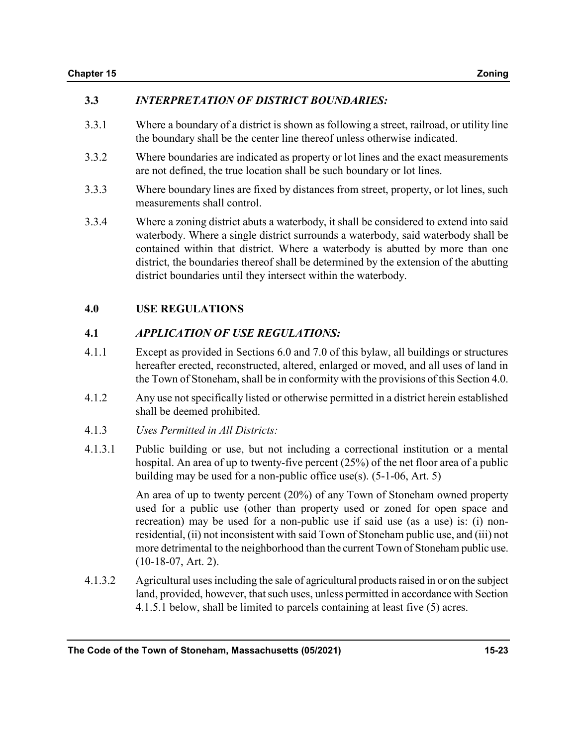## 3.3 INTERPRETATION OF DISTRICT BOUNDARIES:

- 3.3.1 Where a boundary of a district is shown as following a street, railroad, or utility line the boundary shall be the center line thereof unless otherwise indicated.
- 3.3.2 Where boundaries are indicated as property or lot lines and the exact measurements are not defined, the true location shall be such boundary or lot lines.
- 3.3.3 Where boundary lines are fixed by distances from street, property, or lot lines, such measurements shall control.
- 3.3.4 Where a zoning district abuts a waterbody, it shall be considered to extend into said waterbody. Where a single district surrounds a waterbody, said waterbody shall be contained within that district. Where a waterbody is abutted by more than one district, the boundaries thereof shall be determined by the extension of the abutting district boundaries until they intersect within the waterbody.

## 4.0 USE REGULATIONS

## 4.1 APPLICATION OF USE REGULATIONS:

- 4.1.1 Except as provided in Sections 6.0 and 7.0 of this bylaw, all buildings or structures hereafter erected, reconstructed, altered, enlarged or moved, and all uses of land in the Town of Stoneham, shall be in conformity with the provisions of this Section 4.0.
- 4.1.2 Any use not specifically listed or otherwise permitted in a district herein established shall be deemed prohibited.
- 4.1.3 Uses Permitted in All Districts:
- 4.1.3.1 Public building or use, but not including a correctional institution or a mental hospital. An area of up to twenty-five percent (25%) of the net floor area of a public building may be used for a non-public office use(s). (5-1-06, Art. 5)

 An area of up to twenty percent (20%) of any Town of Stoneham owned property used for a public use (other than property used or zoned for open space and recreation) may be used for a non-public use if said use (as a use) is: (i) nonresidential, (ii) not inconsistent with said Town of Stoneham public use, and (iii) not more detrimental to the neighborhood than the current Town of Stoneham public use. (10-18-07, Art. 2).

4.1.3.2 Agricultural uses including the sale of agricultural products raised in or on the subject land, provided, however, that such uses, unless permitted in accordance with Section 4.1.5.1 below, shall be limited to parcels containing at least five (5) acres.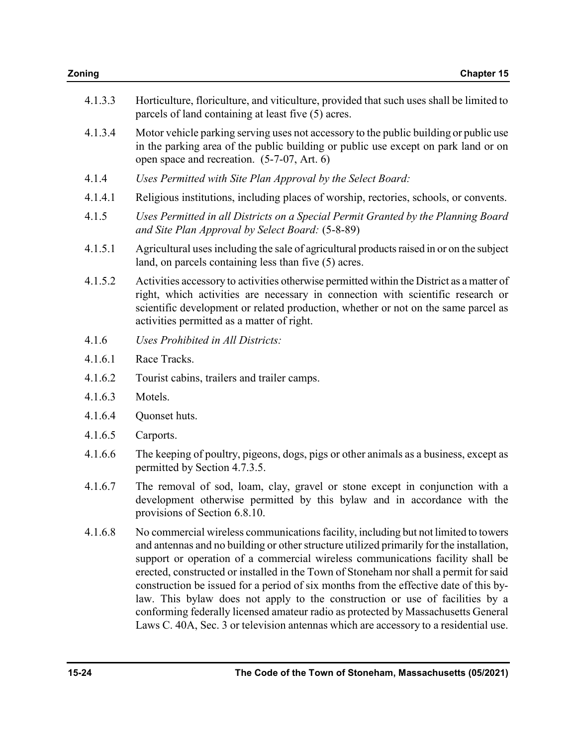| 4.1.3.3 | Horticulture, floriculture, and viticulture, provided that such uses shall be limited to<br>parcels of land containing at least five (5) acres.                                                                                                                                                                                                                                                                                                                                                                                                                                                                                                                                                                  |  |  |
|---------|------------------------------------------------------------------------------------------------------------------------------------------------------------------------------------------------------------------------------------------------------------------------------------------------------------------------------------------------------------------------------------------------------------------------------------------------------------------------------------------------------------------------------------------------------------------------------------------------------------------------------------------------------------------------------------------------------------------|--|--|
| 4.1.3.4 | Motor vehicle parking serving uses not accessory to the public building or public use<br>in the parking area of the public building or public use except on park land or on<br>open space and recreation. (5-7-07, Art. 6)                                                                                                                                                                                                                                                                                                                                                                                                                                                                                       |  |  |
| 4.1.4   | Uses Permitted with Site Plan Approval by the Select Board:                                                                                                                                                                                                                                                                                                                                                                                                                                                                                                                                                                                                                                                      |  |  |
| 4.1.4.1 | Religious institutions, including places of worship, rectories, schools, or convents.                                                                                                                                                                                                                                                                                                                                                                                                                                                                                                                                                                                                                            |  |  |
| 4.1.5   | Uses Permitted in all Districts on a Special Permit Granted by the Planning Board<br>and Site Plan Approval by Select Board: (5-8-89)                                                                                                                                                                                                                                                                                                                                                                                                                                                                                                                                                                            |  |  |
| 4.1.5.1 | Agricultural uses including the sale of agricultural products raised in or on the subject<br>land, on parcels containing less than five (5) acres.                                                                                                                                                                                                                                                                                                                                                                                                                                                                                                                                                               |  |  |
| 4.1.5.2 | Activities accessory to activities otherwise permitted within the District as a matter of<br>right, which activities are necessary in connection with scientific research or<br>scientific development or related production, whether or not on the same parcel as<br>activities permitted as a matter of right.                                                                                                                                                                                                                                                                                                                                                                                                 |  |  |
| 4.1.6   | Uses Prohibited in All Districts:                                                                                                                                                                                                                                                                                                                                                                                                                                                                                                                                                                                                                                                                                |  |  |
| 4.1.6.1 | Race Tracks.                                                                                                                                                                                                                                                                                                                                                                                                                                                                                                                                                                                                                                                                                                     |  |  |
| 4.1.6.2 | Tourist cabins, trailers and trailer camps.                                                                                                                                                                                                                                                                                                                                                                                                                                                                                                                                                                                                                                                                      |  |  |
| 4.1.6.3 | Motels.                                                                                                                                                                                                                                                                                                                                                                                                                                                                                                                                                                                                                                                                                                          |  |  |
| 4.1.6.4 | Quonset huts.                                                                                                                                                                                                                                                                                                                                                                                                                                                                                                                                                                                                                                                                                                    |  |  |
| 4.1.6.5 | Carports.                                                                                                                                                                                                                                                                                                                                                                                                                                                                                                                                                                                                                                                                                                        |  |  |
| 4.1.6.6 | The keeping of poultry, pigeons, dogs, pigs or other animals as a business, except as<br>permitted by Section 4.7.3.5.                                                                                                                                                                                                                                                                                                                                                                                                                                                                                                                                                                                           |  |  |
| 4.1.6.7 | The removal of sod, loam, clay, gravel or stone except in conjunction with a<br>development otherwise permitted by this bylaw and in accordance with the<br>provisions of Section 6.8.10.                                                                                                                                                                                                                                                                                                                                                                                                                                                                                                                        |  |  |
| 4.1.6.8 | No commercial wireless communications facility, including but not limited to towers<br>and antennas and no building or other structure utilized primarily for the installation,<br>support or operation of a commercial wireless communications facility shall be<br>erected, constructed or installed in the Town of Stoneham nor shall a permit for said<br>construction be issued for a period of six months from the effective date of this by-<br>law. This bylaw does not apply to the construction or use of facilities by a<br>conforming federally licensed amateur radio as protected by Massachusetts General<br>Laws C. 40A, Sec. 3 or television antennas which are accessory to a residential use. |  |  |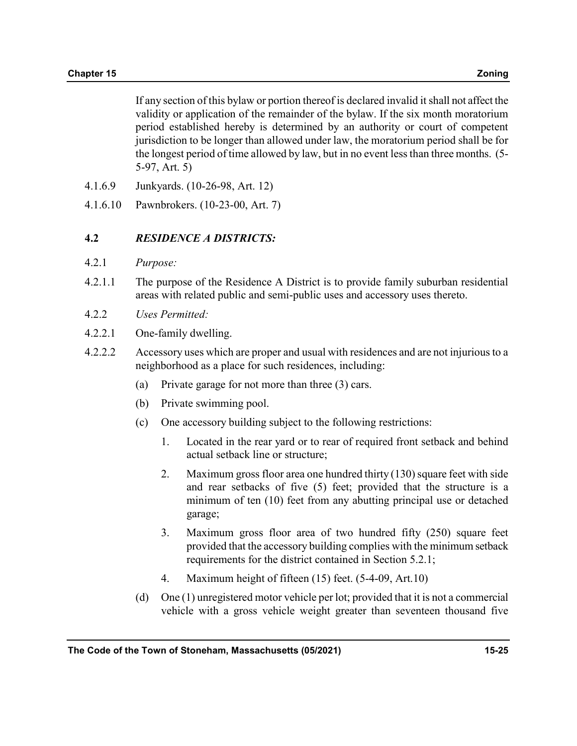If any section of this bylaw or portion thereof is declared invalid it shall not affect the validity or application of the remainder of the bylaw. If the six month moratorium period established hereby is determined by an authority or court of competent jurisdiction to be longer than allowed under law, the moratorium period shall be for the longest period of time allowed by law, but in no event less than three months. (5- 5-97, Art. 5)

- 4.1.6.9 Junkyards. (10-26-98, Art. 12)
- 4.1.6.10 Pawnbrokers. (10-23-00, Art. 7)

### 4.2 RESIDENCE A DISTRICTS:

- 4.2.1 Purpose:
- 4.2.1.1 The purpose of the Residence A District is to provide family suburban residential areas with related public and semi-public uses and accessory uses thereto.
- 4.2.2 Uses Permitted:
- 4.2.2.1 One-family dwelling.
- 4.2.2.2 Accessory uses which are proper and usual with residences and are not injurious to a neighborhood as a place for such residences, including:
	- (a) Private garage for not more than three (3) cars.
	- (b) Private swimming pool.
	- (c) One accessory building subject to the following restrictions:
		- 1. Located in the rear yard or to rear of required front setback and behind actual setback line or structure;
		- 2. Maximum gross floor area one hundred thirty (130) square feet with side and rear setbacks of five (5) feet; provided that the structure is a minimum of ten (10) feet from any abutting principal use or detached garage;
		- 3. Maximum gross floor area of two hundred fifty (250) square feet provided that the accessory building complies with the minimum setback requirements for the district contained in Section 5.2.1;
		- 4. Maximum height of fifteen (15) feet. (5-4-09, Art.10)
	- (d) One (1) unregistered motor vehicle per lot; provided that it is not a commercial vehicle with a gross vehicle weight greater than seventeen thousand five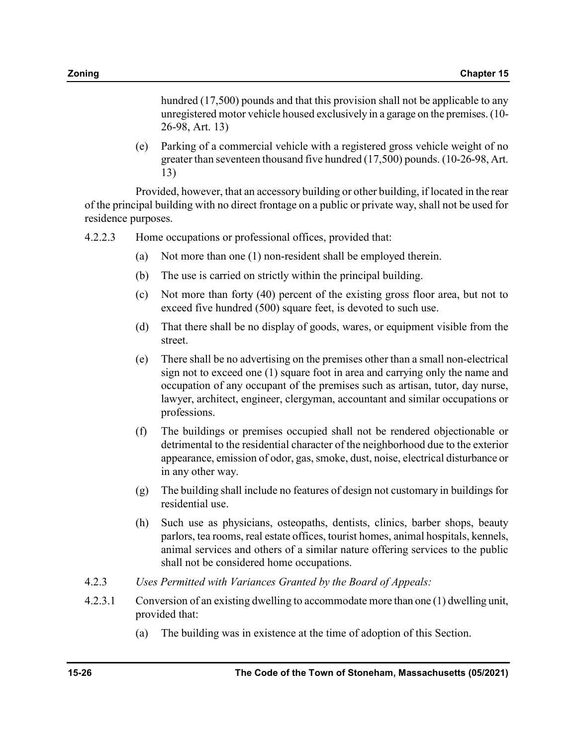hundred (17,500) pounds and that this provision shall not be applicable to any unregistered motor vehicle housed exclusively in a garage on the premises. (10- 26-98, Art. 13)

(e) Parking of a commercial vehicle with a registered gross vehicle weight of no greater than seventeen thousand five hundred (17,500) pounds. (10-26-98, Art. 13)

 Provided, however, that an accessory building or other building, if located in the rear of the principal building with no direct frontage on a public or private way, shall not be used for residence purposes.

- 4.2.2.3 Home occupations or professional offices, provided that:
	- (a) Not more than one (1) non-resident shall be employed therein.
	- (b) The use is carried on strictly within the principal building.
	- (c) Not more than forty (40) percent of the existing gross floor area, but not to exceed five hundred (500) square feet, is devoted to such use.
	- (d) That there shall be no display of goods, wares, or equipment visible from the street.
	- (e) There shall be no advertising on the premises other than a small non-electrical sign not to exceed one (1) square foot in area and carrying only the name and occupation of any occupant of the premises such as artisan, tutor, day nurse, lawyer, architect, engineer, clergyman, accountant and similar occupations or professions.
	- (f) The buildings or premises occupied shall not be rendered objectionable or detrimental to the residential character of the neighborhood due to the exterior appearance, emission of odor, gas, smoke, dust, noise, electrical disturbance or in any other way.
	- (g) The building shall include no features of design not customary in buildings for residential use.
	- (h) Such use as physicians, osteopaths, dentists, clinics, barber shops, beauty parlors, tea rooms, real estate offices, tourist homes, animal hospitals, kennels, animal services and others of a similar nature offering services to the public shall not be considered home occupations.
- 4.2.3 Uses Permitted with Variances Granted by the Board of Appeals:
- 4.2.3.1 Conversion of an existing dwelling to accommodate more than one (1) dwelling unit, provided that:
	- (a) The building was in existence at the time of adoption of this Section.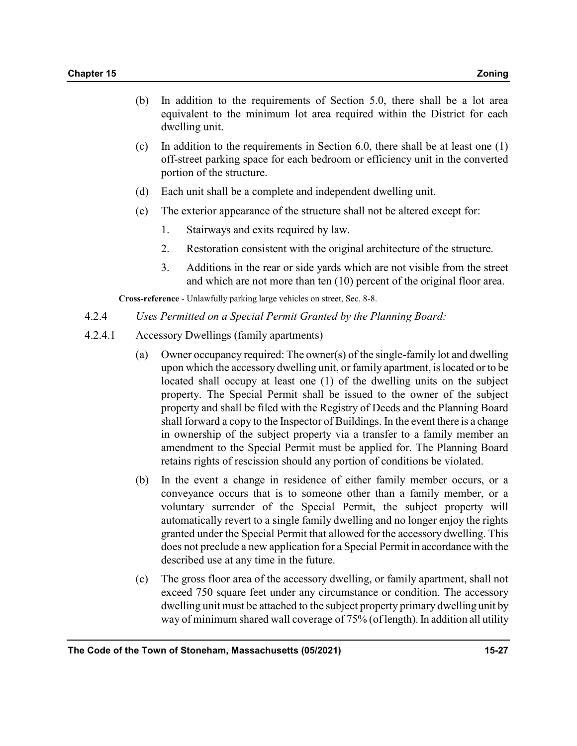- (b) In addition to the requirements of Section 5.0, there shall be a lot area equivalent to the minimum lot area required within the District for each dwelling unit.
- (c) In addition to the requirements in Section 6.0, there shall be at least one  $(1)$ off-street parking space for each bedroom or efficiency unit in the converted portion of the structure.
- (d) Each unit shall be a complete and independent dwelling unit.
- (e) The exterior appearance of the structure shall not be altered except for:
	- 1. Stairways and exits required by law.
	- 2. Restoration consistent with the original architecture of the structure.
	- 3. Additions in the rear or side yards which are not visible from the street and which are not more than ten (10) percent of the original floor area.

Cross-reference - Unlawfully parking large vehicles on street, Sec. 8-8.

- 4.2.4 Uses Permitted on a Special Permit Granted by the Planning Board:
- 4.2.4.1 Accessory Dwellings (family apartments)
	- (a) Owner occupancy required: The owner(s) of the single-family lot and dwelling upon which the accessory dwelling unit, or family apartment, is located or to be located shall occupy at least one (1) of the dwelling units on the subject property. The Special Permit shall be issued to the owner of the subject property and shall be filed with the Registry of Deeds and the Planning Board shall forward a copy to the Inspector of Buildings. In the event there is a change in ownership of the subject property via a transfer to a family member an amendment to the Special Permit must be applied for. The Planning Board retains rights of rescission should any portion of conditions be violated.
	- (b) In the event a change in residence of either family member occurs, or a conveyance occurs that is to someone other than a family member, or a voluntary surrender of the Special Permit, the subject property will automatically revert to a single family dwelling and no longer enjoy the rights granted under the Special Permit that allowed for the accessory dwelling. This does not preclude a new application for a Special Permit in accordance with the described use at any time in the future.
	- (c) The gross floor area of the accessory dwelling, or family apartment, shall not exceed 750 square feet under any circumstance or condition. The accessory dwelling unit must be attached to the subject property primary dwelling unit by way of minimum shared wall coverage of 75% (of length). In addition all utility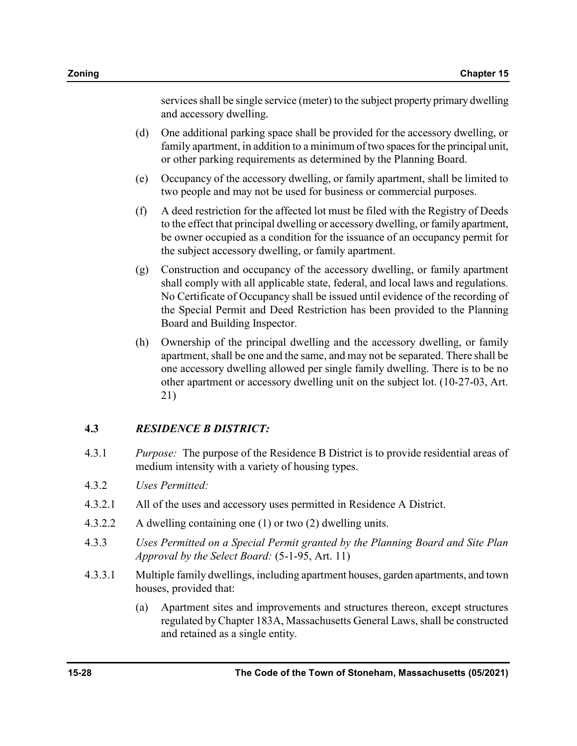services shall be single service (meter) to the subject property primary dwelling and accessory dwelling.

- (d) One additional parking space shall be provided for the accessory dwelling, or family apartment, in addition to a minimum of two spaces for the principal unit, or other parking requirements as determined by the Planning Board.
- (e) Occupancy of the accessory dwelling, or family apartment, shall be limited to two people and may not be used for business or commercial purposes.
- (f) A deed restriction for the affected lot must be filed with the Registry of Deeds to the effect that principal dwelling or accessory dwelling, or family apartment, be owner occupied as a condition for the issuance of an occupancy permit for the subject accessory dwelling, or family apartment.
- (g) Construction and occupancy of the accessory dwelling, or family apartment shall comply with all applicable state, federal, and local laws and regulations. No Certificate of Occupancy shall be issued until evidence of the recording of the Special Permit and Deed Restriction has been provided to the Planning Board and Building Inspector.
- (h) Ownership of the principal dwelling and the accessory dwelling, or family apartment, shall be one and the same, and may not be separated. There shall be one accessory dwelling allowed per single family dwelling. There is to be no other apartment or accessory dwelling unit on the subject lot. (10-27-03, Art. 21)

## 4.3 RESIDENCE B DISTRICT:

- 4.3.1 Purpose: The purpose of the Residence B District is to provide residential areas of medium intensity with a variety of housing types.
- 4.3.2 Uses Permitted:
- 4.3.2.1 All of the uses and accessory uses permitted in Residence A District.
- 4.3.2.2 A dwelling containing one (1) or two (2) dwelling units.
- 4.3.3 Uses Permitted on a Special Permit granted by the Planning Board and Site Plan Approval by the Select Board: (5-1-95, Art. 11)
- 4.3.3.1 Multiple family dwellings, including apartment houses, garden apartments, and town houses, provided that:
	- (a) Apartment sites and improvements and structures thereon, except structures regulated by Chapter 183A, Massachusetts General Laws, shall be constructed and retained as a single entity.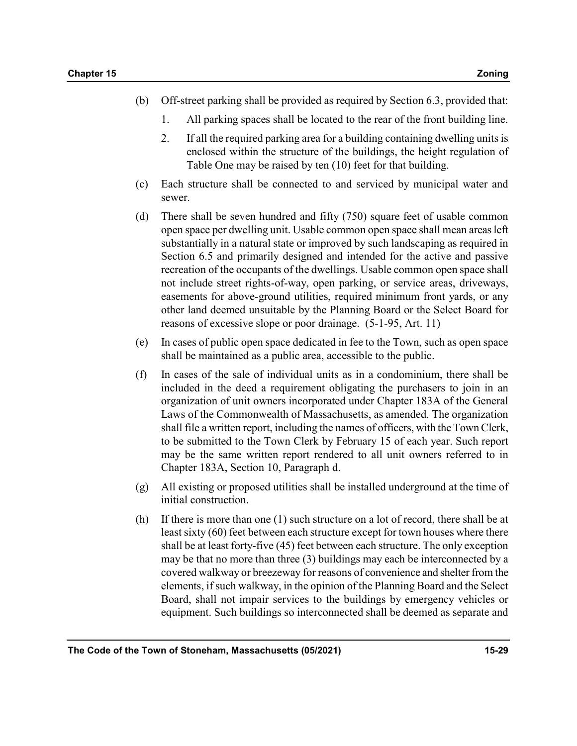- (b) Off-street parking shall be provided as required by Section 6.3, provided that:
	- 1. All parking spaces shall be located to the rear of the front building line.
	- 2. If all the required parking area for a building containing dwelling units is enclosed within the structure of the buildings, the height regulation of Table One may be raised by ten (10) feet for that building.
- (c) Each structure shall be connected to and serviced by municipal water and sewer.
- (d) There shall be seven hundred and fifty (750) square feet of usable common open space per dwelling unit. Usable common open space shall mean areas left substantially in a natural state or improved by such landscaping as required in Section 6.5 and primarily designed and intended for the active and passive recreation of the occupants of the dwellings. Usable common open space shall not include street rights-of-way, open parking, or service areas, driveways, easements for above-ground utilities, required minimum front yards, or any other land deemed unsuitable by the Planning Board or the Select Board for reasons of excessive slope or poor drainage. (5-1-95, Art. 11)
- (e) In cases of public open space dedicated in fee to the Town, such as open space shall be maintained as a public area, accessible to the public.
- (f) In cases of the sale of individual units as in a condominium, there shall be included in the deed a requirement obligating the purchasers to join in an organization of unit owners incorporated under Chapter 183A of the General Laws of the Commonwealth of Massachusetts, as amended. The organization shall file a written report, including the names of officers, with the Town Clerk, to be submitted to the Town Clerk by February 15 of each year. Such report may be the same written report rendered to all unit owners referred to in Chapter 183A, Section 10, Paragraph d.
- (g) All existing or proposed utilities shall be installed underground at the time of initial construction.
- (h) If there is more than one (1) such structure on a lot of record, there shall be at least sixty (60) feet between each structure except for town houses where there shall be at least forty-five (45) feet between each structure. The only exception may be that no more than three (3) buildings may each be interconnected by a covered walkway or breezeway for reasons of convenience and shelter from the elements, if such walkway, in the opinion of the Planning Board and the Select Board, shall not impair services to the buildings by emergency vehicles or equipment. Such buildings so interconnected shall be deemed as separate and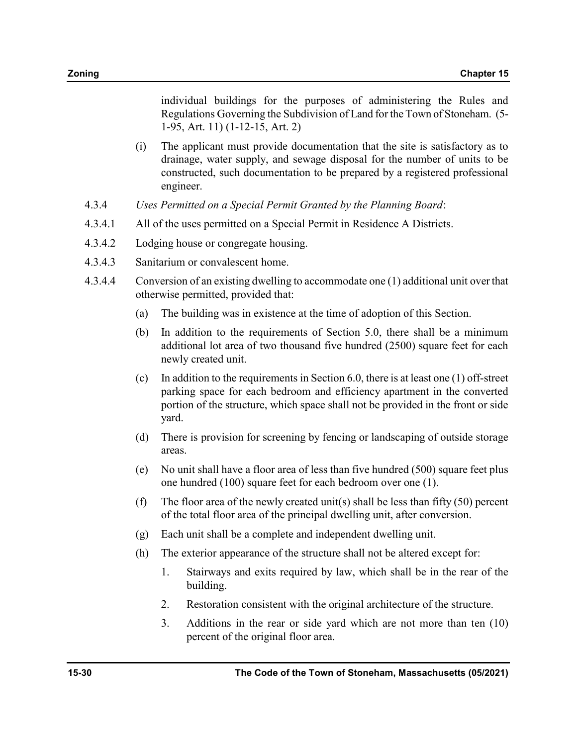individual buildings for the purposes of administering the Rules and Regulations Governing the Subdivision of Land for the Town of Stoneham. (5- 1-95, Art. 11) (1-12-15, Art. 2)

- (i) The applicant must provide documentation that the site is satisfactory as to drainage, water supply, and sewage disposal for the number of units to be constructed, such documentation to be prepared by a registered professional engineer.
- 4.3.4 Uses Permitted on a Special Permit Granted by the Planning Board:
- 4.3.4.1 All of the uses permitted on a Special Permit in Residence A Districts.
- 4.3.4.2 Lodging house or congregate housing.
- 4.3.4.3 Sanitarium or convalescent home.
- 4.3.4.4 Conversion of an existing dwelling to accommodate one (1) additional unit over that otherwise permitted, provided that:
	- (a) The building was in existence at the time of adoption of this Section.
	- (b) In addition to the requirements of Section 5.0, there shall be a minimum additional lot area of two thousand five hundred (2500) square feet for each newly created unit.
	- (c) In addition to the requirements in Section 6.0, there is at least one  $(1)$  off-street parking space for each bedroom and efficiency apartment in the converted portion of the structure, which space shall not be provided in the front or side yard.
	- (d) There is provision for screening by fencing or landscaping of outside storage areas.
	- (e) No unit shall have a floor area of less than five hundred (500) square feet plus one hundred (100) square feet for each bedroom over one (1).
	- (f) The floor area of the newly created unit(s) shall be less than fifty  $(50)$  percent of the total floor area of the principal dwelling unit, after conversion.
	- (g) Each unit shall be a complete and independent dwelling unit.
	- (h) The exterior appearance of the structure shall not be altered except for:
		- 1. Stairways and exits required by law, which shall be in the rear of the building.
		- 2. Restoration consistent with the original architecture of the structure.
		- 3. Additions in the rear or side yard which are not more than ten (10) percent of the original floor area.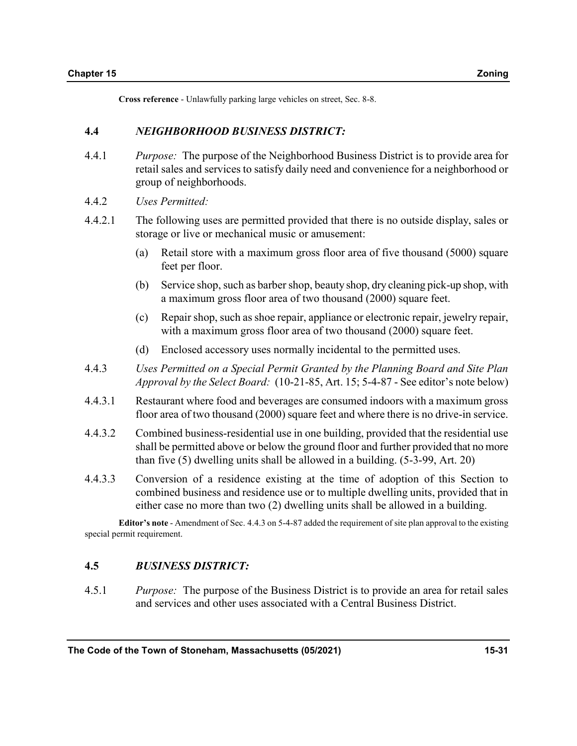Cross reference - Unlawfully parking large vehicles on street, Sec. 8-8.

#### 4.4 NEIGHBORHOOD BUSINESS DISTRICT:

- 4.4.1 Purpose: The purpose of the Neighborhood Business District is to provide area for retail sales and services to satisfy daily need and convenience for a neighborhood or group of neighborhoods.
- 4.4.2 Uses Permitted:
- 4.4.2.1 The following uses are permitted provided that there is no outside display, sales or storage or live or mechanical music or amusement:
	- (a) Retail store with a maximum gross floor area of five thousand (5000) square feet per floor.
	- (b) Service shop, such as barber shop, beauty shop, dry cleaning pick-up shop, with a maximum gross floor area of two thousand (2000) square feet.
	- (c) Repair shop, such as shoe repair, appliance or electronic repair, jewelry repair, with a maximum gross floor area of two thousand (2000) square feet.
	- (d) Enclosed accessory uses normally incidental to the permitted uses.
- 4.4.3 Uses Permitted on a Special Permit Granted by the Planning Board and Site Plan Approval by the Select Board: (10-21-85, Art. 15; 5-4-87 - See editor's note below)
- 4.4.3.1 Restaurant where food and beverages are consumed indoors with a maximum gross floor area of two thousand (2000) square feet and where there is no drive-in service.
- 4.4.3.2 Combined business-residential use in one building, provided that the residential use shall be permitted above or below the ground floor and further provided that no more than five (5) dwelling units shall be allowed in a building. (5-3-99, Art. 20)
- 4.4.3.3 Conversion of a residence existing at the time of adoption of this Section to combined business and residence use or to multiple dwelling units, provided that in either case no more than two (2) dwelling units shall be allowed in a building.

Editor's note - Amendment of Sec. 4.4.3 on 5-4-87 added the requirement of site plan approval to the existing special permit requirement.

### 4.5 BUSINESS DISTRICT:

4.5.1 Purpose: The purpose of the Business District is to provide an area for retail sales and services and other uses associated with a Central Business District.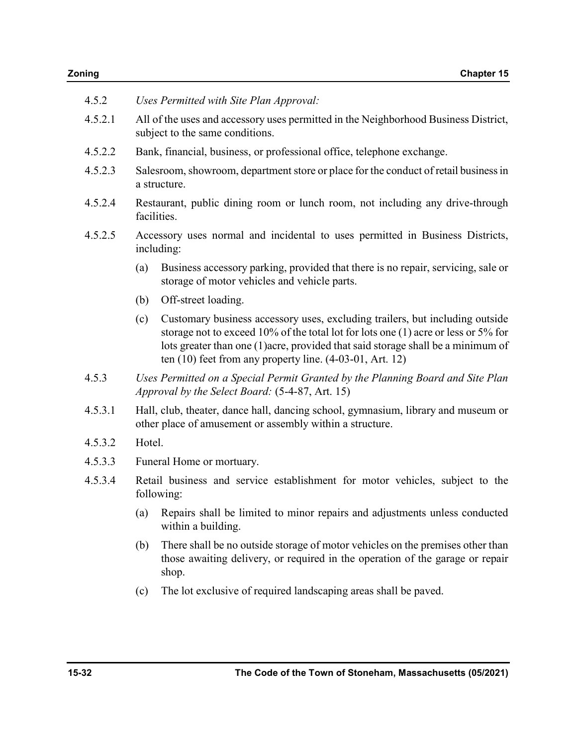| 4.5.2   | Uses Permitted with Site Plan Approval:                                                                                                       |                                                                                                                                                                                                                                                                                                                          |  |  |  |
|---------|-----------------------------------------------------------------------------------------------------------------------------------------------|--------------------------------------------------------------------------------------------------------------------------------------------------------------------------------------------------------------------------------------------------------------------------------------------------------------------------|--|--|--|
| 4.5.2.1 | All of the uses and accessory uses permitted in the Neighborhood Business District,<br>subject to the same conditions.                        |                                                                                                                                                                                                                                                                                                                          |  |  |  |
| 4.5.2.2 | Bank, financial, business, or professional office, telephone exchange.                                                                        |                                                                                                                                                                                                                                                                                                                          |  |  |  |
| 4.5.2.3 | Salesroom, showroom, department store or place for the conduct of retail business in<br>a structure.                                          |                                                                                                                                                                                                                                                                                                                          |  |  |  |
| 4.5.2.4 | Restaurant, public dining room or lunch room, not including any drive-through<br>facilities.                                                  |                                                                                                                                                                                                                                                                                                                          |  |  |  |
| 4.5.2.5 | Accessory uses normal and incidental to uses permitted in Business Districts,<br>including:                                                   |                                                                                                                                                                                                                                                                                                                          |  |  |  |
|         | (a)                                                                                                                                           | Business accessory parking, provided that there is no repair, servicing, sale or<br>storage of motor vehicles and vehicle parts.                                                                                                                                                                                         |  |  |  |
|         | (b)                                                                                                                                           | Off-street loading.                                                                                                                                                                                                                                                                                                      |  |  |  |
|         | (c)                                                                                                                                           | Customary business accessory uses, excluding trailers, but including outside<br>storage not to exceed 10% of the total lot for lots one $(1)$ acre or less or 5% for<br>lots greater than one (1) acre, provided that said storage shall be a minimum of<br>ten $(10)$ feet from any property line. $(4-03-01, Art. 12)$ |  |  |  |
| 4.5.3   | Uses Permitted on a Special Permit Granted by the Planning Board and Site Plan<br>Approval by the Select Board: (5-4-87, Art. 15)             |                                                                                                                                                                                                                                                                                                                          |  |  |  |
| 4.5.3.1 | Hall, club, theater, dance hall, dancing school, gymnasium, library and museum or<br>other place of amusement or assembly within a structure. |                                                                                                                                                                                                                                                                                                                          |  |  |  |
| 4.5.3.2 | Hotel.                                                                                                                                        |                                                                                                                                                                                                                                                                                                                          |  |  |  |
| 4.5.3.3 | Funeral Home or mortuary.                                                                                                                     |                                                                                                                                                                                                                                                                                                                          |  |  |  |
| 4.5.3.4 | Retail business and service establishment for motor vehicles, subject to the<br>following:                                                    |                                                                                                                                                                                                                                                                                                                          |  |  |  |
|         | (a)                                                                                                                                           | Repairs shall be limited to minor repairs and adjustments unless conducted<br>within a building.                                                                                                                                                                                                                         |  |  |  |
|         | (b)                                                                                                                                           | There shall be no outside storage of motor vehicles on the premises other than<br>those awaiting delivery, or required in the operation of the garage or repair<br>shop.                                                                                                                                                 |  |  |  |
|         | (c)                                                                                                                                           | The lot exclusive of required landscaping areas shall be paved.                                                                                                                                                                                                                                                          |  |  |  |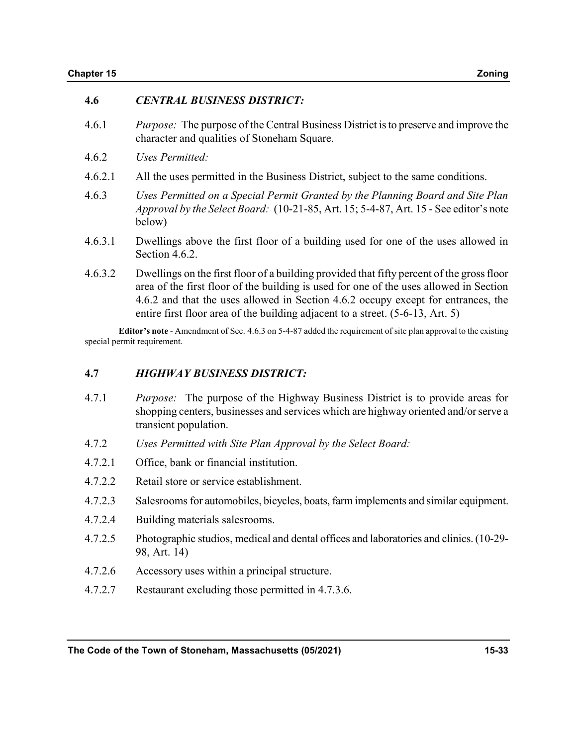#### 4.6 CENTRAL BUSINESS DISTRICT:

- 4.6.1 Purpose: The purpose of the Central Business District is to preserve and improve the character and qualities of Stoneham Square.
- 4.6.2 Uses Permitted:
- 4.6.2.1 All the uses permitted in the Business District, subject to the same conditions.
- 4.6.3 Uses Permitted on a Special Permit Granted by the Planning Board and Site Plan Approval by the Select Board: (10-21-85, Art. 15; 5-4-87, Art. 15 - See editor's note below)
- 4.6.3.1 Dwellings above the first floor of a building used for one of the uses allowed in Section 4.6.2.
- 4.6.3.2 Dwellings on the first floor of a building provided that fifty percent of the gross floor area of the first floor of the building is used for one of the uses allowed in Section 4.6.2 and that the uses allowed in Section 4.6.2 occupy except for entrances, the entire first floor area of the building adjacent to a street. (5-6-13, Art. 5)

Editor's note - Amendment of Sec. 4.6.3 on 5-4-87 added the requirement of site plan approval to the existing special permit requirement.

#### 4.7 HIGHWAY BUSINESS DISTRICT:

- 4.7.1 Purpose: The purpose of the Highway Business District is to provide areas for shopping centers, businesses and services which are highway oriented and/or serve a transient population.
- 4.7.2 Uses Permitted with Site Plan Approval by the Select Board:
- 4.7.2.1 Office, bank or financial institution.
- 4.7.2.2 Retail store or service establishment.
- 4.7.2.3 Salesrooms for automobiles, bicycles, boats, farm implements and similar equipment.
- 4.7.2.4 Building materials salesrooms.
- 4.7.2.5 Photographic studios, medical and dental offices and laboratories and clinics. (10-29- 98, Art. 14)
- 4.7.2.6 Accessory uses within a principal structure.
- 4.7.2.7 Restaurant excluding those permitted in 4.7.3.6.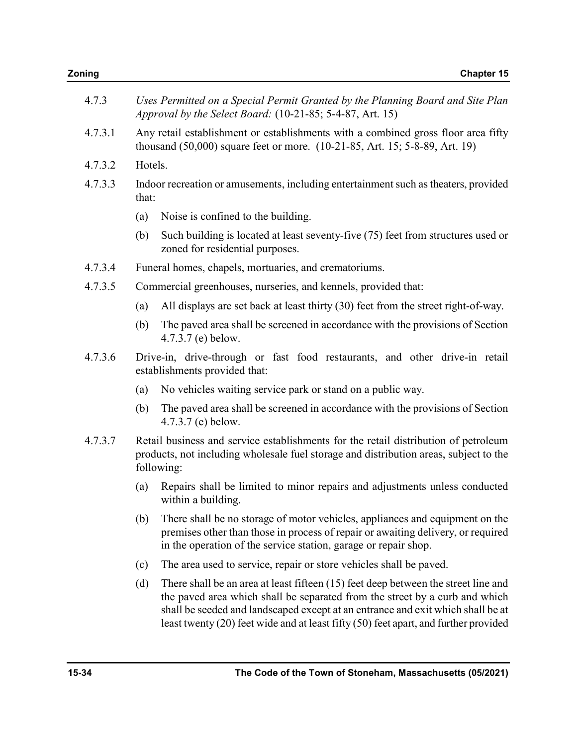| Zoning  |                                                                                                                                                                  | <b>Chapter 15</b>                                                                                                                                                                                                                                    |  |  |
|---------|------------------------------------------------------------------------------------------------------------------------------------------------------------------|------------------------------------------------------------------------------------------------------------------------------------------------------------------------------------------------------------------------------------------------------|--|--|
| 4.7.3   | Uses Permitted on a Special Permit Granted by the Planning Board and Site Plan<br>Approval by the Select Board: (10-21-85; 5-4-87, Art. 15)                      |                                                                                                                                                                                                                                                      |  |  |
| 4.7.3.1 | Any retail establishment or establishments with a combined gross floor area fifty<br>thousand (50,000) square feet or more. (10-21-85, Art. 15; 5-8-89, Art. 19) |                                                                                                                                                                                                                                                      |  |  |
| 4.7.3.2 | Hotels.                                                                                                                                                          |                                                                                                                                                                                                                                                      |  |  |
| 4.7.3.3 | that:                                                                                                                                                            | Indoor recreation or amusements, including entertainment such as the aters, provided                                                                                                                                                                 |  |  |
|         | (a)                                                                                                                                                              | Noise is confined to the building.                                                                                                                                                                                                                   |  |  |
|         | (b)                                                                                                                                                              | Such building is located at least seventy-five (75) feet from structures used or<br>zoned for residential purposes.                                                                                                                                  |  |  |
| 4.7.3.4 |                                                                                                                                                                  | Funeral homes, chapels, mortuaries, and crematoriums.                                                                                                                                                                                                |  |  |
| 4.7.3.5 |                                                                                                                                                                  | Commercial greenhouses, nurseries, and kennels, provided that:                                                                                                                                                                                       |  |  |
|         | (a)                                                                                                                                                              | All displays are set back at least thirty (30) feet from the street right-of-way.                                                                                                                                                                    |  |  |
|         | (b)                                                                                                                                                              | The paved area shall be screened in accordance with the provisions of Section<br>4.7.3.7 (e) below.                                                                                                                                                  |  |  |
| 4.7.3.6 | Drive-in, drive-through or fast food restaurants, and other drive-in retail<br>establishments provided that:                                                     |                                                                                                                                                                                                                                                      |  |  |
|         | (a)                                                                                                                                                              | No vehicles waiting service park or stand on a public way.                                                                                                                                                                                           |  |  |
|         | (b)                                                                                                                                                              | The paved area shall be screened in accordance with the provisions of Section<br>4.7.3.7 (e) below.                                                                                                                                                  |  |  |
| 4.7.3.7 |                                                                                                                                                                  | Retail business and service establishments for the retail distribution of petroleum<br>products, not including wholesale fuel storage and distribution areas, subject to the<br>following:                                                           |  |  |
|         |                                                                                                                                                                  | (a) Repairs shall be limited to minor repairs and adjustments unless conducted<br>within a building.                                                                                                                                                 |  |  |
|         | (b)                                                                                                                                                              | There shall be no storage of motor vehicles, appliances and equipment on the<br>premises other than those in process of repair or awaiting delivery, or required<br>in the operation of the service station, garage or repair shop.                  |  |  |
|         | (c)                                                                                                                                                              | The area used to service, repair or store vehicles shall be paved.                                                                                                                                                                                   |  |  |
|         | (d)                                                                                                                                                              | There shall be an area at least fifteen (15) feet deep between the street line and<br>the paved area which shall be separated from the street by a curb and which<br>shall be seeded and landscaped except at an entrance and exit which shall be at |  |  |

least twenty (20) feet wide and at least fifty (50) feet apart, and further provided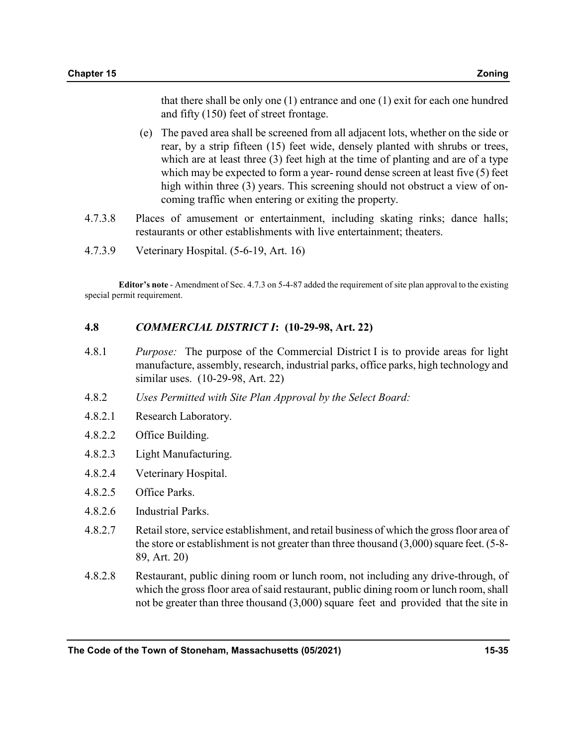that there shall be only one (1) entrance and one (1) exit for each one hundred and fifty (150) feet of street frontage.

- (e) The paved area shall be screened from all adjacent lots, whether on the side or rear, by a strip fifteen (15) feet wide, densely planted with shrubs or trees, which are at least three (3) feet high at the time of planting and are of a type which may be expected to form a year- round dense screen at least five (5) feet high within three (3) years. This screening should not obstruct a view of oncoming traffic when entering or exiting the property.
- 4.7.3.8 Places of amusement or entertainment, including skating rinks; dance halls; restaurants or other establishments with live entertainment; theaters.
- 4.7.3.9 Veterinary Hospital. (5-6-19, Art. 16)

Editor's note - Amendment of Sec. 4.7.3 on 5-4-87 added the requirement of site plan approval to the existing special permit requirement.

#### 4.8 COMMERCIAL DISTRICT I: (10-29-98, Art. 22)

- 4.8.1 Purpose: The purpose of the Commercial District I is to provide areas for light manufacture, assembly, research, industrial parks, office parks, high technology and similar uses. (10-29-98, Art. 22)
- 4.8.2 Uses Permitted with Site Plan Approval by the Select Board:
- 4.8.2.1 Research Laboratory.
- 4.8.2.2 Office Building.
- 4.8.2.3 Light Manufacturing.
- 4.8.2.4 Veterinary Hospital.
- 4.8.2.5 Office Parks.
- 4.8.2.6 Industrial Parks.
- 4.8.2.7 Retail store, service establishment, and retail business of which the gross floor area of the store or establishment is not greater than three thousand  $(3,000)$  square feet.  $(5-8-)$ 89, Art. 20)
- 4.8.2.8 Restaurant, public dining room or lunch room, not including any drive-through, of which the gross floor area of said restaurant, public dining room or lunch room, shall not be greater than three thousand (3,000) square feet and provided that the site in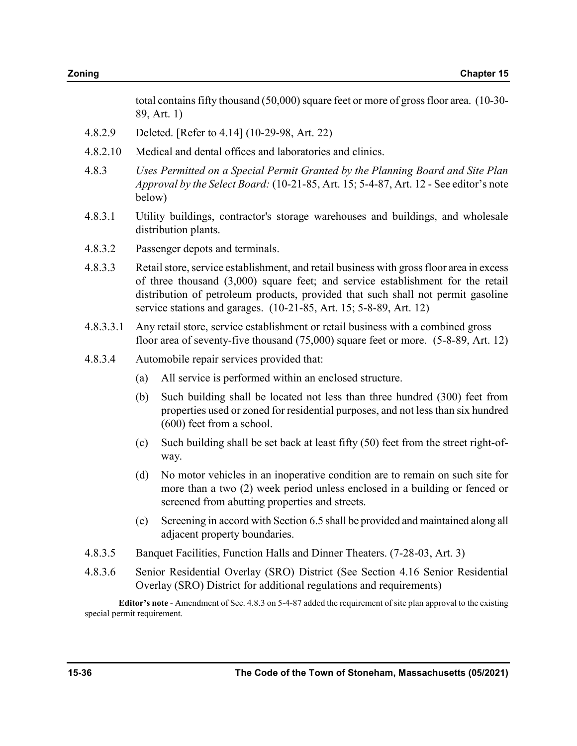total contains fifty thousand (50,000) square feet or more of gross floor area. (10-30- 89, Art. 1)

- 4.8.2.9 Deleted. [Refer to 4.14] (10-29-98, Art. 22)
- 4.8.2.10 Medical and dental offices and laboratories and clinics.
- 4.8.3 Uses Permitted on a Special Permit Granted by the Planning Board and Site Plan Approval by the Select Board: (10-21-85, Art. 15; 5-4-87, Art. 12 - See editor's note below)
- 4.8.3.1 Utility buildings, contractor's storage warehouses and buildings, and wholesale distribution plants.
- 4.8.3.2 Passenger depots and terminals.
- 4.8.3.3 Retail store, service establishment, and retail business with gross floor area in excess of three thousand (3,000) square feet; and service establishment for the retail distribution of petroleum products, provided that such shall not permit gasoline service stations and garages. (10-21-85, Art. 15; 5-8-89, Art. 12)
- 4.8.3.3.1 Any retail store, service establishment or retail business with a combined gross floor area of seventy-five thousand (75,000) square feet or more. (5-8-89, Art. 12)
- 4.8.3.4 Automobile repair services provided that:
	- (a) All service is performed within an enclosed structure.
	- (b) Such building shall be located not less than three hundred (300) feet from properties used or zoned for residential purposes, and not less than six hundred (600) feet from a school.
	- (c) Such building shall be set back at least fifty (50) feet from the street right-ofway.
	- (d) No motor vehicles in an inoperative condition are to remain on such site for more than a two (2) week period unless enclosed in a building or fenced or screened from abutting properties and streets.
	- (e) Screening in accord with Section 6.5 shall be provided and maintained along all adjacent property boundaries.
- 4.8.3.5 Banquet Facilities, Function Halls and Dinner Theaters. (7-28-03, Art. 3)
- 4.8.3.6 Senior Residential Overlay (SRO) District (See Section 4.16 Senior Residential Overlay (SRO) District for additional regulations and requirements)

Editor's note - Amendment of Sec. 4.8.3 on 5-4-87 added the requirement of site plan approval to the existing special permit requirement.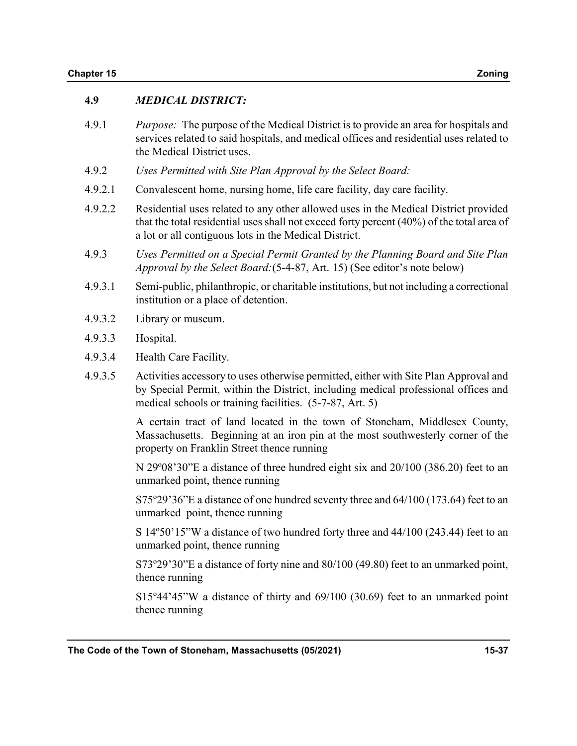## 4.9 MEDICAL DISTRICT:

- 4.9.1 Purpose: The purpose of the Medical District is to provide an area for hospitals and services related to said hospitals, and medical offices and residential uses related to the Medical District uses.
- 4.9.2 Uses Permitted with Site Plan Approval by the Select Board:
- 4.9.2.1 Convalescent home, nursing home, life care facility, day care facility.
- 4.9.2.2 Residential uses related to any other allowed uses in the Medical District provided that the total residential uses shall not exceed forty percent (40%) of the total area of a lot or all contiguous lots in the Medical District.
- 4.9.3 Uses Permitted on a Special Permit Granted by the Planning Board and Site Plan Approval by the Select Board:(5-4-87, Art. 15) (See editor's note below)
- 4.9.3.1 Semi-public, philanthropic, or charitable institutions, but not including a correctional institution or a place of detention.
- 4.9.3.2 Library or museum.
- 4.9.3.3 Hospital.
- 4.9.3.4 Health Care Facility.
- 4.9.3.5 Activities accessory to uses otherwise permitted, either with Site Plan Approval and by Special Permit, within the District, including medical professional offices and medical schools or training facilities. (5-7-87, Art. 5)

 A certain tract of land located in the town of Stoneham, Middlesex County, Massachusetts. Beginning at an iron pin at the most southwesterly corner of the property on Franklin Street thence running

 N 29º08'30"E a distance of three hundred eight six and 20/100 (386.20) feet to an unmarked point, thence running

 S75º29'36"E a distance of one hundred seventy three and 64/100 (173.64) feet to an unmarked point, thence running

 S 14º50'15"W a distance of two hundred forty three and 44/100 (243.44) feet to an unmarked point, thence running

 S73º29'30"E a distance of forty nine and 80/100 (49.80) feet to an unmarked point, thence running

 S15º44'45"W a distance of thirty and 69/100 (30.69) feet to an unmarked point thence running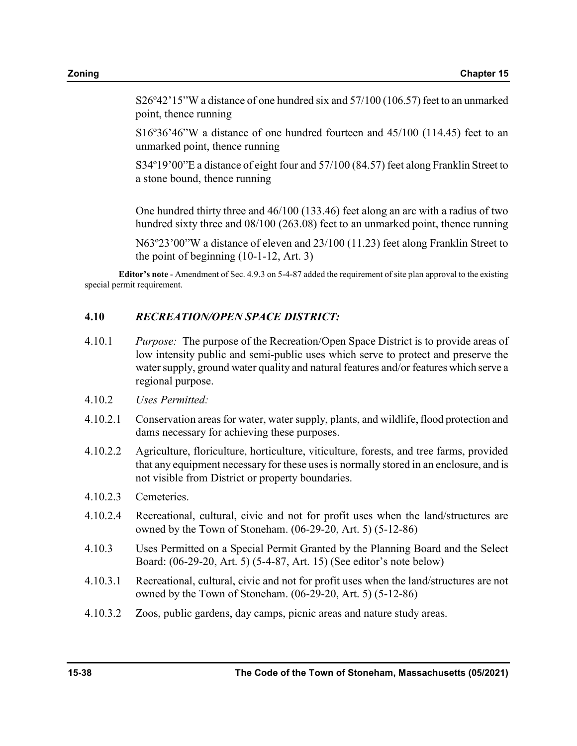S26º42'15"W a distance of one hundred six and 57/100 (106.57) feet to an unmarked point, thence running

 S16º36'46"W a distance of one hundred fourteen and 45/100 (114.45) feet to an unmarked point, thence running

 S34º19'00"E a distance of eight four and 57/100 (84.57) feet along Franklin Street to a stone bound, thence running

 One hundred thirty three and 46/100 (133.46) feet along an arc with a radius of two hundred sixty three and 08/100 (263.08) feet to an unmarked point, thence running

 N63º23'00"W a distance of eleven and 23/100 (11.23) feet along Franklin Street to the point of beginning (10-1-12, Art. 3)

Editor's note - Amendment of Sec. 4.9.3 on 5-4-87 added the requirement of site plan approval to the existing special permit requirement.

#### 4.10 RECREATION/OPEN SPACE DISTRICT:

- 4.10.1 Purpose: The purpose of the Recreation/Open Space District is to provide areas of low intensity public and semi-public uses which serve to protect and preserve the water supply, ground water quality and natural features and/or features which serve a regional purpose.
- 4.10.2 Uses Permitted:
- 4.10.2.1 Conservation areas for water, water supply, plants, and wildlife, flood protection and dams necessary for achieving these purposes.
- 4.10.2.2 Agriculture, floriculture, horticulture, viticulture, forests, and tree farms, provided that any equipment necessary for these uses is normally stored in an enclosure, and is not visible from District or property boundaries.
- 4.10.2.3 Cemeteries.
- 4.10.2.4 Recreational, cultural, civic and not for profit uses when the land/structures are owned by the Town of Stoneham. (06-29-20, Art. 5) (5-12-86)
- 4.10.3 Uses Permitted on a Special Permit Granted by the Planning Board and the Select Board: (06-29-20, Art. 5) (5-4-87, Art. 15) (See editor's note below)
- 4.10.3.1 Recreational, cultural, civic and not for profit uses when the land/structures are not owned by the Town of Stoneham. (06-29-20, Art. 5) (5-12-86)
- 4.10.3.2 Zoos, public gardens, day camps, picnic areas and nature study areas.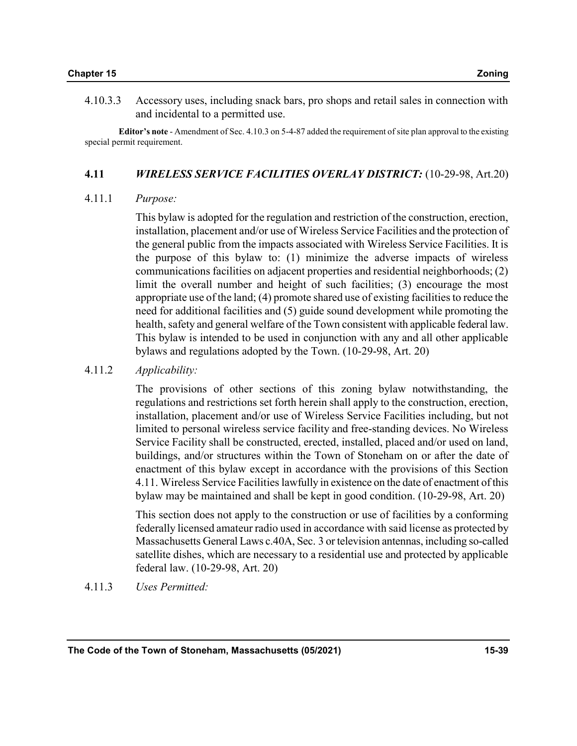4.10.3.3 Accessory uses, including snack bars, pro shops and retail sales in connection with and incidental to a permitted use.

Editor's note - Amendment of Sec. 4.10.3 on 5-4-87 added the requirement of site plan approval to the existing special permit requirement.

#### 4.11 WIRELESS SERVICE FACILITIES OVERLAY DISTRICT: (10-29-98, Art.20)

#### 4.11.1 Purpose:

 This bylaw is adopted for the regulation and restriction of the construction, erection, installation, placement and/or use of Wireless Service Facilities and the protection of the general public from the impacts associated with Wireless Service Facilities. It is the purpose of this bylaw to: (1) minimize the adverse impacts of wireless communications facilities on adjacent properties and residential neighborhoods; (2) limit the overall number and height of such facilities; (3) encourage the most appropriate use of the land; (4) promote shared use of existing facilities to reduce the need for additional facilities and (5) guide sound development while promoting the health, safety and general welfare of the Town consistent with applicable federal law. This bylaw is intended to be used in conjunction with any and all other applicable bylaws and regulations adopted by the Town. (10-29-98, Art. 20)

### 4.11.2 Applicability:

 The provisions of other sections of this zoning bylaw notwithstanding, the regulations and restrictions set forth herein shall apply to the construction, erection, installation, placement and/or use of Wireless Service Facilities including, but not limited to personal wireless service facility and free-standing devices. No Wireless Service Facility shall be constructed, erected, installed, placed and/or used on land, buildings, and/or structures within the Town of Stoneham on or after the date of enactment of this bylaw except in accordance with the provisions of this Section 4.11. Wireless Service Facilities lawfully in existence on the date of enactment of this bylaw may be maintained and shall be kept in good condition. (10-29-98, Art. 20)

 This section does not apply to the construction or use of facilities by a conforming federally licensed amateur radio used in accordance with said license as protected by Massachusetts General Laws c.40A, Sec. 3 or television antennas, including so-called satellite dishes, which are necessary to a residential use and protected by applicable federal law. (10-29-98, Art. 20)

#### 4.11.3 Uses Permitted: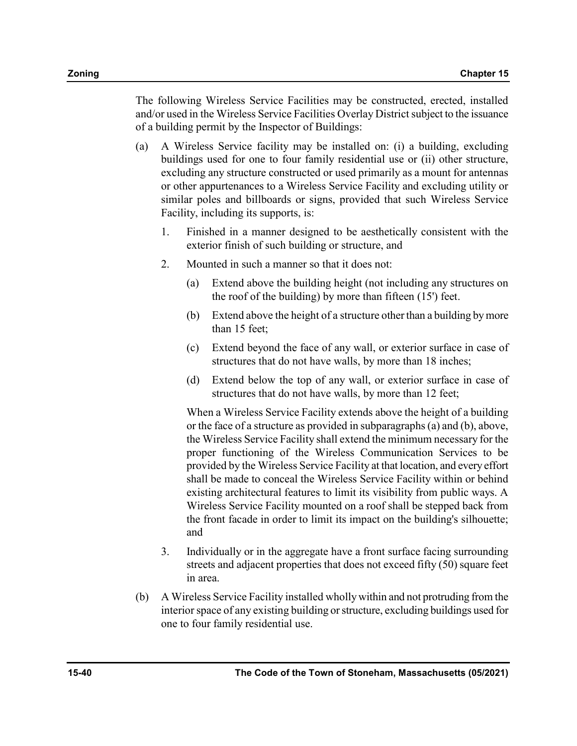The following Wireless Service Facilities may be constructed, erected, installed and/or used in the Wireless Service Facilities Overlay District subject to the issuance of a building permit by the Inspector of Buildings:

- (a) A Wireless Service facility may be installed on: (i) a building, excluding buildings used for one to four family residential use or (ii) other structure, excluding any structure constructed or used primarily as a mount for antennas or other appurtenances to a Wireless Service Facility and excluding utility or similar poles and billboards or signs, provided that such Wireless Service Facility, including its supports, is:
	- 1. Finished in a manner designed to be aesthetically consistent with the exterior finish of such building or structure, and
	- 2. Mounted in such a manner so that it does not:
		- (a) Extend above the building height (not including any structures on the roof of the building) by more than fifteen (15') feet.
		- (b) Extend above the height of a structure other than a building by more than 15 feet;
		- (c) Extend beyond the face of any wall, or exterior surface in case of structures that do not have walls, by more than 18 inches;
		- (d) Extend below the top of any wall, or exterior surface in case of structures that do not have walls, by more than 12 feet;

When a Wireless Service Facility extends above the height of a building or the face of a structure as provided in subparagraphs (a) and (b), above, the Wireless Service Facility shall extend the minimum necessary for the proper functioning of the Wireless Communication Services to be provided by the Wireless Service Facility at that location, and every effort shall be made to conceal the Wireless Service Facility within or behind existing architectural features to limit its visibility from public ways. A Wireless Service Facility mounted on a roof shall be stepped back from the front facade in order to limit its impact on the building's silhouette; and

- 3. Individually or in the aggregate have a front surface facing surrounding streets and adjacent properties that does not exceed fifty (50) square feet in area.
- (b) A Wireless Service Facility installed wholly within and not protruding from the interior space of any existing building or structure, excluding buildings used for one to four family residential use.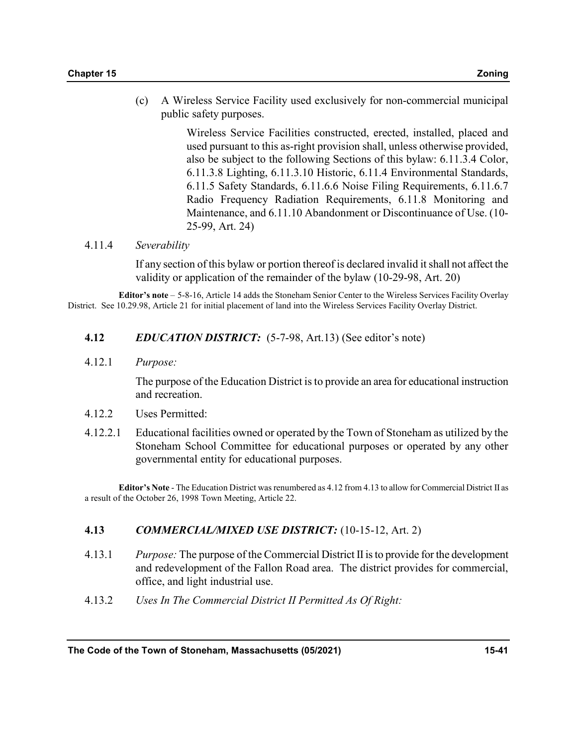(c) A Wireless Service Facility used exclusively for non-commercial municipal public safety purposes.

> Wireless Service Facilities constructed, erected, installed, placed and used pursuant to this as-right provision shall, unless otherwise provided, also be subject to the following Sections of this bylaw: 6.11.3.4 Color, 6.11.3.8 Lighting, 6.11.3.10 Historic, 6.11.4 Environmental Standards, 6.11.5 Safety Standards, 6.11.6.6 Noise Filing Requirements, 6.11.6.7 Radio Frequency Radiation Requirements, 6.11.8 Monitoring and Maintenance, and 6.11.10 Abandonment or Discontinuance of Use. (10- 25-99, Art. 24)

#### 4.11.4 Severability

If any section of this bylaw or portion thereof is declared invalid it shall not affect the validity or application of the remainder of the bylaw (10-29-98, Art. 20)

Editor's note – 5-8-16, Article 14 adds the Stoneham Senior Center to the Wireless Services Facility Overlay District. See 10.29.98, Article 21 for initial placement of land into the Wireless Services Facility Overlay District.

- 4.12 EDUCATION DISTRICT: (5-7-98, Art.13) (See editor's note)
- 4.12.1 Purpose:

The purpose of the Education District is to provide an area for educational instruction and recreation.

- 4.12.2 Uses Permitted:
- 4.12.2.1 Educational facilities owned or operated by the Town of Stoneham as utilized by the Stoneham School Committee for educational purposes or operated by any other governmental entity for educational purposes.

Editor's Note - The Education District was renumbered as 4.12 from 4.13 to allow for Commercial District II as a result of the October 26, 1998 Town Meeting, Article 22.

## 4.13 COMMERCIAL/MIXED USE DISTRICT: (10-15-12, Art. 2)

- 4.13.1 Purpose: The purpose of the Commercial District II is to provide for the development and redevelopment of the Fallon Road area. The district provides for commercial, office, and light industrial use.
- 4.13.2 Uses In The Commercial District II Permitted As Of Right: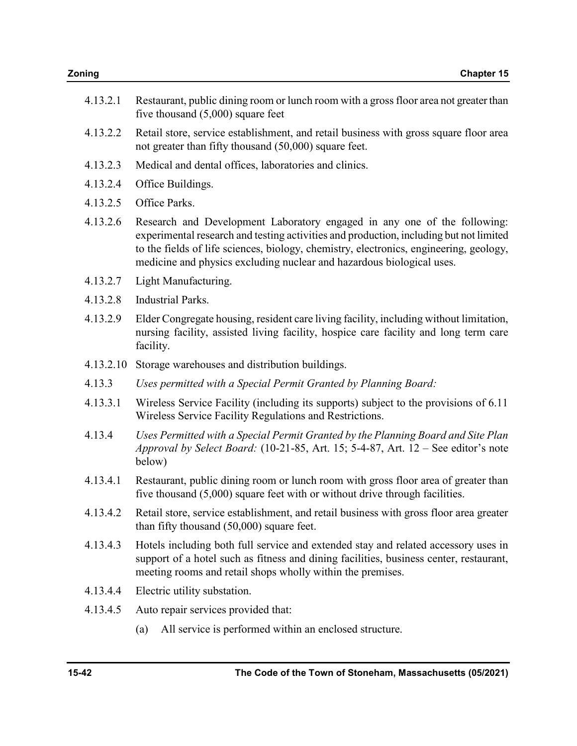- 4.13.2.1 Restaurant, public dining room or lunch room with a gross floor area not greater than five thousand (5,000) square feet
- 4.13.2.2 Retail store, service establishment, and retail business with gross square floor area not greater than fifty thousand (50,000) square feet.
- 4.13.2.3 Medical and dental offices, laboratories and clinics.
- 4.13.2.4 Office Buildings.
- 4.13.2.5 Office Parks.
- 4.13.2.6 Research and Development Laboratory engaged in any one of the following: experimental research and testing activities and production, including but not limited to the fields of life sciences, biology, chemistry, electronics, engineering, geology, medicine and physics excluding nuclear and hazardous biological uses.
- 4.13.2.7 Light Manufacturing.
- 4.13.2.8 Industrial Parks.
- 4.13.2.9 Elder Congregate housing, resident care living facility, including without limitation, nursing facility, assisted living facility, hospice care facility and long term care facility.
- 4.13.2.10 Storage warehouses and distribution buildings.
- 4.13.3 Uses permitted with a Special Permit Granted by Planning Board:
- 4.13.3.1 Wireless Service Facility (including its supports) subject to the provisions of 6.11 Wireless Service Facility Regulations and Restrictions.
- 4.13.4 Uses Permitted with a Special Permit Granted by the Planning Board and Site Plan Approval by Select Board: (10-21-85, Art. 15; 5-4-87, Art. 12 – See editor's note below)
- 4.13.4.1 Restaurant, public dining room or lunch room with gross floor area of greater than five thousand (5,000) square feet with or without drive through facilities.
- 4.13.4.2 Retail store, service establishment, and retail business with gross floor area greater than fifty thousand (50,000) square feet.
- 4.13.4.3 Hotels including both full service and extended stay and related accessory uses in support of a hotel such as fitness and dining facilities, business center, restaurant, meeting rooms and retail shops wholly within the premises.
- 4.13.4.4 Electric utility substation.
- 4.13.4.5 Auto repair services provided that:
	- (a) All service is performed within an enclosed structure.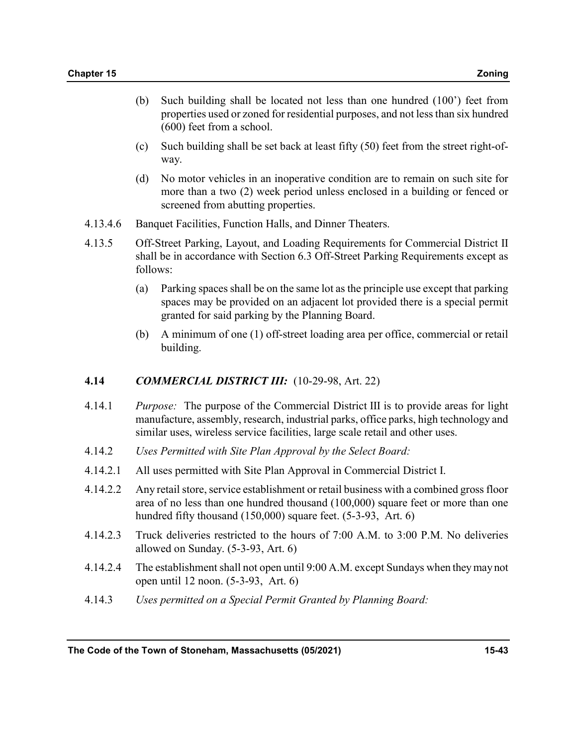- (b) Such building shall be located not less than one hundred (100') feet from properties used or zoned for residential purposes, and not less than six hundred (600) feet from a school.
- (c) Such building shall be set back at least fifty (50) feet from the street right-ofway.
- (d) No motor vehicles in an inoperative condition are to remain on such site for more than a two (2) week period unless enclosed in a building or fenced or screened from abutting properties.
- 4.13.4.6 Banquet Facilities, Function Halls, and Dinner Theaters.
- 4.13.5 Off-Street Parking, Layout, and Loading Requirements for Commercial District II shall be in accordance with Section 6.3 Off-Street Parking Requirements except as follows:
	- (a) Parking spaces shall be on the same lot as the principle use except that parking spaces may be provided on an adjacent lot provided there is a special permit granted for said parking by the Planning Board.
	- (b) A minimum of one (1) off-street loading area per office, commercial or retail building.

#### **4.14 COMMERCIAL DISTRICT III:** (10-29-98, Art. 22)

- 4.14.1 Purpose: The purpose of the Commercial District III is to provide areas for light manufacture, assembly, research, industrial parks, office parks, high technology and similar uses, wireless service facilities, large scale retail and other uses.
- 4.14.2 Uses Permitted with Site Plan Approval by the Select Board:
- 4.14.2.1 All uses permitted with Site Plan Approval in Commercial District I.
- 4.14.2.2 Any retail store, service establishment or retail business with a combined gross floor area of no less than one hundred thousand (100,000) square feet or more than one hundred fifty thousand (150,000) square feet. (5-3-93, Art. 6)
- 4.14.2.3 Truck deliveries restricted to the hours of 7:00 A.M. to 3:00 P.M. No deliveries allowed on Sunday. (5-3-93, Art. 6)
- 4.14.2.4 The establishment shall not open until 9:00 A.M. except Sundays when they may not open until 12 noon. (5-3-93, Art. 6)
- 4.14.3 Uses permitted on a Special Permit Granted by Planning Board: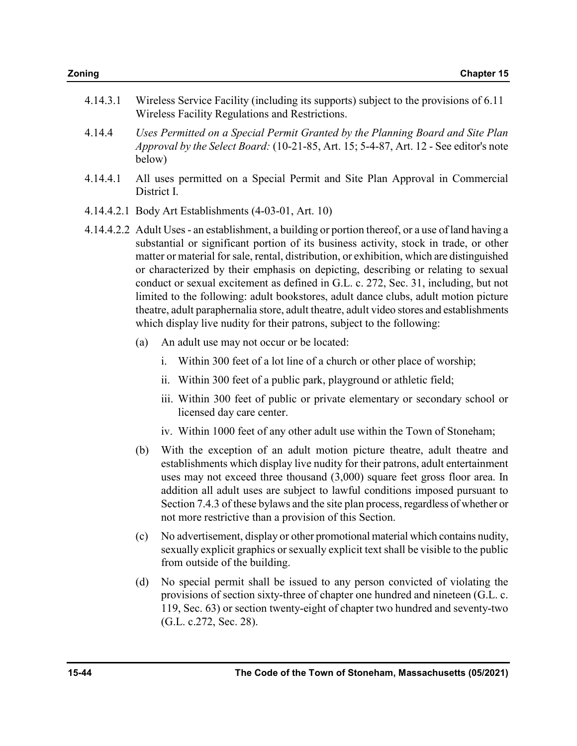| 4.14.3.1 Wireless Service Facility (including its supports) subject to the provisions of 6.11 |
|-----------------------------------------------------------------------------------------------|
| Wireless Facility Regulations and Restrictions.                                               |

- 4.14.4 Uses Permitted on a Special Permit Granted by the Planning Board and Site Plan Approval by the Select Board: (10-21-85, Art. 15; 5-4-87, Art. 12 - See editor's note below)
- 4.14.4.1 All uses permitted on a Special Permit and Site Plan Approval in Commercial District I.
- 4.14.4.2.1 Body Art Establishments (4-03-01, Art. 10)
- 4.14.4.2.2 Adult Uses an establishment, a building or portion thereof, or a use of land having a substantial or significant portion of its business activity, stock in trade, or other matter or material for sale, rental, distribution, or exhibition, which are distinguished or characterized by their emphasis on depicting, describing or relating to sexual conduct or sexual excitement as defined in G.L. c. 272, Sec. 31, including, but not limited to the following: adult bookstores, adult dance clubs, adult motion picture theatre, adult paraphernalia store, adult theatre, adult video stores and establishments which display live nudity for their patrons, subject to the following:
	- (a) An adult use may not occur or be located:
		- i. Within 300 feet of a lot line of a church or other place of worship;
		- ii. Within 300 feet of a public park, playground or athletic field;
		- iii. Within 300 feet of public or private elementary or secondary school or licensed day care center.
		- iv. Within 1000 feet of any other adult use within the Town of Stoneham;
	- (b) With the exception of an adult motion picture theatre, adult theatre and establishments which display live nudity for their patrons, adult entertainment uses may not exceed three thousand (3,000) square feet gross floor area. In addition all adult uses are subject to lawful conditions imposed pursuant to Section 7.4.3 of these bylaws and the site plan process, regardless of whether or not more restrictive than a provision of this Section.
	- (c) No advertisement, display or other promotional material which contains nudity, sexually explicit graphics or sexually explicit text shall be visible to the public from outside of the building.
	- (d) No special permit shall be issued to any person convicted of violating the provisions of section sixty-three of chapter one hundred and nineteen (G.L. c. 119, Sec. 63) or section twenty-eight of chapter two hundred and seventy-two (G.L. c.272, Sec. 28).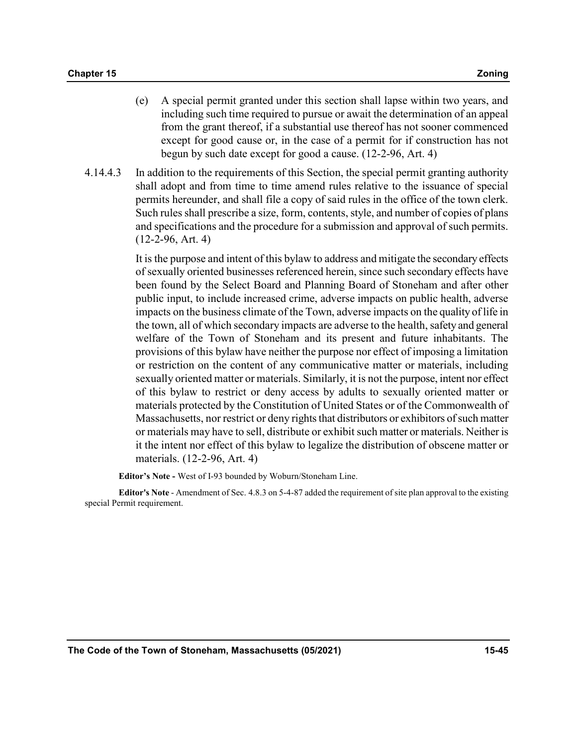- (e) A special permit granted under this section shall lapse within two years, and including such time required to pursue or await the determination of an appeal from the grant thereof, if a substantial use thereof has not sooner commenced except for good cause or, in the case of a permit for if construction has not begun by such date except for good a cause. (12-2-96, Art. 4)
- 4.14.4.3 In addition to the requirements of this Section, the special permit granting authority shall adopt and from time to time amend rules relative to the issuance of special permits hereunder, and shall file a copy of said rules in the office of the town clerk. Such rules shall prescribe a size, form, contents, style, and number of copies of plans and specifications and the procedure for a submission and approval of such permits. (12-2-96, Art. 4)

It is the purpose and intent of this bylaw to address and mitigate the secondary effects of sexually oriented businesses referenced herein, since such secondary effects have been found by the Select Board and Planning Board of Stoneham and after other public input, to include increased crime, adverse impacts on public health, adverse impacts on the business climate of the Town, adverse impacts on the quality of life in the town, all of which secondary impacts are adverse to the health, safety and general welfare of the Town of Stoneham and its present and future inhabitants. The provisions of this bylaw have neither the purpose nor effect of imposing a limitation or restriction on the content of any communicative matter or materials, including sexually oriented matter or materials. Similarly, it is not the purpose, intent nor effect of this bylaw to restrict or deny access by adults to sexually oriented matter or materials protected by the Constitution of United States or of the Commonwealth of Massachusetts, nor restrict or deny rights that distributors or exhibitors of such matter or materials may have to sell, distribute or exhibit such matter or materials. Neither is it the intent nor effect of this bylaw to legalize the distribution of obscene matter or materials. (12-2-96, Art. 4)

Editor's Note - West of I-93 bounded by Woburn/Stoneham Line.

Editor's Note - Amendment of Sec. 4.8.3 on 5-4-87 added the requirement of site plan approval to the existing special Permit requirement.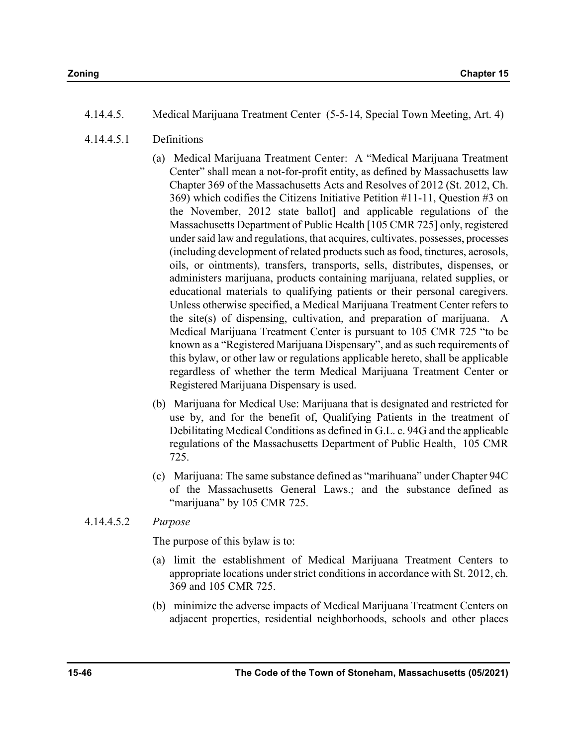- 4.14.4.5.1 Definitions
	- (a) Medical Marijuana Treatment Center: A "Medical Marijuana Treatment Center" shall mean a not-for-profit entity, as defined by Massachusetts law Chapter 369 of the Massachusetts Acts and Resolves of 2012 (St. 2012, Ch. 369) which codifies the Citizens Initiative Petition #11-11, Question #3 on the November, 2012 state ballot] and applicable regulations of the Massachusetts Department of Public Health [105 CMR 725] only, registered under said law and regulations, that acquires, cultivates, possesses, processes (including development of related products such as food, tinctures, aerosols, oils, or ointments), transfers, transports, sells, distributes, dispenses, or administers marijuana, products containing marijuana, related supplies, or educational materials to qualifying patients or their personal caregivers. Unless otherwise specified, a Medical Marijuana Treatment Center refers to the site(s) of dispensing, cultivation, and preparation of marijuana. A Medical Marijuana Treatment Center is pursuant to 105 CMR 725 "to be known as a "Registered Marijuana Dispensary", and as such requirements of this bylaw, or other law or regulations applicable hereto, shall be applicable regardless of whether the term Medical Marijuana Treatment Center or Registered Marijuana Dispensary is used.
	- (b) Marijuana for Medical Use: Marijuana that is designated and restricted for use by, and for the benefit of, Qualifying Patients in the treatment of Debilitating Medical Conditions as defined in G.L. c. 94G and the applicable regulations of the Massachusetts Department of Public Health, 105 CMR 725.
	- (c) Marijuana: The same substance defined as "marihuana" under Chapter 94C of the Massachusetts General Laws.; and the substance defined as "marijuana" by 105 CMR 725.

## 4.14.4.5.2 Purpose

The purpose of this bylaw is to:

- (a) limit the establishment of Medical Marijuana Treatment Centers to appropriate locations under strict conditions in accordance with St. 2012, ch. 369 and 105 CMR 725.
- (b) minimize the adverse impacts of Medical Marijuana Treatment Centers on adjacent properties, residential neighborhoods, schools and other places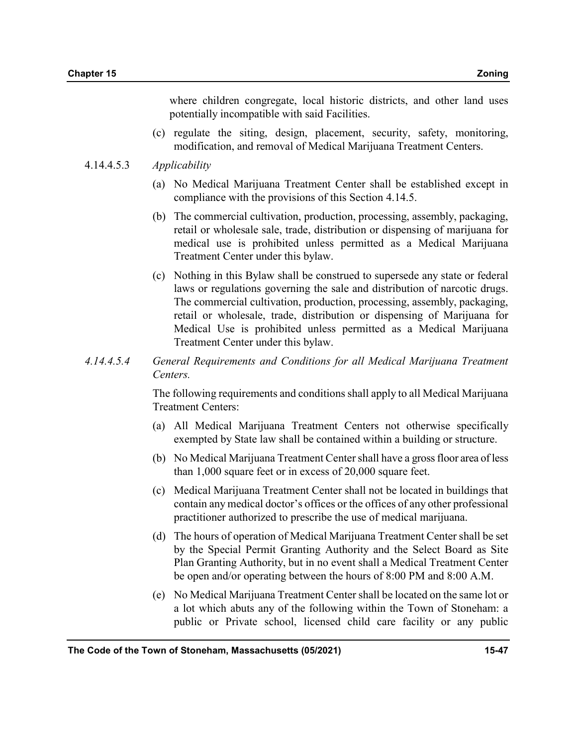where children congregate, local historic districts, and other land uses potentially incompatible with said Facilities.

(c) regulate the siting, design, placement, security, safety, monitoring, modification, and removal of Medical Marijuana Treatment Centers.

#### 4.14.4.5.3 Applicability

- (a) No Medical Marijuana Treatment Center shall be established except in compliance with the provisions of this Section 4.14.5.
- (b) The commercial cultivation, production, processing, assembly, packaging, retail or wholesale sale, trade, distribution or dispensing of marijuana for medical use is prohibited unless permitted as a Medical Marijuana Treatment Center under this bylaw.
- (c) Nothing in this Bylaw shall be construed to supersede any state or federal laws or regulations governing the sale and distribution of narcotic drugs. The commercial cultivation, production, processing, assembly, packaging, retail or wholesale, trade, distribution or dispensing of Marijuana for Medical Use is prohibited unless permitted as a Medical Marijuana Treatment Center under this bylaw.
- 4.14.4.5.4 General Requirements and Conditions for all Medical Marijuana Treatment Centers.

The following requirements and conditions shall apply to all Medical Marijuana Treatment Centers:

- (a) All Medical Marijuana Treatment Centers not otherwise specifically exempted by State law shall be contained within a building or structure.
- (b) No Medical Marijuana Treatment Center shall have a gross floor area of less than 1,000 square feet or in excess of 20,000 square feet.
- (c) Medical Marijuana Treatment Center shall not be located in buildings that contain any medical doctor's offices or the offices of any other professional practitioner authorized to prescribe the use of medical marijuana.
- (d) The hours of operation of Medical Marijuana Treatment Center shall be set by the Special Permit Granting Authority and the Select Board as Site Plan Granting Authority, but in no event shall a Medical Treatment Center be open and/or operating between the hours of 8:00 PM and 8:00 A.M.
- (e) No Medical Marijuana Treatment Center shall be located on the same lot or a lot which abuts any of the following within the Town of Stoneham: a public or Private school, licensed child care facility or any public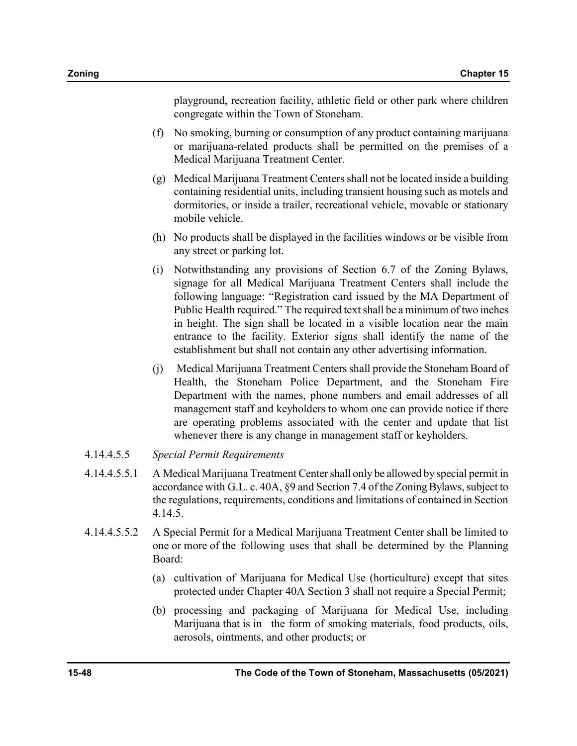playground, recreation facility, athletic field or other park where children congregate within the Town of Stoneham.

- (f) No smoking, burning or consumption of any product containing marijuana or marijuana-related products shall be permitted on the premises of a Medical Marijuana Treatment Center.
- (g) Medical Marijuana Treatment Centers shall not be located inside a building containing residential units, including transient housing such as motels and dormitories, or inside a trailer, recreational vehicle, movable or stationary mobile vehicle.
- (h) No products shall be displayed in the facilities windows or be visible from any street or parking lot.
- (i) Notwithstanding any provisions of Section 6.7 of the Zoning Bylaws, signage for all Medical Marijuana Treatment Centers shall include the following language: "Registration card issued by the MA Department of Public Health required." The required text shall be a minimum of two inches in height. The sign shall be located in a visible location near the main entrance to the facility. Exterior signs shall identify the name of the establishment but shall not contain any other advertising information.
- (j) Medical Marijuana Treatment Centers shall provide the Stoneham Board of Health, the Stoneham Police Department, and the Stoneham Fire Department with the names, phone numbers and email addresses of all management staff and keyholders to whom one can provide notice if there are operating problems associated with the center and update that list whenever there is any change in management staff or keyholders.
- 4.14.4.5.5 Special Permit Requirements
- 4.14.4.5.5.1 A Medical Marijuana Treatment Center shall only be allowed by special permit in accordance with G.L. c. 40A, §9 and Section 7.4 of the Zoning Bylaws, subject to the regulations, requirements, conditions and limitations of contained in Section 4.14.5.
- 4.14.4.5.5.2 A Special Permit for a Medical Marijuana Treatment Center shall be limited to one or more of the following uses that shall be determined by the Planning Board:
	- (a) cultivation of Marijuana for Medical Use (horticulture) except that sites protected under Chapter 40A Section 3 shall not require a Special Permit;
	- (b) processing and packaging of Marijuana for Medical Use, including Marijuana that is in the form of smoking materials, food products, oils, aerosols, ointments, and other products; or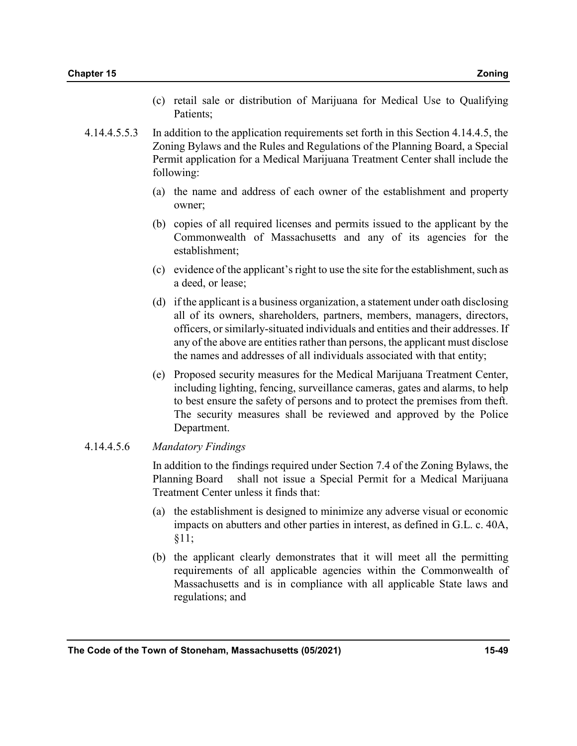- (c) retail sale or distribution of Marijuana for Medical Use to Qualifying Patients;
- 4.14.4.5.5.3 In addition to the application requirements set forth in this Section 4.14.4.5, the Zoning Bylaws and the Rules and Regulations of the Planning Board, a Special Permit application for a Medical Marijuana Treatment Center shall include the following:
	- (a) the name and address of each owner of the establishment and property owner;
	- (b) copies of all required licenses and permits issued to the applicant by the Commonwealth of Massachusetts and any of its agencies for the establishment;
	- (c) evidence of the applicant's right to use the site for the establishment, such as a deed, or lease;
	- (d) if the applicant is a business organization, a statement under oath disclosing all of its owners, shareholders, partners, members, managers, directors, officers, or similarly-situated individuals and entities and their addresses. If any of the above are entities rather than persons, the applicant must disclose the names and addresses of all individuals associated with that entity;
	- (e) Proposed security measures for the Medical Marijuana Treatment Center, including lighting, fencing, surveillance cameras, gates and alarms, to help to best ensure the safety of persons and to protect the premises from theft. The security measures shall be reviewed and approved by the Police Department.

#### 4.14.4.5.6 Mandatory Findings

In addition to the findings required under Section 7.4 of the Zoning Bylaws, the Planning Board shall not issue a Special Permit for a Medical Marijuana Treatment Center unless it finds that:

- (a) the establishment is designed to minimize any adverse visual or economic impacts on abutters and other parties in interest, as defined in G.L. c. 40A, §11;
- (b) the applicant clearly demonstrates that it will meet all the permitting requirements of all applicable agencies within the Commonwealth of Massachusetts and is in compliance with all applicable State laws and regulations; and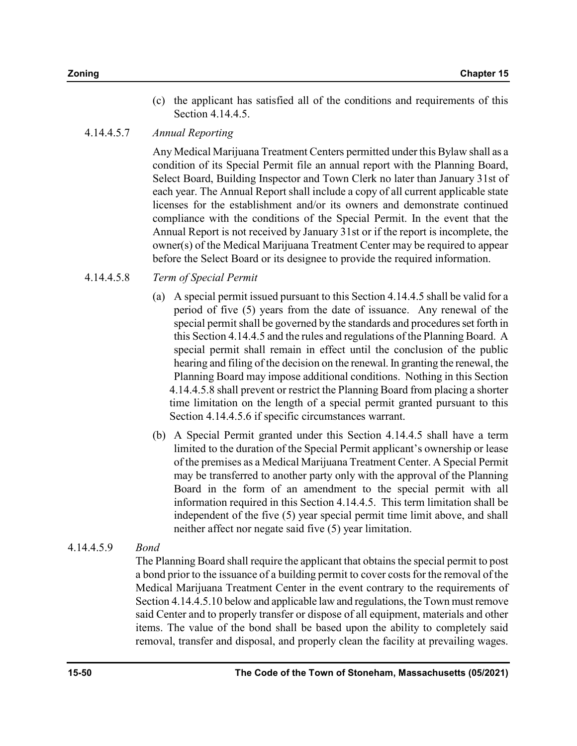(c) the applicant has satisfied all of the conditions and requirements of this Section 4.14.4.5.

## 4.14.4.5.7 Annual Reporting

Any Medical Marijuana Treatment Centers permitted under this Bylaw shall as a condition of its Special Permit file an annual report with the Planning Board, Select Board, Building Inspector and Town Clerk no later than January 31st of each year. The Annual Report shall include a copy of all current applicable state licenses for the establishment and/or its owners and demonstrate continued compliance with the conditions of the Special Permit. In the event that the Annual Report is not received by January 31st or if the report is incomplete, the owner(s) of the Medical Marijuana Treatment Center may be required to appear before the Select Board or its designee to provide the required information.

## 4.14.4.5.8 Term of Special Permit

- (a) A special permit issued pursuant to this Section 4.14.4.5 shall be valid for a period of five (5) years from the date of issuance. Any renewal of the special permit shall be governed by the standards and procedures set forth in this Section 4.14.4.5 and the rules and regulations of the Planning Board. A special permit shall remain in effect until the conclusion of the public hearing and filing of the decision on the renewal. In granting the renewal, the Planning Board may impose additional conditions. Nothing in this Section 4.14.4.5.8 shall prevent or restrict the Planning Board from placing a shorter time limitation on the length of a special permit granted pursuant to this Section 4.14.4.5.6 if specific circumstances warrant.
- (b) A Special Permit granted under this Section 4.14.4.5 shall have a term limited to the duration of the Special Permit applicant's ownership or lease of the premises as a Medical Marijuana Treatment Center. A Special Permit may be transferred to another party only with the approval of the Planning Board in the form of an amendment to the special permit with all information required in this Section 4.14.4.5. This term limitation shall be independent of the five (5) year special permit time limit above, and shall neither affect nor negate said five (5) year limitation.

## 4.14.4.5.9 Bond

The Planning Board shall require the applicant that obtains the special permit to post a bond prior to the issuance of a building permit to cover costs for the removal of the Medical Marijuana Treatment Center in the event contrary to the requirements of Section 4.14.4.5.10 below and applicable law and regulations, the Town must remove said Center and to properly transfer or dispose of all equipment, materials and other items. The value of the bond shall be based upon the ability to completely said removal, transfer and disposal, and properly clean the facility at prevailing wages.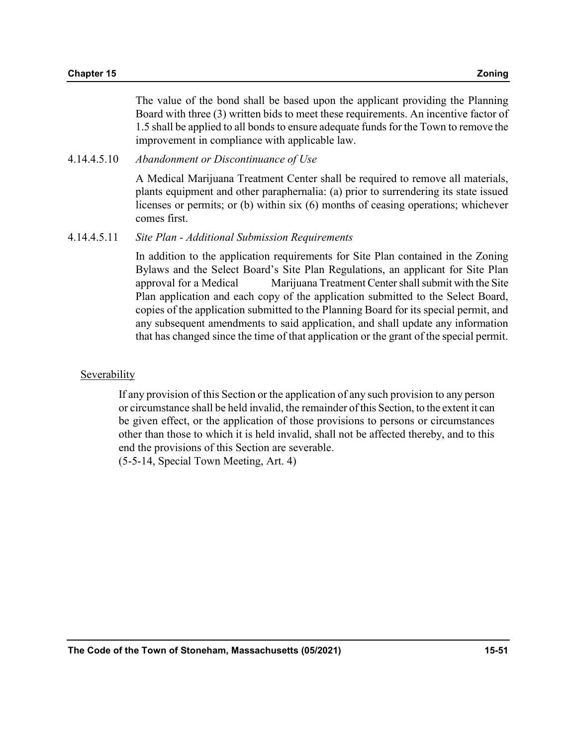The value of the bond shall be based upon the applicant providing the Planning Board with three (3) written bids to meet these requirements. An incentive factor of 1.5 shall be applied to all bonds to ensure adequate funds for the Town to remove the improvement in compliance with applicable law.

4.14.4.5.10 Abandonment or Discontinuance of Use

A Medical Marijuana Treatment Center shall be required to remove all materials, plants equipment and other paraphernalia: (a) prior to surrendering its state issued licenses or permits; or (b) within six (6) months of ceasing operations; whichever comes first.

4.14.4.5.11 Site Plan - Additional Submission Requirements

In addition to the application requirements for Site Plan contained in the Zoning Bylaws and the Select Board's Site Plan Regulations, an applicant for Site Plan approval for a Medical Marijuana Treatment Center shall submit with the Site Plan application and each copy of the application submitted to the Select Board, copies of the application submitted to the Planning Board for its special permit, and any subsequent amendments to said application, and shall update any information that has changed since the time of that application or the grant of the special permit.

#### Severability

If any provision of this Section or the application of any such provision to any person or circumstance shall be held invalid, the remainder of this Section, to the extent it can be given effect, or the application of those provisions to persons or circumstances other than those to which it is held invalid, shall not be affected thereby, and to this end the provisions of this Section are severable. (5-5-14, Special Town Meeting, Art. 4)

The Code of the Town of Stoneham, Massachusetts (05/2021) 15-51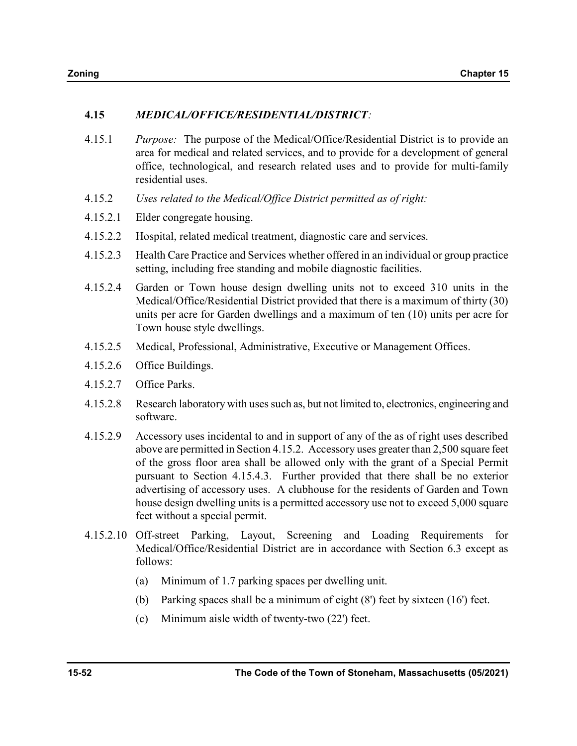## 4.15 MEDICAL/OFFICE/RESIDENTIAL/DISTRICT:

- 4.15.1 Purpose: The purpose of the Medical/Office/Residential District is to provide an area for medical and related services, and to provide for a development of general office, technological, and research related uses and to provide for multi-family residential uses.
- 4.15.2 Uses related to the Medical/Office District permitted as of right:
- 4.15.2.1 Elder congregate housing.
- 4.15.2.2 Hospital, related medical treatment, diagnostic care and services.
- 4.15.2.3 Health Care Practice and Services whether offered in an individual or group practice setting, including free standing and mobile diagnostic facilities.
- 4.15.2.4 Garden or Town house design dwelling units not to exceed 310 units in the Medical/Office/Residential District provided that there is a maximum of thirty (30) units per acre for Garden dwellings and a maximum of ten (10) units per acre for Town house style dwellings.
- 4.15.2.5 Medical, Professional, Administrative, Executive or Management Offices.
- 4.15.2.6 Office Buildings.
- 4.15.2.7 Office Parks.
- 4.15.2.8 Research laboratory with uses such as, but not limited to, electronics, engineering and software.
- 4.15.2.9 Accessory uses incidental to and in support of any of the as of right uses described above are permitted in Section 4.15.2. Accessory uses greater than 2,500 square feet of the gross floor area shall be allowed only with the grant of a Special Permit pursuant to Section 4.15.4.3. Further provided that there shall be no exterior advertising of accessory uses. A clubhouse for the residents of Garden and Town house design dwelling units is a permitted accessory use not to exceed 5,000 square feet without a special permit.
- 4.15.2.10 Off-street Parking, Layout, Screening and Loading Requirements for Medical/Office/Residential District are in accordance with Section 6.3 except as follows:
	- (a) Minimum of 1.7 parking spaces per dwelling unit.
	- (b) Parking spaces shall be a minimum of eight (8') feet by sixteen (16') feet.
	- (c) Minimum aisle width of twenty-two (22') feet.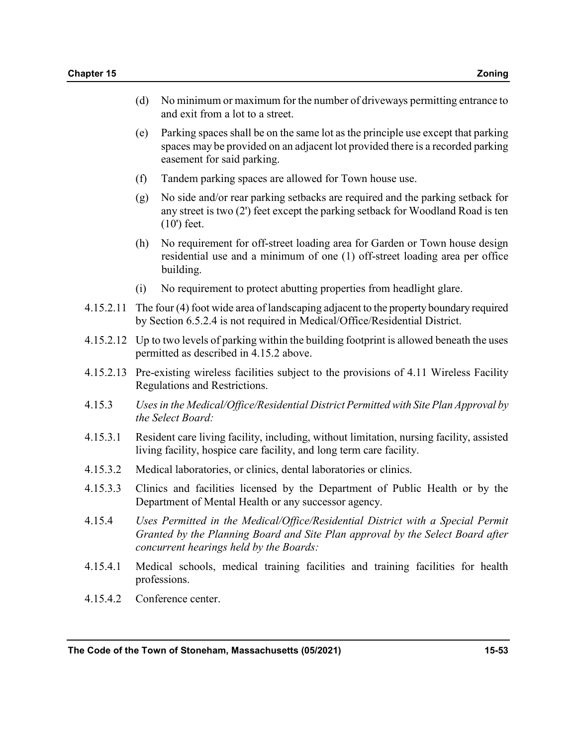- (d) No minimum or maximum for the number of driveways permitting entrance to and exit from a lot to a street.
- (e) Parking spaces shall be on the same lot as the principle use except that parking spaces may be provided on an adjacent lot provided there is a recorded parking easement for said parking.
- (f) Tandem parking spaces are allowed for Town house use.
- (g) No side and/or rear parking setbacks are required and the parking setback for any street is two (2') feet except the parking setback for Woodland Road is ten (10') feet.
- (h) No requirement for off-street loading area for Garden or Town house design residential use and a minimum of one (1) off-street loading area per office building.
- (i) No requirement to protect abutting properties from headlight glare.
- 4.15.2.11 The four (4) foot wide area of landscaping adjacent to the property boundary required by Section 6.5.2.4 is not required in Medical/Office/Residential District.
- 4.15.2.12 Up to two levels of parking within the building footprint is allowed beneath the uses permitted as described in 4.15.2 above.
- 4.15.2.13 Pre-existing wireless facilities subject to the provisions of 4.11 Wireless Facility Regulations and Restrictions.
- 4.15.3 Uses in the Medical/Office/Residential District Permitted with Site Plan Approval by the Select Board:
- 4.15.3.1 Resident care living facility, including, without limitation, nursing facility, assisted living facility, hospice care facility, and long term care facility.
- 4.15.3.2 Medical laboratories, or clinics, dental laboratories or clinics.
- 4.15.3.3 Clinics and facilities licensed by the Department of Public Health or by the Department of Mental Health or any successor agency.
- 4.15.4 Uses Permitted in the Medical/Office/Residential District with a Special Permit Granted by the Planning Board and Site Plan approval by the Select Board after concurrent hearings held by the Boards:
- 4.15.4.1 Medical schools, medical training facilities and training facilities for health professions.
- 4.15.4.2 Conference center.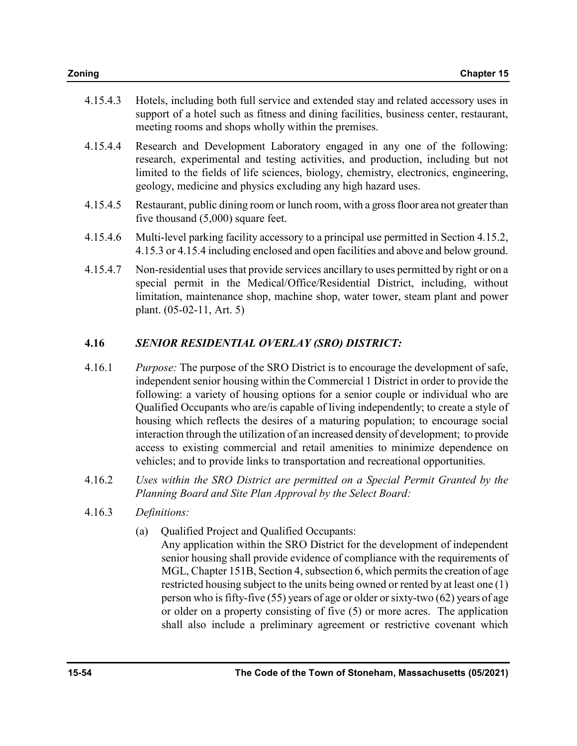| Zoning | <b>Chapter 15</b> |
|--------|-------------------|

- 4.15.4.3 Hotels, including both full service and extended stay and related accessory uses in support of a hotel such as fitness and dining facilities, business center, restaurant, meeting rooms and shops wholly within the premises.
- 4.15.4.4 Research and Development Laboratory engaged in any one of the following: research, experimental and testing activities, and production, including but not limited to the fields of life sciences, biology, chemistry, electronics, engineering, geology, medicine and physics excluding any high hazard uses.
- 4.15.4.5 Restaurant, public dining room or lunch room, with a gross floor area not greater than five thousand (5,000) square feet.
- 4.15.4.6 Multi-level parking facility accessory to a principal use permitted in Section 4.15.2, 4.15.3 or 4.15.4 including enclosed and open facilities and above and below ground.
- 4.15.4.7 Non-residential uses that provide services ancillary to uses permitted by right or on a special permit in the Medical/Office/Residential District, including, without limitation, maintenance shop, machine shop, water tower, steam plant and power plant. (05-02-11, Art. 5)

## 4.16 SENIOR RESIDENTIAL OVERLAY (SRO) DISTRICT:

- 4.16.1 Purpose: The purpose of the SRO District is to encourage the development of safe, independent senior housing within the Commercial 1 District in order to provide the following: a variety of housing options for a senior couple or individual who are Qualified Occupants who are/is capable of living independently; to create a style of housing which reflects the desires of a maturing population; to encourage social interaction through the utilization of an increased density of development; to provide access to existing commercial and retail amenities to minimize dependence on vehicles; and to provide links to transportation and recreational opportunities.
- 4.16.2 Uses within the SRO District are permitted on a Special Permit Granted by the Planning Board and Site Plan Approval by the Select Board:
- 4.16.3 Definitions:
	- (a) Qualified Project and Qualified Occupants:

 Any application within the SRO District for the development of independent senior housing shall provide evidence of compliance with the requirements of MGL, Chapter 151B, Section 4, subsection 6, which permits the creation of age restricted housing subject to the units being owned or rented by at least one (1) person who is fifty-five (55) years of age or older or sixty-two (62) years of age or older on a property consisting of five (5) or more acres. The application shall also include a preliminary agreement or restrictive covenant which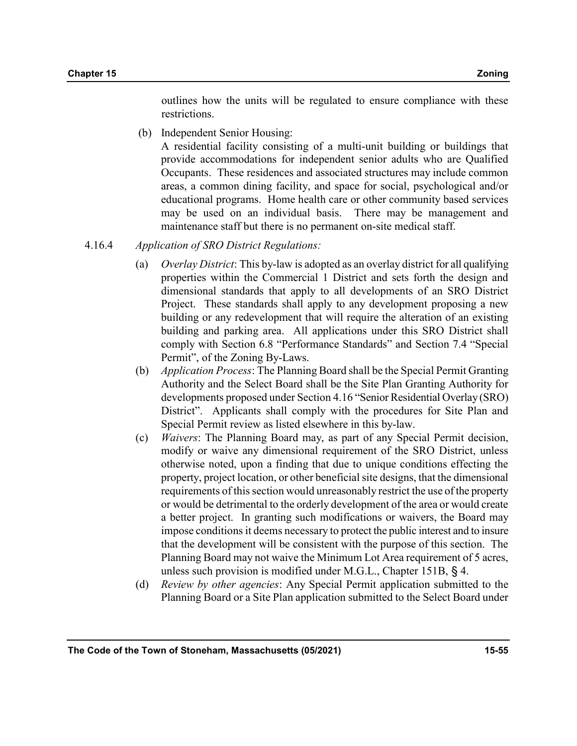outlines how the units will be regulated to ensure compliance with these restrictions.

(b) Independent Senior Housing:

 A residential facility consisting of a multi-unit building or buildings that provide accommodations for independent senior adults who are Qualified Occupants. These residences and associated structures may include common areas, a common dining facility, and space for social, psychological and/or educational programs. Home health care or other community based services may be used on an individual basis. There may be management and maintenance staff but there is no permanent on-site medical staff.

#### 4.16.4 Application of SRO District Regulations:

- (a) Overlay District: This by-law is adopted as an overlay district for all qualifying properties within the Commercial 1 District and sets forth the design and dimensional standards that apply to all developments of an SRO District Project. These standards shall apply to any development proposing a new building or any redevelopment that will require the alteration of an existing building and parking area. All applications under this SRO District shall comply with Section 6.8 "Performance Standards" and Section 7.4 "Special Permit", of the Zoning By-Laws.
- (b) Application Process: The Planning Board shall be the Special Permit Granting Authority and the Select Board shall be the Site Plan Granting Authority for developments proposed under Section 4.16 "Senior Residential Overlay (SRO) District". Applicants shall comply with the procedures for Site Plan and Special Permit review as listed elsewhere in this by-law.
- (c) Waivers: The Planning Board may, as part of any Special Permit decision, modify or waive any dimensional requirement of the SRO District, unless otherwise noted, upon a finding that due to unique conditions effecting the property, project location, or other beneficial site designs, that the dimensional requirements of this section would unreasonably restrict the use of the property or would be detrimental to the orderly development of the area or would create a better project. In granting such modifications or waivers, the Board may impose conditions it deems necessary to protect the public interest and to insure that the development will be consistent with the purpose of this section. The Planning Board may not waive the Minimum Lot Area requirement of 5 acres, unless such provision is modified under M.G.L., Chapter 151B, § 4.
- (d) Review by other agencies: Any Special Permit application submitted to the Planning Board or a Site Plan application submitted to the Select Board under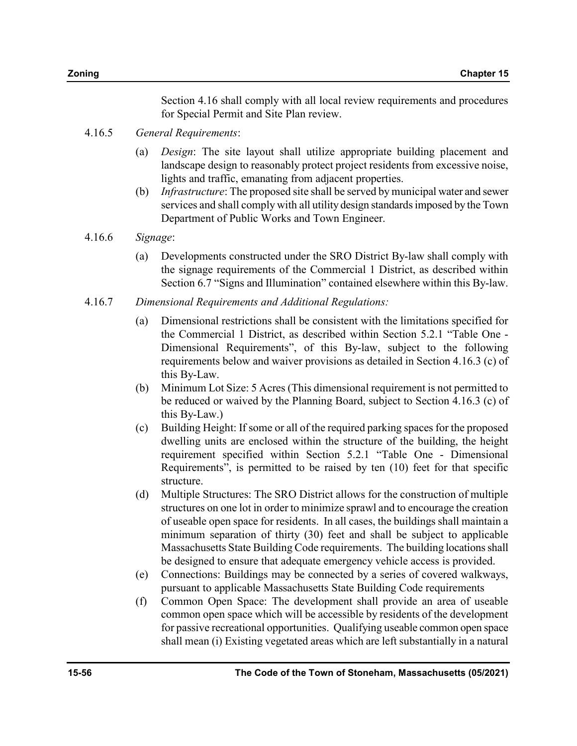Section 4.16 shall comply with all local review requirements and procedures for Special Permit and Site Plan review.

## 4.16.5 General Requirements:

- (a) Design: The site layout shall utilize appropriate building placement and landscape design to reasonably protect project residents from excessive noise, lights and traffic, emanating from adjacent properties.
- (b) Infrastructure: The proposed site shall be served by municipal water and sewer services and shall comply with all utility design standards imposed by the Town Department of Public Works and Town Engineer.

### 4.16.6 Signage:

- (a) Developments constructed under the SRO District By-law shall comply with the signage requirements of the Commercial 1 District, as described within Section 6.7 "Signs and Illumination" contained elsewhere within this By-law.
- 4.16.7 Dimensional Requirements and Additional Regulations:
	- (a) Dimensional restrictions shall be consistent with the limitations specified for the Commercial 1 District, as described within Section 5.2.1 "Table One - Dimensional Requirements", of this By-law, subject to the following requirements below and waiver provisions as detailed in Section 4.16.3 (c) of this By-Law.
	- (b) Minimum Lot Size: 5 Acres (This dimensional requirement is not permitted to be reduced or waived by the Planning Board, subject to Section 4.16.3 (c) of this By-Law.)
	- (c) Building Height: If some or all of the required parking spaces for the proposed dwelling units are enclosed within the structure of the building, the height requirement specified within Section 5.2.1 "Table One - Dimensional Requirements", is permitted to be raised by ten (10) feet for that specific structure.
	- (d) Multiple Structures: The SRO District allows for the construction of multiple structures on one lot in order to minimize sprawl and to encourage the creation of useable open space for residents. In all cases, the buildings shall maintain a minimum separation of thirty (30) feet and shall be subject to applicable Massachusetts State Building Code requirements. The building locations shall be designed to ensure that adequate emergency vehicle access is provided.
	- (e) Connections: Buildings may be connected by a series of covered walkways, pursuant to applicable Massachusetts State Building Code requirements
	- (f) Common Open Space: The development shall provide an area of useable common open space which will be accessible by residents of the development for passive recreational opportunities. Qualifying useable common open space shall mean (i) Existing vegetated areas which are left substantially in a natural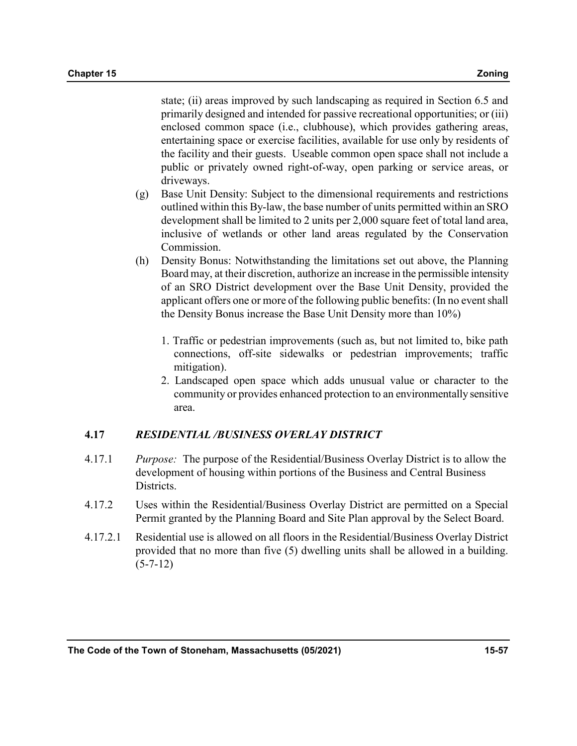state; (ii) areas improved by such landscaping as required in Section 6.5 and primarily designed and intended for passive recreational opportunities; or (iii) enclosed common space (i.e., clubhouse), which provides gathering areas, entertaining space or exercise facilities, available for use only by residents of the facility and their guests. Useable common open space shall not include a public or privately owned right-of-way, open parking or service areas, or driveways.

- (g) Base Unit Density: Subject to the dimensional requirements and restrictions outlined within this By-law, the base number of units permitted within an SRO development shall be limited to 2 units per 2,000 square feet of total land area, inclusive of wetlands or other land areas regulated by the Conservation Commission.
- (h) Density Bonus: Notwithstanding the limitations set out above, the Planning Board may, at their discretion, authorize an increase in the permissible intensity of an SRO District development over the Base Unit Density, provided the applicant offers one or more of the following public benefits: (In no event shall the Density Bonus increase the Base Unit Density more than 10%)
	- 1. Traffic or pedestrian improvements (such as, but not limited to, bike path connections, off-site sidewalks or pedestrian improvements; traffic mitigation).
	- 2. Landscaped open space which adds unusual value or character to the community or provides enhanced protection to an environmentally sensitive area.

## 4.17 RESIDENTIAL /BUSINESS OVERLAY DISTRICT

- 4.17.1 Purpose: The purpose of the Residential/Business Overlay District is to allow the development of housing within portions of the Business and Central Business Districts.
- 4.17.2 Uses within the Residential/Business Overlay District are permitted on a Special Permit granted by the Planning Board and Site Plan approval by the Select Board.
- 4.17.2.1 Residential use is allowed on all floors in the Residential/Business Overlay District provided that no more than five (5) dwelling units shall be allowed in a building.  $(5-7-12)$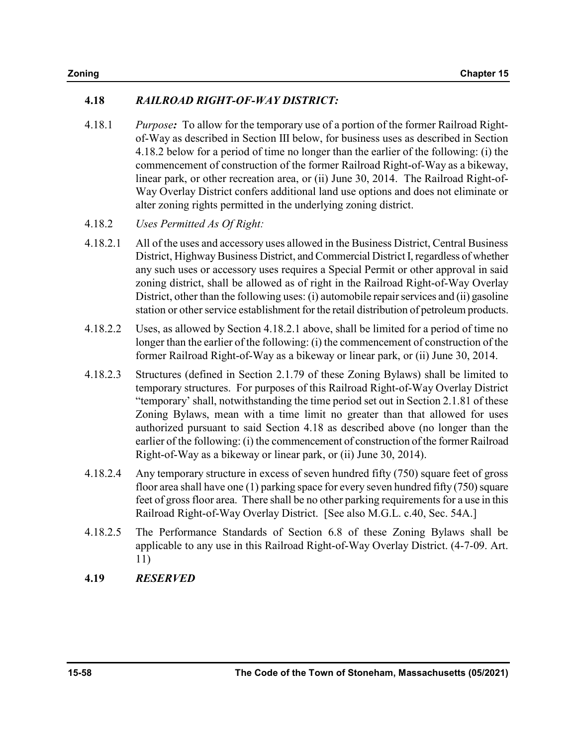## 4.18 RAILROAD RIGHT-OF-WAY DISTRICT:

- 4.18.1 Purpose: To allow for the temporary use of a portion of the former Railroad Rightof-Way as described in Section III below, for business uses as described in Section 4.18.2 below for a period of time no longer than the earlier of the following: (i) the commencement of construction of the former Railroad Right-of-Way as a bikeway, linear park, or other recreation area, or (ii) June 30, 2014. The Railroad Right-of-Way Overlay District confers additional land use options and does not eliminate or alter zoning rights permitted in the underlying zoning district.
- 4.18.2 Uses Permitted As Of Right:
- 4.18.2.1 All of the uses and accessory uses allowed in the Business District, Central Business District, Highway Business District, and Commercial District I, regardless of whether any such uses or accessory uses requires a Special Permit or other approval in said zoning district, shall be allowed as of right in the Railroad Right-of-Way Overlay District, other than the following uses: (i) automobile repair services and (ii) gasoline station or other service establishment for the retail distribution of petroleum products.
- 4.18.2.2 Uses, as allowed by Section 4.18.2.1 above, shall be limited for a period of time no longer than the earlier of the following: (i) the commencement of construction of the former Railroad Right-of-Way as a bikeway or linear park, or (ii) June 30, 2014.
- 4.18.2.3 Structures (defined in Section 2.1.79 of these Zoning Bylaws) shall be limited to temporary structures. For purposes of this Railroad Right-of-Way Overlay District "temporary' shall, notwithstanding the time period set out in Section 2.1.81 of these Zoning Bylaws, mean with a time limit no greater than that allowed for uses authorized pursuant to said Section 4.18 as described above (no longer than the earlier of the following: (i) the commencement of construction of the former Railroad Right-of-Way as a bikeway or linear park, or (ii) June 30, 2014).
- 4.18.2.4 Any temporary structure in excess of seven hundred fifty (750) square feet of gross floor area shall have one (1) parking space for every seven hundred fifty (750) square feet of gross floor area. There shall be no other parking requirements for a use in this Railroad Right-of-Way Overlay District. [See also M.G.L. c.40, Sec. 54A.]
- 4.18.2.5 The Performance Standards of Section 6.8 of these Zoning Bylaws shall be applicable to any use in this Railroad Right-of-Way Overlay District. (4-7-09. Art. 11)
- 4.19 RESERVED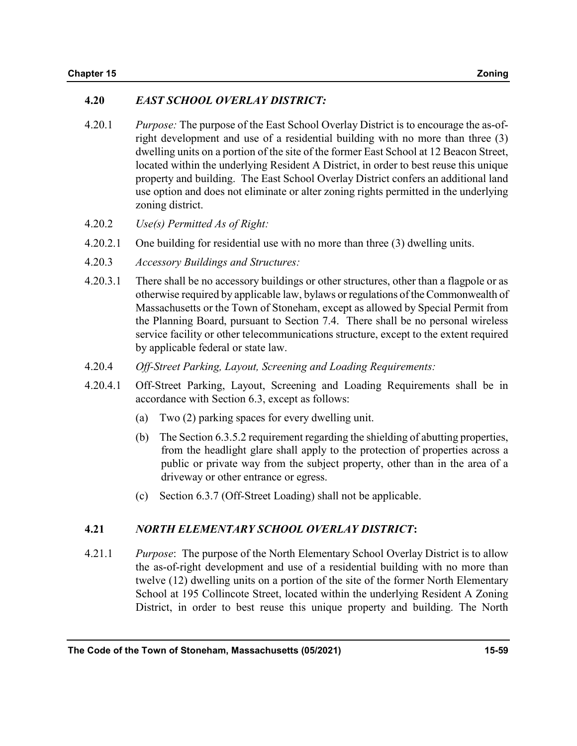### 4.20 EAST SCHOOL OVERLAY DISTRICT:

- 4.20.1 Purpose: The purpose of the East School Overlay District is to encourage the as-ofright development and use of a residential building with no more than three (3) dwelling units on a portion of the site of the former East School at 12 Beacon Street, located within the underlying Resident A District, in order to best reuse this unique property and building. The East School Overlay District confers an additional land use option and does not eliminate or alter zoning rights permitted in the underlying zoning district.
- 4.20.2 Use(s) Permitted As of Right:
- 4.20.2.1 One building for residential use with no more than three (3) dwelling units.
- 4.20.3 Accessory Buildings and Structures:
- 4.20.3.1 There shall be no accessory buildings or other structures, other than a flagpole or as otherwise required by applicable law, bylaws or regulations of the Commonwealth of Massachusetts or the Town of Stoneham, except as allowed by Special Permit from the Planning Board, pursuant to Section 7.4. There shall be no personal wireless service facility or other telecommunications structure, except to the extent required by applicable federal or state law.
- 4.20.4 Off-Street Parking, Layout, Screening and Loading Requirements:
- 4.20.4.1 Off-Street Parking, Layout, Screening and Loading Requirements shall be in accordance with Section 6.3, except as follows:
	- (a) Two (2) parking spaces for every dwelling unit.
	- (b) The Section 6.3.5.2 requirement regarding the shielding of abutting properties, from the headlight glare shall apply to the protection of properties across a public or private way from the subject property, other than in the area of a driveway or other entrance or egress.
	- (c) Section 6.3.7 (Off-Street Loading) shall not be applicable.

#### 4.21 NORTH ELEMENTARY SCHOOL OVERLAY DISTRICT:

4.21.1 Purpose: The purpose of the North Elementary School Overlay District is to allow the as-of-right development and use of a residential building with no more than twelve (12) dwelling units on a portion of the site of the former North Elementary School at 195 Collincote Street, located within the underlying Resident A Zoning District, in order to best reuse this unique property and building. The North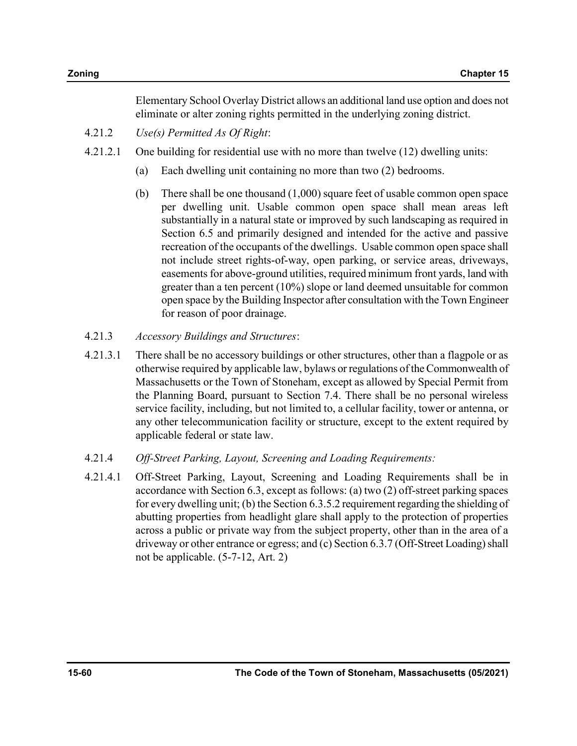Elementary School Overlay District allows an additional land use option and does not eliminate or alter zoning rights permitted in the underlying zoning district.

- 4.21.2 Use(s) Permitted As Of Right:
- 4.21.2.1 One building for residential use with no more than twelve (12) dwelling units:
	- (a) Each dwelling unit containing no more than two (2) bedrooms.
	- (b) There shall be one thousand (1,000) square feet of usable common open space per dwelling unit. Usable common open space shall mean areas left substantially in a natural state or improved by such landscaping as required in Section 6.5 and primarily designed and intended for the active and passive recreation of the occupants of the dwellings. Usable common open space shall not include street rights-of-way, open parking, or service areas, driveways, easements for above-ground utilities, required minimum front yards, land with greater than a ten percent (10%) slope or land deemed unsuitable for common open space by the Building Inspector after consultation with the Town Engineer for reason of poor drainage.
- 4.21.3 Accessory Buildings and Structures:
- 4.21.3.1 There shall be no accessory buildings or other structures, other than a flagpole or as otherwise required by applicable law, bylaws or regulations of the Commonwealth of Massachusetts or the Town of Stoneham, except as allowed by Special Permit from the Planning Board, pursuant to Section 7.4. There shall be no personal wireless service facility, including, but not limited to, a cellular facility, tower or antenna, or any other telecommunication facility or structure, except to the extent required by applicable federal or state law.
- 4.21.4 Off-Street Parking, Layout, Screening and Loading Requirements:
- 4.21.4.1 Off-Street Parking, Layout, Screening and Loading Requirements shall be in accordance with Section 6.3, except as follows: (a) two (2) off-street parking spaces for every dwelling unit; (b) the Section 6.3.5.2 requirement regarding the shielding of abutting properties from headlight glare shall apply to the protection of properties across a public or private way from the subject property, other than in the area of a driveway or other entrance or egress; and (c) Section 6.3.7 (Off-Street Loading) shall not be applicable. (5-7-12, Art. 2)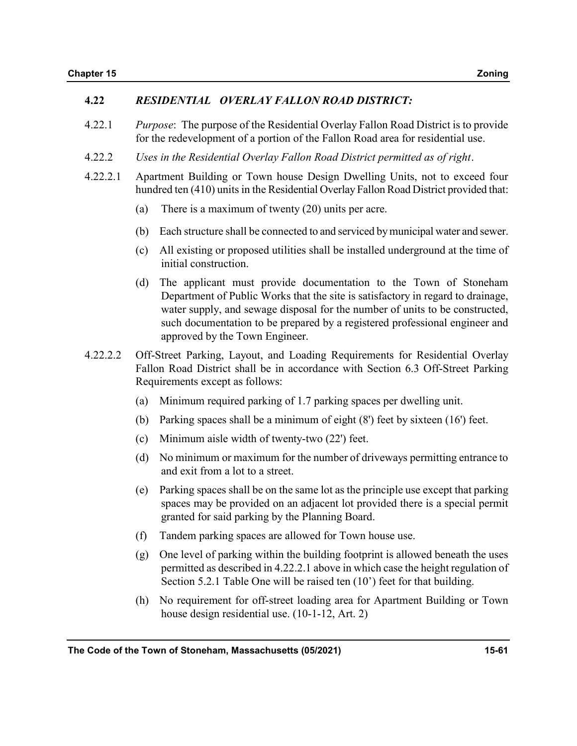#### 4.22 RESIDENTIAL OVERLAY FALLON ROAD DISTRICT:

- 4.22.1 Purpose: The purpose of the Residential Overlay Fallon Road District is to provide for the redevelopment of a portion of the Fallon Road area for residential use.
- 4.22.2 Uses in the Residential Overlay Fallon Road District permitted as of right.
- 4.22.2.1 Apartment Building or Town house Design Dwelling Units, not to exceed four hundred ten (410) units in the Residential Overlay Fallon Road District provided that:
	- (a) There is a maximum of twenty (20) units per acre.
	- (b) Each structure shall be connected to and serviced by municipal water and sewer.
	- (c) All existing or proposed utilities shall be installed underground at the time of initial construction.
	- (d) The applicant must provide documentation to the Town of Stoneham Department of Public Works that the site is satisfactory in regard to drainage, water supply, and sewage disposal for the number of units to be constructed, such documentation to be prepared by a registered professional engineer and approved by the Town Engineer.
- 4.22.2.2 Off-Street Parking, Layout, and Loading Requirements for Residential Overlay Fallon Road District shall be in accordance with Section 6.3 Off-Street Parking Requirements except as follows:
	- (a) Minimum required parking of 1.7 parking spaces per dwelling unit.
	- (b) Parking spaces shall be a minimum of eight (8') feet by sixteen (16') feet.
	- (c) Minimum aisle width of twenty-two (22') feet.
	- (d) No minimum or maximum for the number of driveways permitting entrance to and exit from a lot to a street.
	- (e) Parking spaces shall be on the same lot as the principle use except that parking spaces may be provided on an adjacent lot provided there is a special permit granted for said parking by the Planning Board.
	- (f) Tandem parking spaces are allowed for Town house use.
	- (g) One level of parking within the building footprint is allowed beneath the uses permitted as described in 4.22.2.1 above in which case the height regulation of Section 5.2.1 Table One will be raised ten (10') feet for that building.
	- (h) No requirement for off-street loading area for Apartment Building or Town house design residential use. (10-1-12, Art. 2)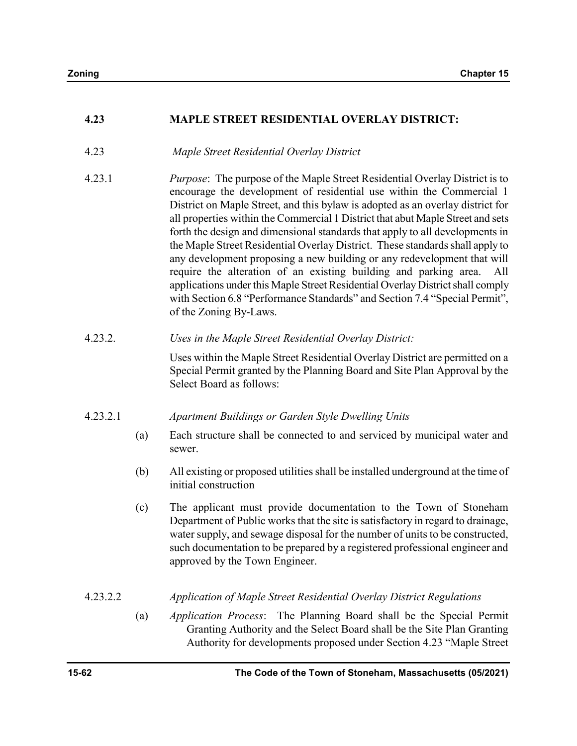## 4.23 MAPLE STREET RESIDENTIAL OVERLAY DISTRICT:

- 4.23 Maple Street Residential Overlay District
- 4.23.1 Purpose: The purpose of the Maple Street Residential Overlay District is to encourage the development of residential use within the Commercial 1 District on Maple Street, and this bylaw is adopted as an overlay district for all properties within the Commercial 1 District that abut Maple Street and sets forth the design and dimensional standards that apply to all developments in the Maple Street Residential Overlay District. These standards shall apply to any development proposing a new building or any redevelopment that will require the alteration of an existing building and parking area. All applications under this Maple Street Residential Overlay District shall comply with Section 6.8 "Performance Standards" and Section 7.4 "Special Permit", of the Zoning By-Laws.

#### 4.23.2. Uses in the Maple Street Residential Overlay District:

 Uses within the Maple Street Residential Overlay District are permitted on a Special Permit granted by the Planning Board and Site Plan Approval by the Select Board as follows:

#### 4.23.2.1 Apartment Buildings or Garden Style Dwelling Units

- (a) Each structure shall be connected to and serviced by municipal water and sewer.
- (b) All existing or proposed utilities shall be installed underground at the time of initial construction
- (c) The applicant must provide documentation to the Town of Stoneham Department of Public works that the site is satisfactory in regard to drainage, water supply, and sewage disposal for the number of units to be constructed, such documentation to be prepared by a registered professional engineer and approved by the Town Engineer.

### 4.23.2.2 Application of Maple Street Residential Overlay District Regulations

(a) Application Process: The Planning Board shall be the Special Permit Granting Authority and the Select Board shall be the Site Plan Granting Authority for developments proposed under Section 4.23 "Maple Street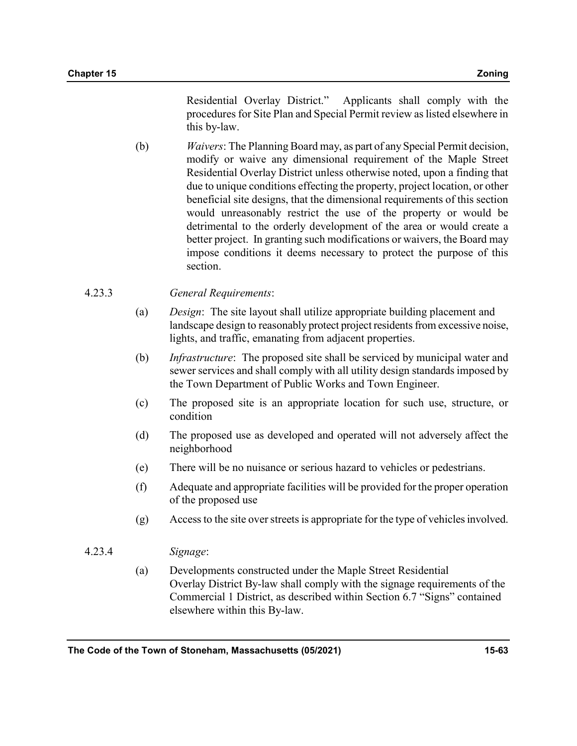Residential Overlay District." Applicants shall comply with the procedures for Site Plan and Special Permit review as listed elsewhere in this by-law.

(b) Waivers: The Planning Board may, as part of any Special Permit decision, modify or waive any dimensional requirement of the Maple Street Residential Overlay District unless otherwise noted, upon a finding that due to unique conditions effecting the property, project location, or other beneficial site designs, that the dimensional requirements of this section would unreasonably restrict the use of the property or would be detrimental to the orderly development of the area or would create a better project. In granting such modifications or waivers, the Board may impose conditions it deems necessary to protect the purpose of this section.

## 4.23.3 General Requirements:

- (a) Design: The site layout shall utilize appropriate building placement and landscape design to reasonably protect project residents from excessive noise, lights, and traffic, emanating from adjacent properties.
- (b) Infrastructure: The proposed site shall be serviced by municipal water and sewer services and shall comply with all utility design standards imposed by the Town Department of Public Works and Town Engineer.
- (c) The proposed site is an appropriate location for such use, structure, or condition
- (d) The proposed use as developed and operated will not adversely affect the neighborhood
- (e) There will be no nuisance or serious hazard to vehicles or pedestrians.
- (f) Adequate and appropriate facilities will be provided for the proper operation of the proposed use
- (g) Access to the site over streets is appropriate for the type of vehicles involved.
- 4.23.4 Signage:
	- (a) Developments constructed under the Maple Street Residential Overlay District By-law shall comply with the signage requirements of the Commercial 1 District, as described within Section 6.7 "Signs" contained elsewhere within this By-law.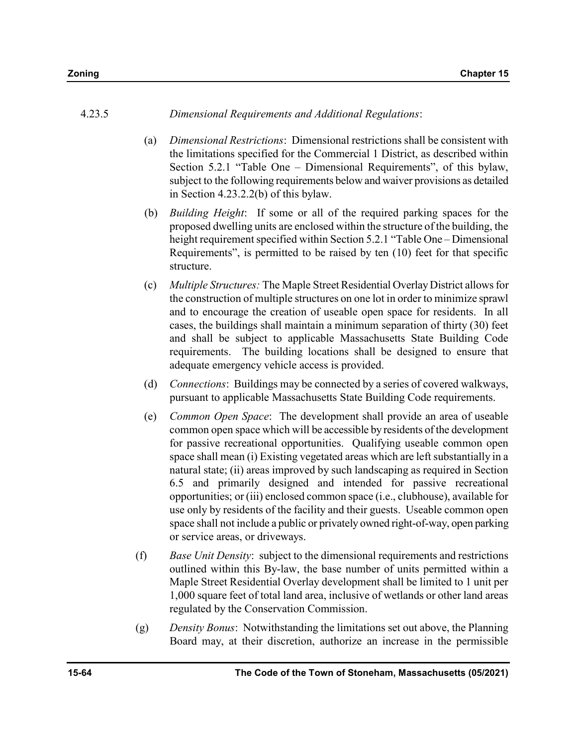#### 4.23.5 Dimensional Requirements and Additional Regulations:

- (a) Dimensional Restrictions: Dimensional restrictions shall be consistent with the limitations specified for the Commercial 1 District, as described within Section 5.2.1 "Table One – Dimensional Requirements", of this bylaw, subject to the following requirements below and waiver provisions as detailed in Section 4.23.2.2(b) of this bylaw.
- (b) Building Height: If some or all of the required parking spaces for the proposed dwelling units are enclosed within the structure of the building, the height requirement specified within Section 5.2.1 "Table One – Dimensional Requirements", is permitted to be raised by ten (10) feet for that specific structure.
- (c) Multiple Structures: The Maple Street Residential Overlay District allows for the construction of multiple structures on one lot in order to minimize sprawl and to encourage the creation of useable open space for residents. In all cases, the buildings shall maintain a minimum separation of thirty (30) feet and shall be subject to applicable Massachusetts State Building Code requirements. The building locations shall be designed to ensure that adequate emergency vehicle access is provided.
- (d) Connections: Buildings may be connected by a series of covered walkways, pursuant to applicable Massachusetts State Building Code requirements.
- (e) Common Open Space: The development shall provide an area of useable common open space which will be accessible by residents of the development for passive recreational opportunities. Qualifying useable common open space shall mean (i) Existing vegetated areas which are left substantially in a natural state; (ii) areas improved by such landscaping as required in Section 6.5 and primarily designed and intended for passive recreational opportunities; or (iii) enclosed common space (i.e., clubhouse), available for use only by residents of the facility and their guests. Useable common open space shall not include a public or privately owned right-of-way, open parking or service areas, or driveways.
- (f) Base Unit Density: subject to the dimensional requirements and restrictions outlined within this By-law, the base number of units permitted within a Maple Street Residential Overlay development shall be limited to 1 unit per 1,000 square feet of total land area, inclusive of wetlands or other land areas regulated by the Conservation Commission.
- $(g)$  Density Bonus: Notwithstanding the limitations set out above, the Planning Board may, at their discretion, authorize an increase in the permissible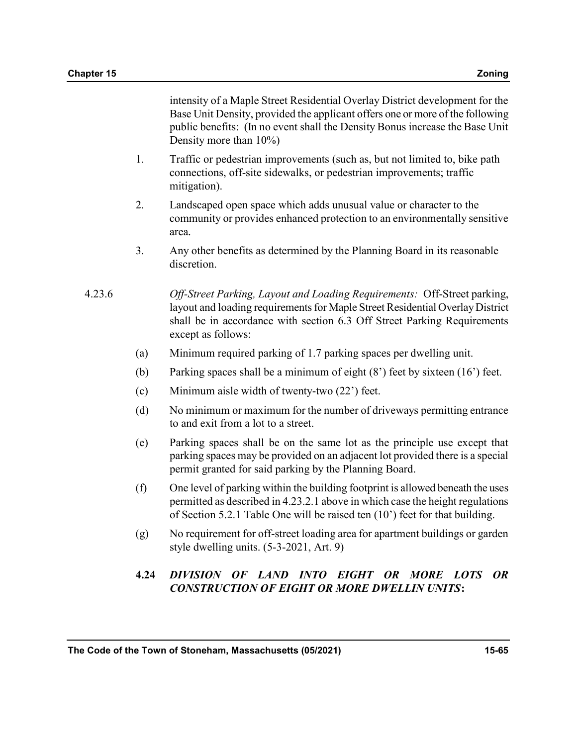intensity of a Maple Street Residential Overlay District development for the Base Unit Density, provided the applicant offers one or more of the following public benefits: (In no event shall the Density Bonus increase the Base Unit Density more than 10%)

- 1. Traffic or pedestrian improvements (such as, but not limited to, bike path connections, off-site sidewalks, or pedestrian improvements; traffic mitigation).
- 2. Landscaped open space which adds unusual value or character to the community or provides enhanced protection to an environmentally sensitive area.
- 3. Any other benefits as determined by the Planning Board in its reasonable discretion.

## 4.23.6 Off-Street Parking, Layout and Loading Requirements: Off-Street parking, layout and loading requirements for Maple Street Residential Overlay District shall be in accordance with section 6.3 Off Street Parking Requirements except as follows:

- (a) Minimum required parking of 1.7 parking spaces per dwelling unit.
- (b) Parking spaces shall be a minimum of eight (8') feet by sixteen (16') feet.
- (c) Minimum aisle width of twenty-two (22') feet.
- (d) No minimum or maximum for the number of driveways permitting entrance to and exit from a lot to a street.
- (e) Parking spaces shall be on the same lot as the principle use except that parking spaces may be provided on an adjacent lot provided there is a special permit granted for said parking by the Planning Board.
- (f) One level of parking within the building footprint is allowed beneath the uses permitted as described in 4.23.2.1 above in which case the height regulations of Section 5.2.1 Table One will be raised ten (10') feet for that building.
- (g) No requirement for off-street loading area for apartment buildings or garden style dwelling units. (5-3-2021, Art. 9)

## 4.24 DIVISION OF LAND INTO EIGHT OR MORE LOTS OR CONSTRUCTION OF EIGHT OR MORE DWELLIN UNITS: